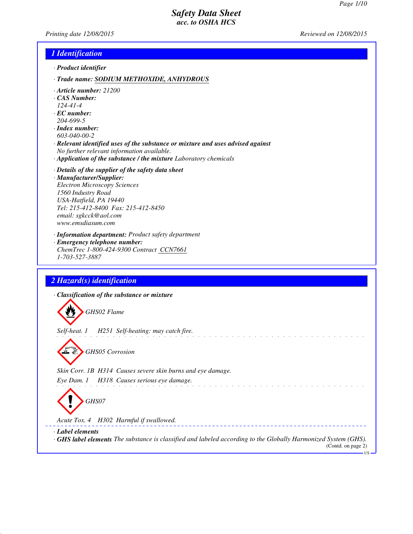*Printing date 12/08/2015 Reviewed on 12/08/2015*

### *1 Identification*

- *· Product identifier*
- *· Trade name: SODIUM METHOXIDE, ANHYDROUS*
- *· Article number: 21200*
- *· CAS Number:*
- *124-41-4*
- *· EC number: 204-699-5*
- *· Index number:*
- *603-040-00-2*
- *· Relevant identified uses of the substance or mixture and uses advised against No further relevant information available.*
- *· Application of the substance / the mixture Laboratory chemicals*
- *· Details of the supplier of the safety data sheet · Manufacturer/Supplier: Electron Microscopy Sciences 1560 Industry Road USA-Hatfield, PA 19440 Tel: 215-412-8400 Fax: 215-412-8450 email: sgkcck@aol.com www.emsdiasum.com*
- *· Information department: Product safety department · Emergency telephone number: ChemTrec 1-800-424-9300 Contract CCN7661*
- *1-703-527-3887*

# *2 Hazard(s) identification*

*· Classification of the substance or mixture*

*GHS02 Flame*

*Self-heat. 1 H251 Self-heating: may catch fire.*

*GHS05 Corrosion*

*Skin Corr. 1B H314 Causes severe skin burns and eye damage. Eye Dam. 1 H318 Causes serious eye damage.* .<br>In the first product of the product of the product of the product of the product of the product of the product



*Acute Tox. 4 H302 Harmful if swallowed.*

*· Label elements*

*· GHS label elements The substance is classified and labeled according to the Globally Harmonized System (GHS).*

.<br>In the second complete state of the second complete state of the second complete state of the second complete

(Contd. on page 2)

US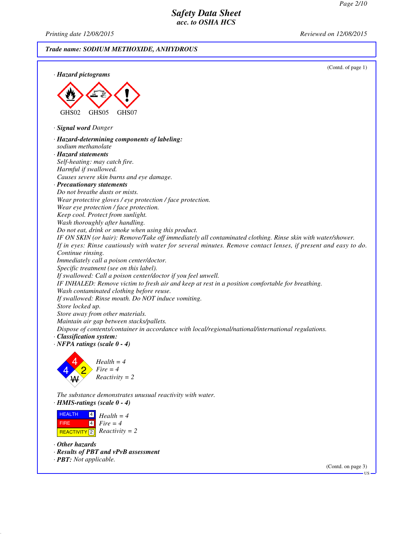*Printing date 12/08/2015 Reviewed on 12/08/2015*

*Trade name: SODIUM METHOXIDE, ANHYDROUS*



*The substance demonstrates unusual reactivity with water. · HMIS-ratings (scale 0 - 4)*

 HEALTH FIRE  $R$ **REACTIVITY** 2 *Reactivity* = 2 4 4 *Health = 4 Fire = 4*

*· Other hazards*

- *· Results of PBT and vPvB assessment*
- *· PBT: Not applicable.*

(Contd. on page 3)

US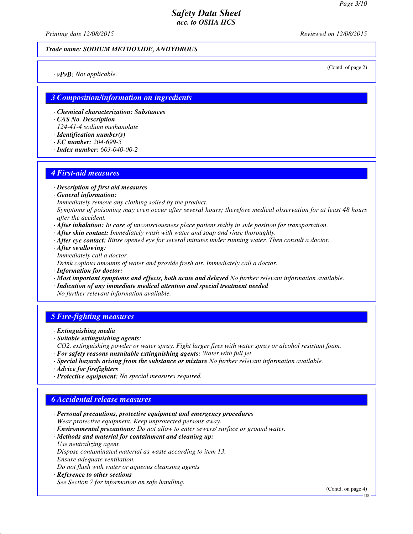(Contd. of page 2)

# *Safety Data Sheet acc. to OSHA HCS*

*Printing date 12/08/2015 Reviewed on 12/08/2015*

#### *Trade name: SODIUM METHOXIDE, ANHYDROUS*

*· vPvB: Not applicable.*

### *3 Composition/information on ingredients*

- *· Chemical characterization: Substances*
- *· CAS No. Description*
- *124-41-4 sodium methanolate*
- *· Identification number(s)*
- *· EC number: 204-699-5*
- *· Index number: 603-040-00-2*

#### *4 First-aid measures*

- *· Description of first aid measures*
- *· General information:*
- *Immediately remove any clothing soiled by the product.*
- *Symptoms of poisoning may even occur after several hours; therefore medical observation for at least 48 hours after the accident.*
- *· After inhalation: In case of unconsciousness place patient stably in side position for transportation.*
- *· After skin contact: Immediately wash with water and soap and rinse thoroughly.*
- *· After eye contact: Rinse opened eye for several minutes under running water. Then consult a doctor.*
- *· After swallowing: Immediately call a doctor.*

*Drink copious amounts of water and provide fresh air. Immediately call a doctor.*

- *· Information for doctor:*
- *· Most important symptoms and effects, both acute and delayed No further relevant information available.*
- *· Indication of any immediate medical attention and special treatment needed No further relevant information available.*

# *5 Fire-fighting measures*

- *· Extinguishing media*
- *· Suitable extinguishing agents:*
- *CO2, extinguishing powder or water spray. Fight larger fires with water spray or alcohol resistant foam.*
- *· For safety reasons unsuitable extinguishing agents: Water with full jet*
- *· Special hazards arising from the substance or mixture No further relevant information available.*
- *· Advice for firefighters*
- *· Protective equipment: No special measures required.*

#### *6 Accidental release measures*

- *· Personal precautions, protective equipment and emergency procedures Wear protective equipment. Keep unprotected persons away. · Environmental precautions: Do not allow to enter sewers/ surface or ground water.*
- *· Methods and material for containment and cleaning up: Use neutralizing agent. Dispose contaminated material as waste according to item 13.*
- *Ensure adequate ventilation.*
- *Do not flush with water or aqueous cleansing agents*
- *· Reference to other sections*
- *See Section 7 for information on safe handling.*

(Contd. on page 4)

US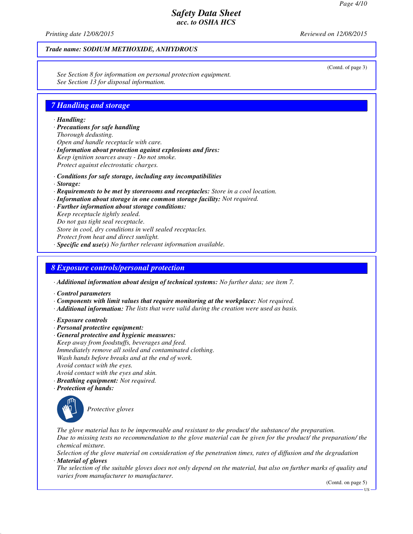*Printing date 12/08/2015 Reviewed on 12/08/2015*

### *Trade name: SODIUM METHOXIDE, ANHYDROUS*

*See Section 8 for information on personal protection equipment. See Section 13 for disposal information.*

### *7 Handling and storage*

#### *· Handling:*

- *· Precautions for safe handling Thorough dedusting. Open and handle receptacle with care. · Information about protection against explosions and fires: Keep ignition sources away - Do not smoke.*
- *Protect against electrostatic charges.*
- *· Conditions for safe storage, including any incompatibilities*
- *· Storage:*
- *· Requirements to be met by storerooms and receptacles: Store in a cool location.*
- *· Information about storage in one common storage facility: Not required.*
- *· Further information about storage conditions:*

*Keep receptacle tightly sealed.*

*Do not gas tight seal receptacle.*

*Store in cool, dry conditions in well sealed receptacles.*

*Protect from heat and direct sunlight.*

*· Specific end use(s) No further relevant information available.*

### *8 Exposure controls/personal protection*

*· Additional information about design of technical systems: No further data; see item 7.*

- *· Control parameters*
- *· Components with limit values that require monitoring at the workplace: Not required.*
- *· Additional information: The lists that were valid during the creation were used as basis.*
- *· Exposure controls*
- *· Personal protective equipment:*
- *· General protective and hygienic measures: Keep away from foodstuffs, beverages and feed. Immediately remove all soiled and contaminated clothing. Wash hands before breaks and at the end of work. Avoid contact with the eyes. Avoid contact with the eyes and skin.*
- *· Breathing equipment: Not required.*
- *· Protection of hands:*



*Protective gloves*

*The glove material has to be impermeable and resistant to the product/ the substance/ the preparation. Due to missing tests no recommendation to the glove material can be given for the product/ the preparation/ the chemical mixture.*

*Selection of the glove material on consideration of the penetration times, rates of diffusion and the degradation · Material of gloves*

*The selection of the suitable gloves does not only depend on the material, but also on further marks of quality and varies from manufacturer to manufacturer.*

(Contd. on page 5)

(Contd. of page 3)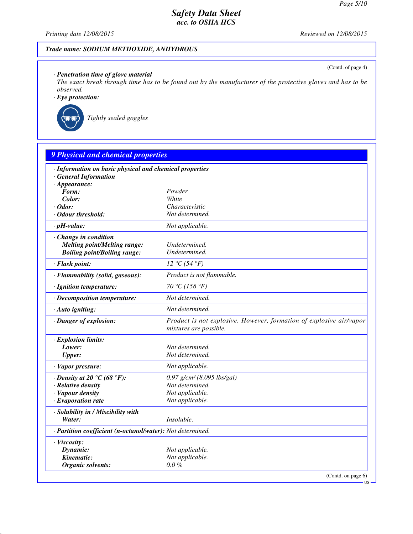(Contd. of page 4)

# *Safety Data Sheet acc. to OSHA HCS*

*Printing date 12/08/2015 Reviewed on 12/08/2015*

# *Trade name: SODIUM METHOXIDE, ANHYDROUS*

### *· Penetration time of glove material*

*The exact break through time has to be found out by the manufacturer of the protective gloves and has to be observed.*

*· Eye protection:*



*Tightly sealed goggles*

| · Information on basic physical and chemical properties    |                                                                                               |
|------------------------------------------------------------|-----------------------------------------------------------------------------------------------|
| <b>General Information</b>                                 |                                                                                               |
| $\cdot$ Appearance:                                        |                                                                                               |
| Form:                                                      | Powder                                                                                        |
| Color:                                                     | White                                                                                         |
| $\cdot$ Odor:                                              | Characteristic                                                                                |
| · Odour threshold:                                         | Not determined.                                                                               |
| $\cdot$ pH-value:                                          | Not applicable.                                                                               |
| Change in condition                                        |                                                                                               |
| <b>Melting point/Melting range:</b>                        | Undetermined.                                                                                 |
| <b>Boiling point/Boiling range:</b>                        | Undetermined.                                                                                 |
| · Flash point:                                             | 12 °C(54 °F)                                                                                  |
| · Flammability (solid, gaseous):                           | Product is not flammable.                                                                     |
| · Ignition temperature:                                    | 70 °C (158 °F)                                                                                |
| · Decomposition temperature:                               | Not determined.                                                                               |
| · Auto igniting:                                           | Not determined.                                                                               |
| · Danger of explosion:                                     | Product is not explosive. However, formation of explosive air/vapor<br>mixtures are possible. |
| · Explosion limits:                                        |                                                                                               |
| Lower:                                                     | Not determined.                                                                               |
| <b>Upper:</b>                                              | Not determined.                                                                               |
| · Vapor pressure:                                          | Not applicable.                                                                               |
| $\cdot$ Density at 20 °C (68 °F):                          | $0.97$ g/cm <sup>3</sup> (8.095 lbs/gal)                                                      |
| · Relative density                                         | Not determined.                                                                               |
| · Vapour density                                           | Not applicable.                                                                               |
| $\cdot$ Evaporation rate                                   | Not applicable.                                                                               |
| · Solubility in / Miscibility with                         |                                                                                               |
| Water:                                                     | Insoluble.                                                                                    |
| · Partition coefficient (n-octanol/water): Not determined. |                                                                                               |
| · Viscosity:                                               |                                                                                               |
| Dynamic:                                                   | Not applicable.                                                                               |
| Kinematic:                                                 | Not applicable.                                                                               |
| Organic solvents:                                          | $0.0 \%$                                                                                      |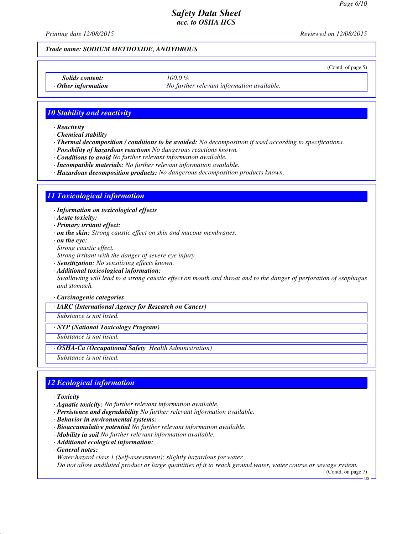*Printing date 12/08/2015 Reviewed on 12/08/2015*

#### *Trade name: SODIUM METHOXIDE, ANHYDROUS*

(Contd. of page 5)

*Solids content: 100.0 %*

*Other information No further relevant information available.* 

### *10 Stability and reactivity*

*· Reactivity*

*· Chemical stability*

*· Thermal decomposition / conditions to be avoided: No decomposition if used according to specifications.*

*· Possibility of hazardous reactions No dangerous reactions known.*

*· Conditions to avoid No further relevant information available.*

*· Incompatible materials: No further relevant information available.*

*· Hazardous decomposition products: No dangerous decomposition products known.*

### *11 Toxicological information*

*· Information on toxicological effects*

*· Acute toxicity:*

*· Primary irritant effect:*

*· on the skin: Strong caustic effect on skin and mucous membranes.*

*· on the eye:*

*Strong caustic effect.*

*Strong irritant with the danger of severe eye injury.*

*· Sensitization: No sensitizing effects known.*

*· Additional toxicological information: Swallowing will lead to a strong caustic effect on mouth and throat and to the danger of perforation of esophagus and stomach.*

*· Carcinogenic categories*

*· IARC (International Agency for Research on Cancer)*

*Substance is not listed.*

#### *· NTP (National Toxicology Program)*

*Substance is not listed.*

*· OSHA-Ca (Occupational Safety Health Administration)*

*Substance is not listed.*

#### *12 Ecological information*

*· Toxicity*

- *· Aquatic toxicity: No further relevant information available.*
- *· Persistence and degradability No further relevant information available.*
- *· Behavior in environmental systems:*
- *· Bioaccumulative potential No further relevant information available.*
- *· Mobility in soil No further relevant information available.*
- *· Additional ecological information:*

*· General notes:*

*Water hazard class 1 (Self-assessment): slightly hazardous for water*

*Do not allow undiluted product or large quantities of it to reach ground water, water course or sewage system.*

(Contd. on page 7)

US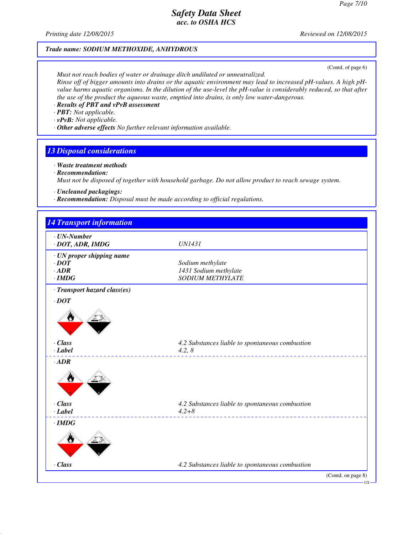*Printing date 12/08/2015 Reviewed on 12/08/2015*

### *Trade name: SODIUM METHOXIDE, ANHYDROUS*

(Contd. of page 6)

*Must not reach bodies of water or drainage ditch undiluted or unneutralized. Rinse off of bigger amounts into drains or the aquatic environment may lead to increased pH-values. A high pHvalue harms aquatic organisms. In the dilution of the use-level the pH-value is considerably reduced, so that after the use of the product the aqueous waste, emptied into drains, is only low water-dangerous.*

- *· Results of PBT and vPvB assessment*
- *· PBT: Not applicable.*
- *· vPvB: Not applicable.*
- *· Other adverse effects No further relevant information available.*

### *13 Disposal considerations*

- *· Waste treatment methods*
- *· Recommendation:*

*Must not be disposed of together with household garbage. Do not allow product to reach sewage system.*

- *· Uncleaned packagings:*
- *· Recommendation: Disposal must be made according to official regulations.*

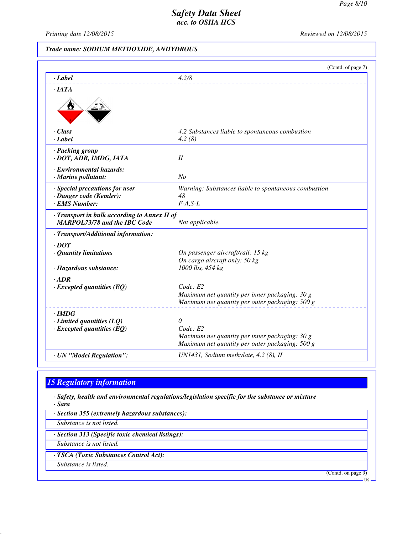US

# *Safety Data Sheet acc. to OSHA HCS*

*Printing date 12/08/2015 Reviewed on 12/08/2015*

# *Trade name: SODIUM METHOXIDE, ANHYDROUS*

|                                                                                     | (Contd. of page 7)                                         |
|-------------------------------------------------------------------------------------|------------------------------------------------------------|
| $\cdot$ <i>Label</i>                                                                | 4.2/8                                                      |
| $\cdot$ <i>IATA</i>                                                                 |                                                            |
|                                                                                     |                                                            |
| · Class                                                                             | 4.2 Substances liable to spontaneous combustion            |
| $-Label$                                                                            | 4.2(8)                                                     |
| · Packing group                                                                     |                                                            |
| · DOT, ADR, IMDG, IATA                                                              | II                                                         |
| · Environmental hazards:                                                            |                                                            |
| · Marine pollutant:                                                                 | No                                                         |
| · Special precautions for user                                                      | Warning: Substances liable to spontaneous combustion<br>48 |
| · Danger code (Kemler):<br>· EMS Number:                                            | $F-A, S-L$                                                 |
| · Transport in bulk according to Annex II of<br><b>MARPOL73/78 and the IBC Code</b> | Not applicable.                                            |
| · Transport/Additional information:                                                 |                                                            |
| $\cdot$ DOT                                                                         |                                                            |
| $\cdot$ Quantity limitations                                                        | On passenger aircraft/rail: 15 kg                          |
| · Hazardous substance:                                                              | On cargo aircraft only: 50 kg<br>1000 lbs, 454 kg          |
|                                                                                     |                                                            |
| $-ADR$<br>$\cdot$ Excepted quantities (EQ)                                          | Code: E2                                                   |
|                                                                                     | Maximum net quantity per inner packaging: 30 g             |
|                                                                                     | Maximum net quantity per outer packaging: 500 g            |
| $\cdot$ IMDG                                                                        |                                                            |
| $\cdot$ Limited quantities (LQ)                                                     | 0                                                          |
| $\cdot$ Excepted quantities (EQ)                                                    | Code: E2<br>Maximum net quantity per inner packaging: 30 g |
|                                                                                     | Maximum net quantity per outer packaging: 500 g            |
| · UN "Model Regulation":                                                            | UN1431, Sodium methylate, 4.2 (8), II                      |

# *15 Regulatory information*

*· Safety, health and environmental regulations/legislation specific for the substance or mixture · Sara*

*· Section 355 (extremely hazardous substances): Substance is not listed. · Section 313 (Specific toxic chemical listings): Substance is not listed. · TSCA (Toxic Substances Control Act): Substance is listed.* (Contd. on page 9)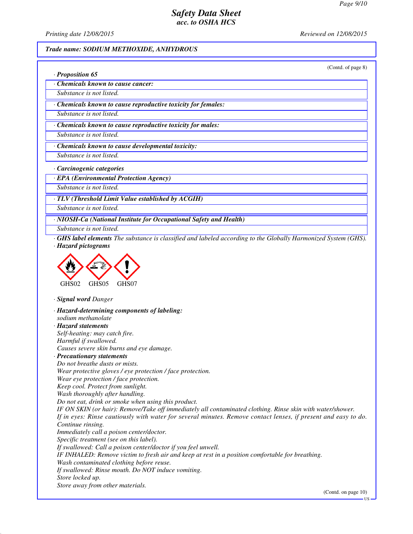*Printing date 12/08/2015 Reviewed on 12/08/2015*

*· Proposition 65*

#### *Trade name: SODIUM METHOXIDE, ANHYDROUS*

(Contd. of page 8)

*· Chemicals known to cause cancer:*

*Substance is not listed.*

*· Chemicals known to cause reproductive toxicity for females:*

*Substance is not listed.*

*· Chemicals known to cause reproductive toxicity for males:*

*Substance is not listed.*

*· Chemicals known to cause developmental toxicity:*

*Substance is not listed.*

*· Carcinogenic categories*

*· EPA (Environmental Protection Agency)*

*Substance is not listed.*

*· TLV (Threshold Limit Value established by ACGIH)*

*Substance is not listed.*

*· NIOSH-Ca (National Institute for Occupational Safety and Health)*

*Substance is not listed.*

*· GHS label elements The substance is classified and labeled according to the Globally Harmonized System (GHS). · Hazard pictograms*



*· Signal word Danger*

*· Hazard-determining components of labeling: sodium methanolate · Hazard statements Self-heating: may catch fire. Harmful if swallowed. Causes severe skin burns and eye damage. · Precautionary statements Do not breathe dusts or mists. Wear protective gloves / eye protection / face protection. Wear eye protection / face protection. Keep cool. Protect from sunlight. Wash thoroughly after handling. Do not eat, drink or smoke when using this product. IF ON SKIN (or hair): Remove/Take off immediately all contaminated clothing. Rinse skin with water/shower. If in eyes: Rinse cautiously with water for several minutes. Remove contact lenses, if present and easy to do. Continue rinsing. Immediately call a poison center/doctor. Specific treatment (see on this label). If swallowed: Call a poison center/doctor if you feel unwell. IF INHALED: Remove victim to fresh air and keep at rest in a position comfortable for breathing. Wash contaminated clothing before reuse. If swallowed: Rinse mouth. Do NOT induce vomiting. Store locked up. Store away from other materials.*

(Contd. on page 10)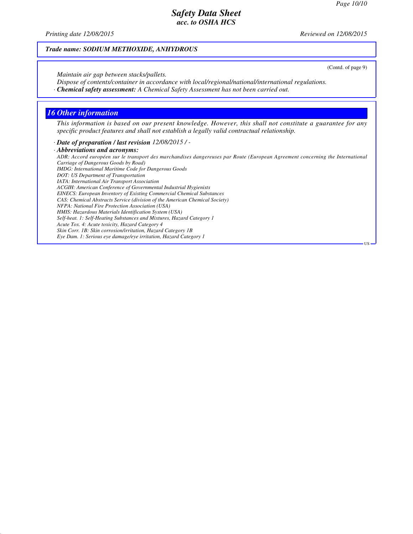(Contd. of page 9)

US

# *Safety Data Sheet acc. to OSHA HCS*

*Printing date 12/08/2015 Reviewed on 12/08/2015*

### *Trade name: SODIUM METHOXIDE, ANHYDROUS*

*Maintain air gap between stacks/pallets.*

*Dispose of contents/container in accordance with local/regional/national/international regulations.*

*· Chemical safety assessment: A Chemical Safety Assessment has not been carried out.*

### *16 Other information*

*This information is based on our present knowledge. However, this shall not constitute a guarantee for any specific product features and shall not establish a legally valid contractual relationship.*

*· Date of preparation / last revision 12/08/2015 / -*

*· Abbreviations and acronyms: ADR: Accord européen sur le transport des marchandises dangereuses par Route (European Agreement concerning the International Carriage of Dangerous Goods by Road) IMDG: International Maritime Code for Dangerous Goods DOT: US Department of Transportation IATA: International Air Transport Association ACGIH: American Conference of Governmental Industrial Hygienists EINECS: European Inventory of Existing Commercial Chemical Substances CAS: Chemical Abstracts Service (division of the American Chemical Society) NFPA: National Fire Protection Association (USA) HMIS: Hazardous Materials Identification System (USA) Self-heat. 1: Self-Heating Substances and Mixtures, Hazard Category 1 Acute Tox. 4: Acute toxicity, Hazard Category 4 Skin Corr. 1B: Skin corrosion/irritation, Hazard Category 1B Eye Dam. 1: Serious eye damage/eye irritation, Hazard Category 1*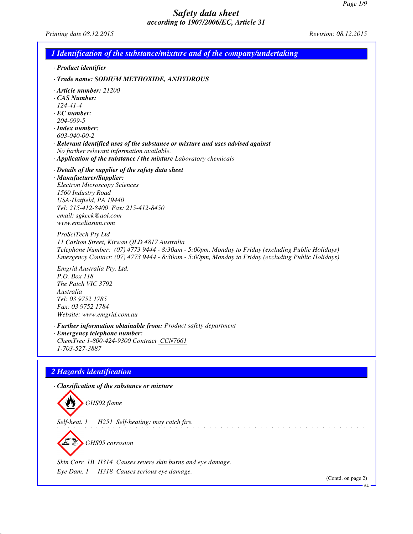*Printing date 08.12.2015 Revision: 08.12.2015*

| 1 Identification of the substance/mixture and of the company/undertaking                                                                                                                                                                                                                                                                         |
|--------------------------------------------------------------------------------------------------------------------------------------------------------------------------------------------------------------------------------------------------------------------------------------------------------------------------------------------------|
| · Product identifier                                                                                                                                                                                                                                                                                                                             |
| · Trade name: SODIUM METHOXIDE, ANHYDROUS                                                                                                                                                                                                                                                                                                        |
| $\cdot$ Article number: 21200<br>CAS Number:<br>$124 - 41 - 4$<br>$\cdot$ EC number:<br>204-699-5<br>$\cdot$ Index number:<br>603-040-00-2<br>· Relevant identified uses of the substance or mixture and uses advised against<br>No further relevant information available.<br>· Application of the substance / the mixture Laboratory chemicals |
| $\cdot$ Details of the supplier of the safety data sheet<br>· Manufacturer/Supplier:<br><b>Electron Microscopy Sciences</b><br>1560 Industry Road<br>USA-Hatfield, PA 19440<br>Tel: 215-412-8400 Fax: 215-412-8450<br>email: sgkcck@aol.com<br>www.emsdiasum.com                                                                                 |
| ProSciTech Pty Ltd<br>11 Carlton Street, Kirwan QLD 4817 Australia<br>Telephone Number: (07) 4773 9444 - 8:30am - 5:00pm, Monday to Friday (excluding Public Holidays)<br>Emergency Contact: (07) 4773 9444 - 8:30am - 5:00pm, Monday to Friday (excluding Public Holidays)                                                                      |
| Emgrid Australia Pty. Ltd.<br>P.O. Box 118<br>The Patch VIC 3792<br>Australia<br>Tel: 03 9752 1785<br>Fax: 03 9752 1784<br>Website: www.emgrid.com.au                                                                                                                                                                                            |
| · Further information obtainable from: Product safety department<br>· Emergency telephone number:<br>ChemTrec 1-800-424-9300 Contract CCN7661<br>1-703-527-3887                                                                                                                                                                                  |
| 2 Hazards identification                                                                                                                                                                                                                                                                                                                         |
| · Classification of the substance or mixture<br>GHS02 flame                                                                                                                                                                                                                                                                                      |
| H251 Self-heating: may catch fire.<br>Self-heat. 1                                                                                                                                                                                                                                                                                               |
| GHS05 corrosion                                                                                                                                                                                                                                                                                                                                  |
| Skin Corr. 1B H314 Causes severe skin burns and eye damage.<br>H318 Causes serious eye damage.<br>Eye Dam. 1<br>(Contd. on page 2)                                                                                                                                                                                                               |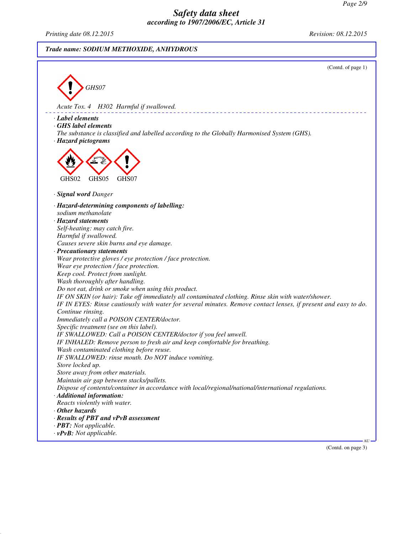*Printing date 08.12.2015 Revision: 08.12.2015*

# *Trade name: SODIUM METHOXIDE, ANHYDROUS*

(Contd. of page 1) *GHS07 Acute Tox. 4 H302 Harmful if swallowed. · Label elements · GHS label elements The substance is classified and labelled according to the Globally Harmonised System (GHS). · Hazard pictograms* GHS02 GHS05 GHS07 *· Signal word Danger · Hazard-determining components of labelling: sodium methanolate · Hazard statements Self-heating: may catch fire. Harmful if swallowed. Causes severe skin burns and eye damage. · Precautionary statements Wear protective gloves / eye protection / face protection. Wear eye protection / face protection. Keep cool. Protect from sunlight. Wash thoroughly after handling. Do not eat, drink or smoke when using this product. IF ON SKIN (or hair): Take off immediately all contaminated clothing. Rinse skin with water/shower. IF IN EYES: Rinse cautiously with water for several minutes. Remove contact lenses, if present and easy to do. Continue rinsing. Immediately call a POISON CENTER/doctor. Specific treatment (see on this label). IF SWALLOWED: Call a POISON CENTER/doctor if you feel unwell. IF INHALED: Remove person to fresh air and keep comfortable for breathing. Wash contaminated clothing before reuse. IF SWALLOWED: rinse mouth. Do NOT induce vomiting. Store locked up. Store away from other materials. Maintain air gap between stacks/pallets. Dispose of contents/container in accordance with local/regional/national/international regulations. · Additional information: Reacts violently with water. · Other hazards · Results of PBT and vPvB assessment · PBT: Not applicable. · vPvB: Not applicable.* AU

(Contd. on page 3)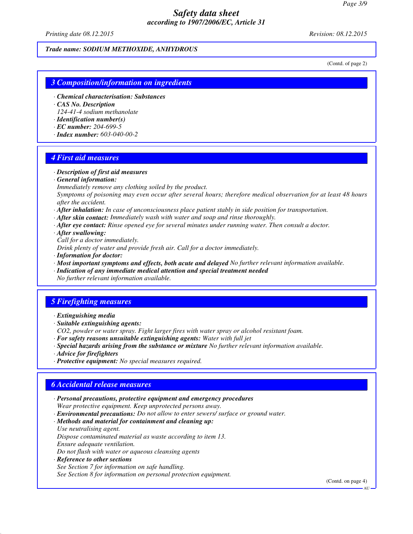*Printing date 08.12.2015 Revision: 08.12.2015*

#### *Trade name: SODIUM METHOXIDE, ANHYDROUS*

(Contd. of page 2)

#### *3 Composition/information on ingredients*

- *· Chemical characterisation: Substances*
- *· CAS No. Description*

*124-41-4 sodium methanolate*

- *· Identification number(s)*
- *· EC number: 204-699-5*
- *· Index number: 603-040-00-2*

#### *4 First aid measures*

- *· Description of first aid measures*
- *· General information:*
- *Immediately remove any clothing soiled by the product.*

*Symptoms of poisoning may even occur after several hours; therefore medical observation for at least 48 hours after the accident.*

- *· After inhalation: In case of unconsciousness place patient stably in side position for transportation.*
- *· After skin contact: Immediately wash with water and soap and rinse thoroughly.*
- *· After eye contact: Rinse opened eye for several minutes under running water. Then consult a doctor.*
- *· After swallowing:*

*Call for a doctor immediately.*

*Drink plenty of water and provide fresh air. Call for a doctor immediately.*

- *· Information for doctor:*
- *· Most important symptoms and effects, both acute and delayed No further relevant information available.*
- *· Indication of any immediate medical attention and special treatment needed No further relevant information available.*

### *5 Firefighting measures*

- *· Extinguishing media*
- *· Suitable extinguishing agents:*
- *CO2, powder or water spray. Fight larger fires with water spray or alcohol resistant foam.*
- *· For safety reasons unsuitable extinguishing agents: Water with full jet*
- *· Special hazards arising from the substance or mixture No further relevant information available.*
- *· Advice for firefighters*
- *· Protective equipment: No special measures required.*

### *6 Accidental release measures*

- *· Personal precautions, protective equipment and emergency procedures Wear protective equipment. Keep unprotected persons away.*
- *· Environmental precautions: Do not allow to enter sewers/ surface or ground water.*

#### *· Methods and material for containment and cleaning up: Use neutralising agent.*

*Dispose contaminated material as waste according to item 13. Ensure adequate ventilation.*

*Do not flush with water or aqueous cleansing agents*

*· Reference to other sections See Section 7 for information on safe handling. See Section 8 for information on personal protection equipment.*

(Contd. on page 4)

AU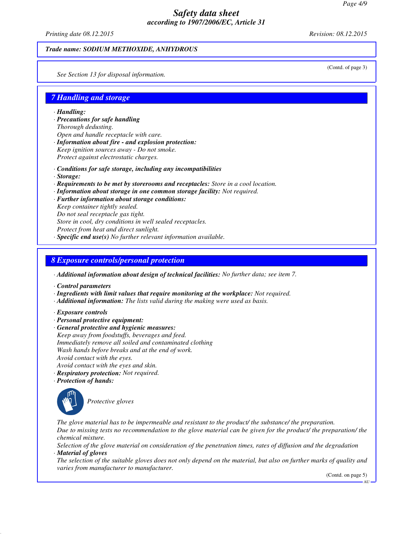*Printing date 08.12.2015 Revision: 08.12.2015*

#### *Trade name: SODIUM METHOXIDE, ANHYDROUS*

(Contd. of page 3)

*See Section 13 for disposal information.*

### *7 Handling and storage*

*· Handling:*

- *· Precautions for safe handling Thorough dedusting. Open and handle receptacle with care.*
- *· Information about fire and explosion protection: Keep ignition sources away - Do not smoke. Protect against electrostatic charges.*
- *· Conditions for safe storage, including any incompatibilities*
- *· Storage:*
- *· Requirements to be met by storerooms and receptacles: Store in a cool location.*
- *· Information about storage in one common storage facility: Not required.*
- *· Further information about storage conditions:*
- *Keep container tightly sealed.*
- *Do not seal receptacle gas tight.*
- *Store in cool, dry conditions in well sealed receptacles.*
- *Protect from heat and direct sunlight.*
- *· Specific end use(s) No further relevant information available.*

#### *8 Exposure controls/personal protection*

*· Additional information about design of technical facilities: No further data; see item 7.*

- *· Control parameters*
- *· Ingredients with limit values that require monitoring at the workplace: Not required.*
- *· Additional information: The lists valid during the making were used as basis.*
- *· Exposure controls*
- *· Personal protective equipment:*
- *· General protective and hygienic measures: Keep away from foodstuffs, beverages and feed. Immediately remove all soiled and contaminated clothing Wash hands before breaks and at the end of work. Avoid contact with the eyes. Avoid contact with the eyes and skin.*
- *· Respiratory protection: Not required.*
- *· Protection of hands:*



*Protective gloves*

*The glove material has to be impermeable and resistant to the product/ the substance/ the preparation. Due to missing tests no recommendation to the glove material can be given for the product/ the preparation/ the chemical mixture.*

*Selection of the glove material on consideration of the penetration times, rates of diffusion and the degradation · Material of gloves*

*The selection of the suitable gloves does not only depend on the material, but also on further marks of quality and varies from manufacturer to manufacturer.*

(Contd. on page 5)

AU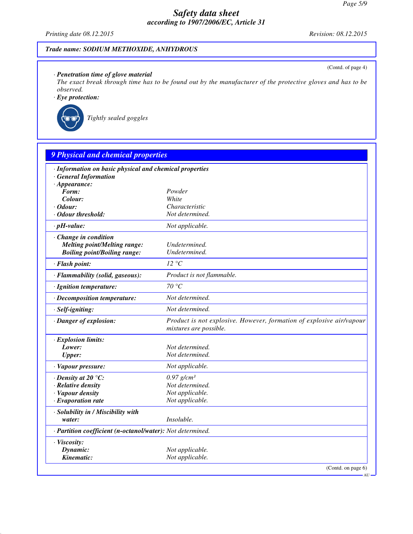*Printing date 08.12.2015 Revision: 08.12.2015*

(Contd. of page 4)

AU

### *Trade name: SODIUM METHOXIDE, ANHYDROUS*

### *· Penetration time of glove material*

*The exact break through time has to be found out by the manufacturer of the protective gloves and has to be observed.*

# *· Eye protection:*



*Tightly sealed goggles*

| · Information on basic physical and chemical properties    |                                                                                                |
|------------------------------------------------------------|------------------------------------------------------------------------------------------------|
| <b>General Information</b>                                 |                                                                                                |
| $\cdot$ Appearance:                                        |                                                                                                |
| Form:                                                      | Powder                                                                                         |
| Colour:                                                    | White                                                                                          |
| · Odour:                                                   | Characteristic                                                                                 |
| · Odour threshold:                                         | Not determined.                                                                                |
| $\cdot$ pH-value:                                          | Not applicable.                                                                                |
| · Change in condition                                      |                                                                                                |
| <b>Melting point/Melting range:</b>                        | Undetermined.                                                                                  |
| <b>Boiling point/Boiling range:</b>                        | Undetermined.                                                                                  |
| · Flash point:                                             | 12 °C                                                                                          |
| · Flammability (solid, gaseous):                           | Product is not flammable.                                                                      |
| · Ignition temperature:                                    | 70 °C                                                                                          |
| · Decomposition temperature:                               | Not determined.                                                                                |
| · Self-igniting:                                           | Not determined.                                                                                |
| · Danger of explosion:                                     | Product is not explosive. However, formation of explosive air/vapour<br>mixtures are possible. |
| · Explosion limits:                                        |                                                                                                |
| Lower:                                                     | Not determined.                                                                                |
| <b>Upper:</b>                                              | Not determined.                                                                                |
| · Vapour pressure:                                         | Not applicable.                                                                                |
| $\cdot$ Density at 20 $\degree$ C:                         | $0.97$ g/cm <sup>3</sup>                                                                       |
| · Relative density                                         | Not determined.                                                                                |
| · Vapour density                                           | Not applicable.                                                                                |
| $\cdot$ Evaporation rate                                   | Not applicable.                                                                                |
| · Solubility in / Miscibility with                         |                                                                                                |
| water:                                                     | Insoluble.                                                                                     |
| · Partition coefficient (n-octanol/water): Not determined. |                                                                                                |
| · Viscosity:                                               |                                                                                                |
| Dynamic:                                                   | Not applicable.                                                                                |
| Kinematic:                                                 | Not applicable.                                                                                |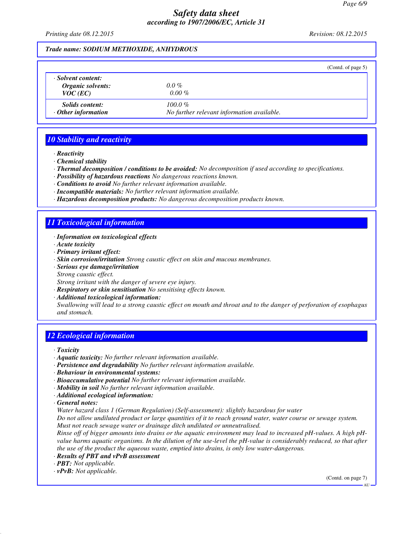*Printing date 08.12.2015 Revision: 08.12.2015*

#### *Trade name: SODIUM METHOXIDE, ANHYDROUS*

|                                                       | (Contd. of page $5$ )                                   |
|-------------------------------------------------------|---------------------------------------------------------|
| · Solvent content:<br>Organic solvents:<br>$VOC$ (EC) | $0.0\%$<br>$0.00 \%$                                    |
| <i>Solids content:</i><br>$\cdot$ Other information   | $100.0\%$<br>No further relevant information available. |

# *10 Stability and reactivity*

- *· Reactivity*
- *· Chemical stability*
- *· Thermal decomposition / conditions to be avoided: No decomposition if used according to specifications.*
- *· Possibility of hazardous reactions No dangerous reactions known.*
- *· Conditions to avoid No further relevant information available.*
- *· Incompatible materials: No further relevant information available.*
- *· Hazardous decomposition products: No dangerous decomposition products known.*

# *11 Toxicological information*

- *· Information on toxicological effects*
- *· Acute toxicity*
- *· Primary irritant effect:*
- *· Skin corrosion/irritation Strong caustic effect on skin and mucous membranes.*
- *· Serious eye damage/irritation*
- *Strong caustic effect.*

*Strong irritant with the danger of severe eye injury.*

- *· Respiratory or skin sensitisation No sensitising effects known.*
- *· Additional toxicological information:*

*Swallowing will lead to a strong caustic effect on mouth and throat and to the danger of perforation of esophagus and stomach.*

# *12 Ecological information*

- *· Toxicity*
- *· Aquatic toxicity: No further relevant information available.*
- *· Persistence and degradability No further relevant information available.*
- *· Behaviour in environmental systems:*
- *· Bioaccumulative potential No further relevant information available.*
- *· Mobility in soil No further relevant information available.*
- *· Additional ecological information:*
- *· General notes:*

*Water hazard class 1 (German Regulation) (Self-assessment): slightly hazardous for water*

*Do not allow undiluted product or large quantities of it to reach ground water, water course or sewage system. Must not reach sewage water or drainage ditch undiluted or unneutralised.*

*Rinse off of bigger amounts into drains or the aquatic environment may lead to increased pH-values. A high pHvalue harms aquatic organisms. In the dilution of the use-level the pH-value is considerably reduced, so that after the use of the product the aqueous waste, emptied into drains, is only low water-dangerous.*

- *· Results of PBT and vPvB assessment*
- *· PBT: Not applicable.*

*· vPvB: Not applicable.*

(Contd. on page 7)

AU<sub>1</sub>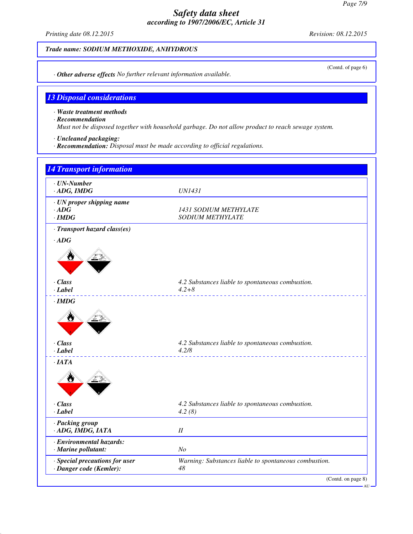*Printing date 08.12.2015 Revision: 08.12.2015*

*Trade name: SODIUM METHOXIDE, ANHYDROUS*

*· Other adverse effects No further relevant information available.*

### *13 Disposal considerations*

*· Waste treatment methods*

*· Recommendation*

*Must not be disposed together with household garbage. Do not allow product to reach sewage system.*

- *· Uncleaned packaging:*
- *· Recommendation: Disposal must be made according to official regulations.*



(Contd. of page 6)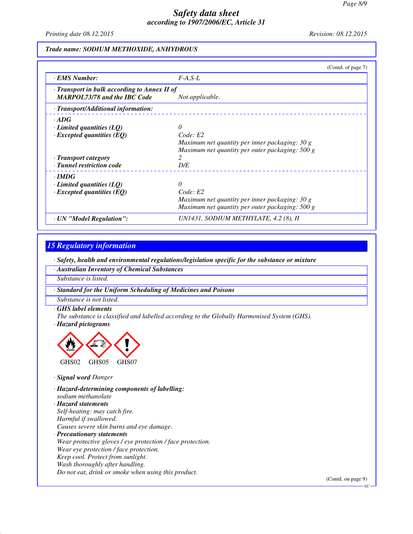*Printing date 08.12.2015 Revision: 08.12.2015*

#### *Trade name: SODIUM METHOXIDE, ANHYDROUS*

|                                                                                     | (Contd. of page 7)                              |
|-------------------------------------------------------------------------------------|-------------------------------------------------|
| <b>EMS</b> Number:                                                                  | $F-A.S-L$                                       |
| · Transport in bulk according to Annex II of<br><b>MARPOL73/78 and the IBC Code</b> | Not applicable.                                 |
| · Transport/Additional information:                                                 |                                                 |
| $\cdot$ ADG                                                                         |                                                 |
| $\cdot$ Limited quantities (LQ)                                                     |                                                 |
| $\cdot$ Excepted quantities (EQ)                                                    | Code: E2                                        |
|                                                                                     | Maximum net quantity per inner packaging: 30 g  |
|                                                                                     | Maximum net quantity per outer packaging: 500 g |
| · Transport category                                                                |                                                 |
| · Tunnel restriction code                                                           | D/E                                             |
| $\cdot$ IMDG                                                                        |                                                 |
| $\cdot$ Limited quantities (LQ)                                                     |                                                 |
| $\cdot$ Excepted quantities (EQ)                                                    | Code: E2                                        |
|                                                                                     | Maximum net quantity per inner packaging: 30 g  |
|                                                                                     | Maximum net quantity per outer packaging: 500 g |
| · UN "Model Regulation":                                                            | UN1431, SODIUM METHYLATE, 4.2 (8), II           |

### *15 Regulatory information*

*· Safety, health and environmental regulations/legislation specific for the substance or mixture*

*· Australian Inventory of Chemical Substances*

*Substance is listed.*

*· Standard for the Uniform Scheduling of Medicines and Poisons*

*Substance is not listed.*

*· GHS label elements*

*The substance is classified and labelled according to the Globally Harmonised System (GHS).*

*· Hazard pictograms*



*· Signal word Danger*

*· Hazard-determining components of labelling: sodium methanolate*

*· Hazard statements Self-heating: may catch fire. Harmful if swallowed. Causes severe skin burns and eye damage. · Precautionary statements Wear protective gloves / eye protection / face protection. Wear eye protection / face protection. Keep cool. Protect from sunlight. Wash thoroughly after handling. Do not eat, drink or smoke when using this product.*

(Contd. on page 9)

AU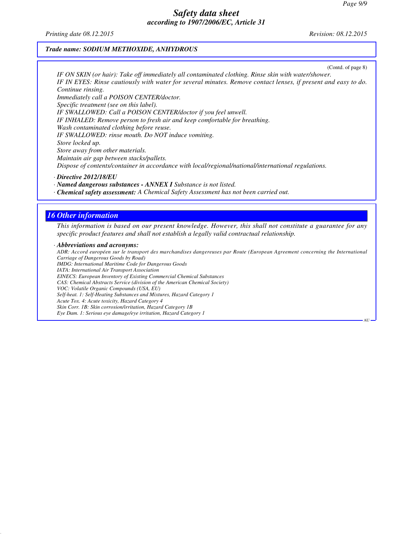*Printing date 08.12.2015 Revision: 08.12.2015*

#### *Trade name: SODIUM METHOXIDE, ANHYDROUS*

(Contd. of page 8)

AU

*IF ON SKIN (or hair): Take off immediately all contaminated clothing. Rinse skin with water/shower. IF IN EYES: Rinse cautiously with water for several minutes. Remove contact lenses, if present and easy to do. Continue rinsing. Immediately call a POISON CENTER/doctor. Specific treatment (see on this label). IF SWALLOWED: Call a POISON CENTER/doctor if you feel unwell. IF INHALED: Remove person to fresh air and keep comfortable for breathing. Wash contaminated clothing before reuse. IF SWALLOWED: rinse mouth. Do NOT induce vomiting. Store locked up. Store away from other materials. Maintain air gap between stacks/pallets. Dispose of contents/container in accordance with local/regional/national/international regulations.*

*· Directive 2012/18/EU*

*· Named dangerous substances - ANNEX I Substance is not listed.*

*· Chemical safety assessment: A Chemical Safety Assessment has not been carried out.*

#### *16 Other information*

*This information is based on our present knowledge. However, this shall not constitute a guarantee for any specific product features and shall not establish a legally valid contractual relationship.*

*· Abbreviations and acronyms: ADR: Accord européen sur le transport des marchandises dangereuses par Route (European Agreement concerning the International Carriage of Dangerous Goods by Road) IMDG: International Maritime Code for Dangerous Goods IATA: International Air Transport Association EINECS: European Inventory of Existing Commercial Chemical Substances CAS: Chemical Abstracts Service (division of the American Chemical Society) VOC: Volatile Organic Compounds (USA, EU) Self-heat. 1: Self-Heating Substances and Mixtures, Hazard Category 1 Acute Tox. 4: Acute toxicity, Hazard Category 4 Skin Corr. 1B: Skin corrosion/irritation, Hazard Category 1B Eye Dam. 1: Serious eye damage/eye irritation, Hazard Category 1*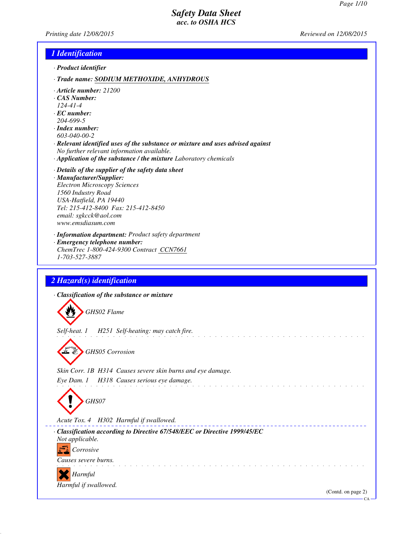*Printing date 12/08/2015 Reviewed on 12/08/2015*

### *1 Identification*

- *· Product identifier*
- *· Trade name: SODIUM METHOXIDE, ANHYDROUS*
- *· Article number: 21200*
- *· CAS Number:*
- *124-41-4*
- *· EC number: 204-699-5*
- *· Index number:*
- *603-040-00-2*
- *· Relevant identified uses of the substance or mixture and uses advised against No further relevant information available.*
- *· Application of the substance / the mixture Laboratory chemicals*
- *· Details of the supplier of the safety data sheet · Manufacturer/Supplier: Electron Microscopy Sciences 1560 Industry Road USA-Hatfield, PA 19440 Tel: 215-412-8400 Fax: 215-412-8450 email: sgkcck@aol.com www.emsdiasum.com*
- *· Information department: Product safety department · Emergency telephone number:*
- *ChemTrec 1-800-424-9300 Contract CCN7661 1-703-527-3887*

# *2 Hazard(s) identification*

*· Classification of the substance or mixture*

*GHS02 Flame*

*Self-heat. 1 H251 Self-heating: may catch fire.*

*GHS05 Corrosion*

*Skin Corr. 1B H314 Causes severe skin burns and eye damage. Eye Dam. 1 H318 Causes serious eye damage.*

*GHS07*

*Acute Tox. 4 H302 Harmful if swallowed.*



a sa salawansa

and a straight and a straight

(Contd. on page 2)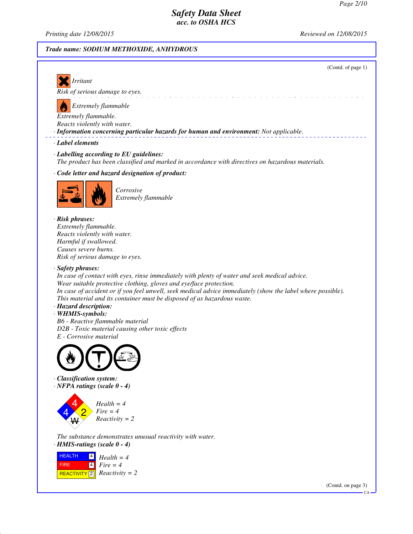*Printing date 12/08/2015 Reviewed on 12/08/2015*

#### *Trade name: SODIUM METHOXIDE, ANHYDROUS*



CA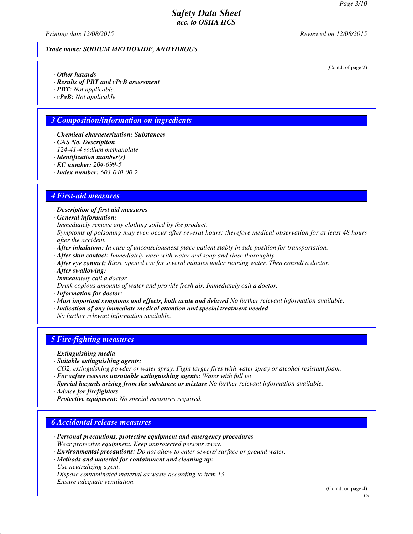*Printing date 12/08/2015 Reviewed on 12/08/2015*

#### *Trade name: SODIUM METHOXIDE, ANHYDROUS*

(Contd. of page 2)

- *· Other hazards*
- *· Results of PBT and vPvB assessment*
- *· PBT: Not applicable.*
- *· vPvB: Not applicable.*

# *3 Composition/information on ingredients*

- *· Chemical characterization: Substances*
- *· CAS No. Description*
- *124-41-4 sodium methanolate*
- *· Identification number(s)*
- *· EC number: 204-699-5*
- *· Index number: 603-040-00-2*

### *4 First-aid measures*

*· Description of first aid measures*

*· General information:*

*Immediately remove any clothing soiled by the product.*

*Symptoms of poisoning may even occur after several hours; therefore medical observation for at least 48 hours after the accident.*

- *· After inhalation: In case of unconsciousness place patient stably in side position for transportation.*
- *· After skin contact: Immediately wash with water and soap and rinse thoroughly.*
- *· After eye contact: Rinse opened eye for several minutes under running water. Then consult a doctor.*
- *· After swallowing:*
- *Immediately call a doctor.*
- *Drink copious amounts of water and provide fresh air. Immediately call a doctor.*
- *· Information for doctor:*
- *· Most important symptoms and effects, both acute and delayed No further relevant information available.*
- *· Indication of any immediate medical attention and special treatment needed*
- *No further relevant information available.*

### *5 Fire-fighting measures*

- *· Extinguishing media*
- *· Suitable extinguishing agents:*
- *CO2, extinguishing powder or water spray. Fight larger fires with water spray or alcohol resistant foam. · For safety reasons unsuitable extinguishing agents: Water with full jet*
- *· Special hazards arising from the substance or mixture No further relevant information available.*
- *· Advice for firefighters*
- *· Protective equipment: No special measures required.*

### *6 Accidental release measures*

- *· Personal precautions, protective equipment and emergency procedures Wear protective equipment. Keep unprotected persons away.*
- *· Environmental precautions: Do not allow to enter sewers/ surface or ground water.*
- *· Methods and material for containment and cleaning up: Use neutralizing agent.*

*Dispose contaminated material as waste according to item 13.*

*Ensure adequate ventilation.*

(Contd. on page 4)

CA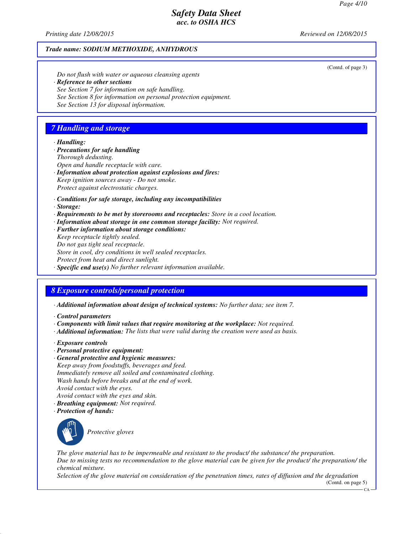(Contd. of page 3)

# *Safety Data Sheet acc. to OSHA HCS*

*Printing date 12/08/2015 Reviewed on 12/08/2015*

#### *Trade name: SODIUM METHOXIDE, ANHYDROUS*

*Do not flush with water or aqueous cleansing agents · Reference to other sections See Section 7 for information on safe handling. See Section 8 for information on personal protection equipment.*

*See Section 13 for disposal information.*

# *7 Handling and storage*

#### *· Handling:*

- *· Precautions for safe handling*
- *Thorough dedusting.*
- *Open and handle receptacle with care.*
- *· Information about protection against explosions and fires: Keep ignition sources away - Do not smoke. Protect against electrostatic charges.*
- *· Conditions for safe storage, including any incompatibilities*
- *· Storage:*
- *· Requirements to be met by storerooms and receptacles: Store in a cool location.*
- *· Information about storage in one common storage facility: Not required.*
- *· Further information about storage conditions:*
- *Keep receptacle tightly sealed.*
- *Do not gas tight seal receptacle.*
- *Store in cool, dry conditions in well sealed receptacles.*
- *Protect from heat and direct sunlight.*
- *· Specific end use(s) No further relevant information available.*

# *8 Exposure controls/personal protection*

- *· Additional information about design of technical systems: No further data; see item 7.*
- *· Control parameters*
- *· Components with limit values that require monitoring at the workplace: Not required.*
- *· Additional information: The lists that were valid during the creation were used as basis.*
- *· Exposure controls*
- *· Personal protective equipment:*
- *· General protective and hygienic measures: Keep away from foodstuffs, beverages and feed. Immediately remove all soiled and contaminated clothing. Wash hands before breaks and at the end of work. Avoid contact with the eyes.*
- *Avoid contact with the eyes and skin.*
- *· Breathing equipment: Not required.*
- *· Protection of hands:*



*Protective gloves*

*The glove material has to be impermeable and resistant to the product/ the substance/ the preparation. Due to missing tests no recommendation to the glove material can be given for the product/ the preparation/ the chemical mixture.*

*Selection of the glove material on consideration of the penetration times, rates of diffusion and the degradation*

(Contd. on page 5)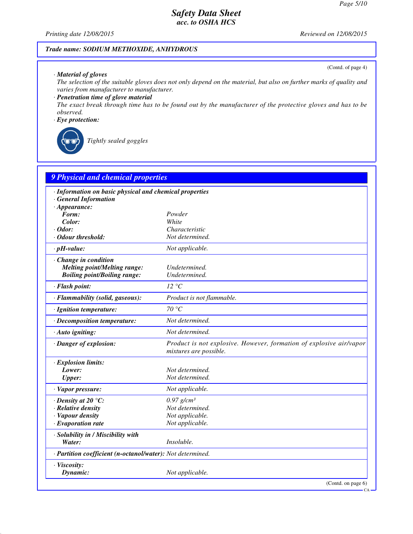(Contd. of page 4)

# *Safety Data Sheet acc. to OSHA HCS*

*Printing date 12/08/2015 Reviewed on 12/08/2015*

# *Trade name: SODIUM METHOXIDE, ANHYDROUS*

#### *· Material of gloves*

*The selection of the suitable gloves does not only depend on the material, but also on further marks of quality and varies from manufacturer to manufacturer.*

### *· Penetration time of glove material*

*The exact break through time has to be found out by the manufacturer of the protective gloves and has to be observed.*

### *· Eye protection:*



*Tightly sealed goggles*

| 9 Physical and chemical properties                                               |                                                                                               |
|----------------------------------------------------------------------------------|-----------------------------------------------------------------------------------------------|
| · Information on basic physical and chemical properties<br>· General Information |                                                                                               |
| $\cdot$ Appearance:                                                              |                                                                                               |
| Form:                                                                            | Powder                                                                                        |
| Color:                                                                           | White                                                                                         |
| $\cdot$ Odor:                                                                    | Characteristic                                                                                |
| · Odour threshold:                                                               | Not determined.                                                                               |
| $\cdot$ pH-value:                                                                | Not applicable.                                                                               |
| $\cdot$ Change in condition                                                      |                                                                                               |
| <b>Melting point/Melting range:</b>                                              | Undetermined.                                                                                 |
| <b>Boiling point/Boiling range:</b>                                              | Undetermined.                                                                                 |
| · Flash point:                                                                   | 12 °C                                                                                         |
| · Flammability (solid, gaseous):                                                 | Product is not flammable.                                                                     |
| · Ignition temperature:                                                          | 70 °C                                                                                         |
| · Decomposition temperature:                                                     | Not determined.                                                                               |
| · Auto igniting:                                                                 | Not determined.                                                                               |
| · Danger of explosion:                                                           | Product is not explosive. However, formation of explosive air/vapor<br>mixtures are possible. |
| · Explosion limits:                                                              |                                                                                               |
| Lower:                                                                           | Not determined.                                                                               |
| <b>Upper:</b>                                                                    | Not determined.                                                                               |
| · Vapor pressure:                                                                | Not applicable.                                                                               |
| $\cdot$ Density at 20 $\degree$ C:                                               | $0.97$ g/cm <sup>3</sup>                                                                      |
| · Relative density                                                               | Not determined.                                                                               |
| · Vapour density                                                                 | Not applicable.                                                                               |
| $\cdot$ Evaporation rate                                                         | Not applicable.                                                                               |
| · Solubility in / Miscibility with                                               |                                                                                               |
| Water:                                                                           | Insoluble.                                                                                    |
| · Partition coefficient (n-octanol/water): Not determined.                       |                                                                                               |
| · Viscosity:                                                                     |                                                                                               |
| Dynamic:                                                                         | Not applicable.                                                                               |
|                                                                                  | (Contd. on page $6$ )                                                                         |

CA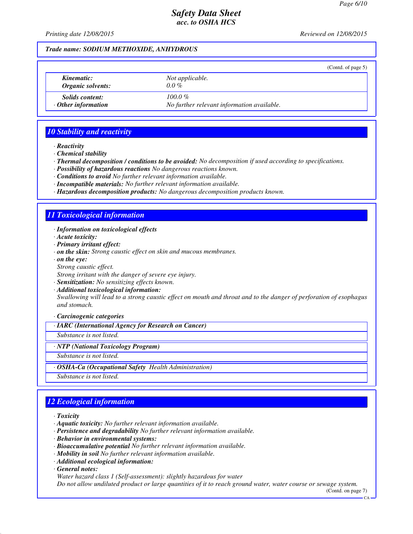*Printing date 12/08/2015 Reviewed on 12/08/2015*

#### *Trade name: SODIUM METHOXIDE, ANHYDROUS*

|                           | (Contd. of page $5$ )                      |
|---------------------------|--------------------------------------------|
| Kinematic:                | Not applicable.                            |
| Organic solvents:         | $0.0\%$                                    |
| <i>Solids content:</i>    | $100.0 \%$                                 |
| $\cdot$ Other information | No further relevant information available. |

### *10 Stability and reactivity*

*· Reactivity*

- *· Chemical stability*
- *· Thermal decomposition / conditions to be avoided: No decomposition if used according to specifications.*
- *· Possibility of hazardous reactions No dangerous reactions known.*
- *· Conditions to avoid No further relevant information available.*
- *· Incompatible materials: No further relevant information available.*
- *· Hazardous decomposition products: No dangerous decomposition products known.*

### *11 Toxicological information*

- *· Information on toxicological effects*
- *· Acute toxicity:*
- *· Primary irritant effect:*
- *· on the skin: Strong caustic effect on skin and mucous membranes.*
- *· on the eye:*
- *Strong caustic effect.*

*Strong irritant with the danger of severe eye injury.*

- *· Sensitization: No sensitizing effects known.*
- *· Additional toxicological information: Swallowing will lead to a strong caustic effect on mouth and throat and to the danger of perforation of esophagus and stomach.*

*· Carcinogenic categories*

*· IARC (International Agency for Research on Cancer)*

*Substance is not listed.*

*· NTP (National Toxicology Program)*

*Substance is not listed.*

*· OSHA-Ca (Occupational Safety Health Administration)*

*Substance is not listed.*

# *12 Ecological information*

*· Toxicity*

- *· Aquatic toxicity: No further relevant information available.*
- *· Persistence and degradability No further relevant information available.*
- *· Behavior in environmental systems:*
- *· Bioaccumulative potential No further relevant information available.*
- *· Mobility in soil No further relevant information available.*
- *· Additional ecological information:*

*· General notes:*

*Water hazard class 1 (Self-assessment): slightly hazardous for water*

*Do not allow undiluted product or large quantities of it to reach ground water, water course or sewage system.*

(Contd. on page 7)

 $\overline{C}$ A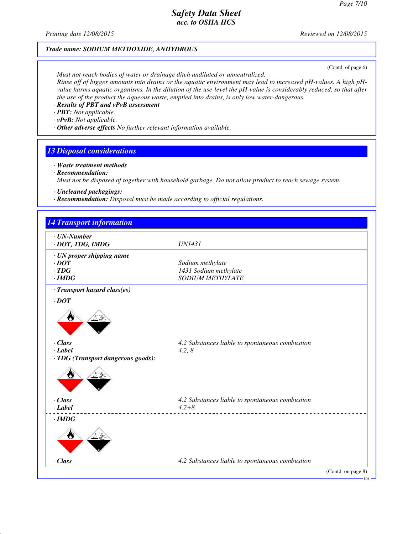*Printing date 12/08/2015 Reviewed on 12/08/2015*

### *Trade name: SODIUM METHOXIDE, ANHYDROUS*

(Contd. of page 6)

*Must not reach bodies of water or drainage ditch undiluted or unneutralized. Rinse off of bigger amounts into drains or the aquatic environment may lead to increased pH-values. A high pHvalue harms aquatic organisms. In the dilution of the use-level the pH-value is considerably reduced, so that after the use of the product the aqueous waste, emptied into drains, is only low water-dangerous.*

- *· Results of PBT and vPvB assessment*
- *· PBT: Not applicable.*
- *· vPvB: Not applicable.*
- *· Other adverse effects No further relevant information available.*

### *13 Disposal considerations*

- *· Waste treatment methods*
- *· Recommendation:*

*Must not be disposed of together with household garbage. Do not allow product to reach sewage system.*

- *· Uncleaned packagings:*
- *· Recommendation: Disposal must be made according to official regulations.*

| $\cdot$ UN-Number<br>· DOT, TDG, IMDG | <b>UN1431</b>                                   |  |
|---------------------------------------|-------------------------------------------------|--|
| $\cdot$ UN proper shipping name       |                                                 |  |
| $\cdot$ <i>DOT</i>                    | Sodium methylate                                |  |
| $\cdot$ TDG                           | 1431 Sodium methylate                           |  |
| $\cdot$ IMDG                          | <b>SODIUM METHYLATE</b>                         |  |
| · Transport hazard class(es)          |                                                 |  |
| $\cdot$ DOT                           |                                                 |  |
|                                       |                                                 |  |
| $\cdot$ Class                         | 4.2 Substances liable to spontaneous combustion |  |
| $-Label$                              | 4.2, 8                                          |  |
| · TDG (Transport dangerous goods):    |                                                 |  |
| v                                     |                                                 |  |
| · Class                               | 4.2 Substances liable to spontaneous combustion |  |
| $\cdot$ Label                         | $4.2 + 8$                                       |  |
| $\cdot$ IMDG                          |                                                 |  |
| W                                     |                                                 |  |
| · Class                               | 4.2 Substances liable to spontaneous combustion |  |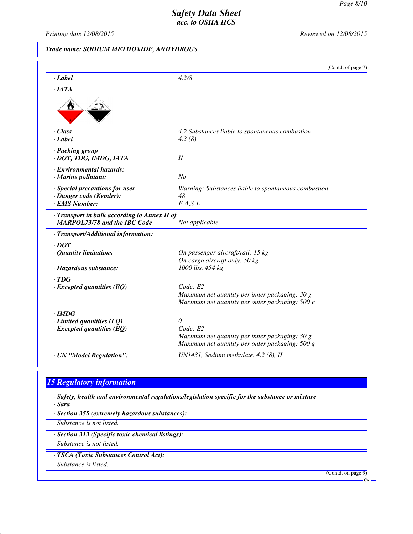$\alpha_A$ 

# *Safety Data Sheet acc. to OSHA HCS*

*Printing date 12/08/2015 Reviewed on 12/08/2015*

# *Trade name: SODIUM METHOXIDE, ANHYDROUS*

|                                                                                     | (Contd. of page 7)                                                                                |
|-------------------------------------------------------------------------------------|---------------------------------------------------------------------------------------------------|
| $\cdot$ <i>Label</i>                                                                | 4.2/8                                                                                             |
| $\cdot$ <i>IATA</i>                                                                 |                                                                                                   |
|                                                                                     |                                                                                                   |
| · Class                                                                             | 4.2 Substances liable to spontaneous combustion                                                   |
| $-Label$                                                                            | 4.2(8)                                                                                            |
| · Packing group                                                                     |                                                                                                   |
| · DOT, TDG, IMDG, IATA                                                              | II                                                                                                |
| · Environmental hazards:                                                            |                                                                                                   |
| · Marine pollutant:                                                                 | N <sub>O</sub>                                                                                    |
| · Special precautions for user                                                      | Warning: Substances liable to spontaneous combustion                                              |
| · Danger code (Kemler):<br>· EMS Number:                                            | 48<br>$F-A, S-L$                                                                                  |
|                                                                                     |                                                                                                   |
| · Transport in bulk according to Annex II of<br><b>MARPOL73/78 and the IBC Code</b> | Not applicable.                                                                                   |
| · Transport/Additional information:                                                 |                                                                                                   |
| $\cdot$ DOT                                                                         |                                                                                                   |
| · Quantity limitations                                                              | On passenger aircraft/rail: 15 kg                                                                 |
|                                                                                     | On cargo aircraft only: 50 kg                                                                     |
| · Hazardous substance:                                                              | 1000 lbs, 454 kg                                                                                  |
| $\cdot$ TDG                                                                         | Code: E2                                                                                          |
| $\cdot$ Excepted quantities (EQ)                                                    | Maximum net quantity per inner packaging: 30 g                                                    |
|                                                                                     | Maximum net quantity per outer packaging: 500 g                                                   |
| $\cdot$ IMDG                                                                        |                                                                                                   |
| $\cdot$ Limited quantities (LQ)                                                     | 0                                                                                                 |
| $\cdot$ Excepted quantities (EQ)                                                    | Code: E2                                                                                          |
|                                                                                     | Maximum net quantity per inner packaging: 30 g<br>Maximum net quantity per outer packaging: 500 g |
|                                                                                     |                                                                                                   |
| · UN "Model Regulation":                                                            | UN1431, Sodium methylate, 4.2 (8), II                                                             |

# *15 Regulatory information*

*· Safety, health and environmental regulations/legislation specific for the substance or mixture · Sara*

*· Section 355 (extremely hazardous substances): Substance is not listed. · Section 313 (Specific toxic chemical listings): Substance is not listed. · TSCA (Toxic Substances Control Act): Substance is listed.* (Contd. on page 9)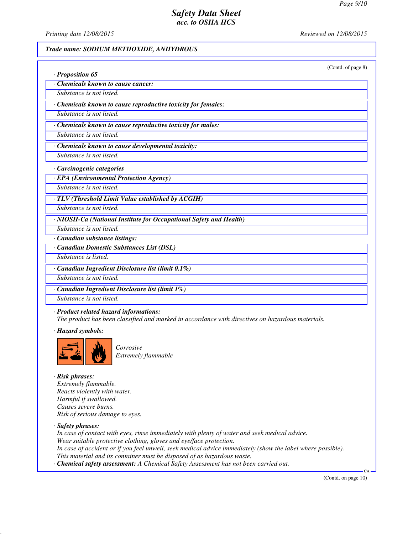*Printing date 12/08/2015 Reviewed on 12/08/2015*

### *Trade name: SODIUM METHOXIDE, ANHYDROUS*

|                                                                    | (Contd. of page 8) |
|--------------------------------------------------------------------|--------------------|
| · Proposition 65                                                   |                    |
| Chemicals known to cause cancer:                                   |                    |
| Substance is not listed.                                           |                    |
| · Chemicals known to cause reproductive toxicity for females:      |                    |
| Substance is not listed.                                           |                    |
| · Chemicals known to cause reproductive toxicity for males:        |                    |
| Substance is not listed.                                           |                    |
| · Chemicals known to cause developmental toxicity:                 |                    |
| Substance is not listed.                                           |                    |
| · Carcinogenic categories                                          |                    |
| · EPA (Environmental Protection Agency)                            |                    |
| Substance is not listed.                                           |                    |
| · TLV (Threshold Limit Value established by ACGIH)                 |                    |
| Substance is not listed.                                           |                    |
| · NIOSH-Ca (National Institute for Occupational Safety and Health) |                    |
| Substance is not listed.                                           |                    |
| · Canadian substance listings:                                     |                    |
| · Canadian Domestic Substances List (DSL)                          |                    |
| Substance is listed.                                               |                    |
| · Canadian Ingredient Disclosure list (limit 0.1%)                 |                    |
| Substance is not listed.                                           |                    |
| · Canadian Ingredient Disclosure list (limit 1%)                   |                    |
| Substance is not listed.                                           |                    |

*· Product related hazard informations:*

*The product has been classified and marked in accordance with directives on hazardous materials.*

*· Hazard symbols:*



*Corrosive Extremely flammable* 

*· Risk phrases: Extremely flammable. Reacts violently with water. Harmful if swallowed. Causes severe burns. Risk of serious damage to eyes.*

*· Safety phrases:*

*In case of contact with eyes, rinse immediately with plenty of water and seek medical advice. Wear suitable protective clothing, gloves and eye/face protection. In case of accident or if you feel unwell, seek medical advice immediately (show the label where possible). This material and its container must be disposed of as hazardous waste. · Chemical safety assessment: A Chemical Safety Assessment has not been carried out.*

(Contd. on page 10)

CA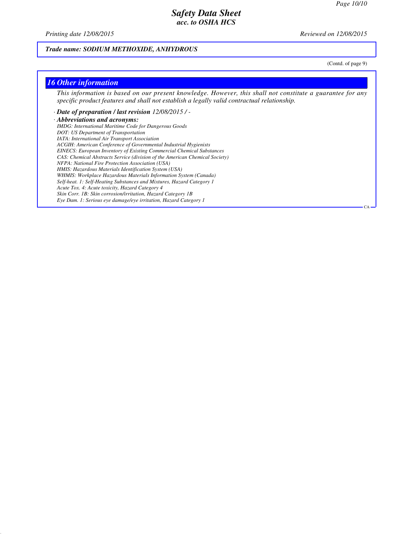*Printing date 12/08/2015 Reviewed on 12/08/2015*

### *Trade name: SODIUM METHOXIDE, ANHYDROUS*

(Contd. of page 9)

CA

#### *16 Other information*

*This information is based on our present knowledge. However, this shall not constitute a guarantee for any specific product features and shall not establish a legally valid contractual relationship.*

*· Date of preparation / last revision 12/08/2015 / - · Abbreviations and acronyms: IMDG: International Maritime Code for Dangerous Goods DOT: US Department of Transportation IATA: International Air Transport Association ACGIH: American Conference of Governmental Industrial Hygienists EINECS: European Inventory of Existing Commercial Chemical Substances CAS: Chemical Abstracts Service (division of the American Chemical Society) NFPA: National Fire Protection Association (USA) HMIS: Hazardous Materials Identification System (USA) WHMIS: Workplace Hazardous Materials Information System (Canada) Self-heat. 1: Self-Heating Substances and Mixtures, Hazard Category 1 Acute Tox. 4: Acute toxicity, Hazard Category 4 Skin Corr. 1B: Skin corrosion/irritation, Hazard Category 1B Eye Dam. 1: Serious eye damage/eye irritation, Hazard Category 1*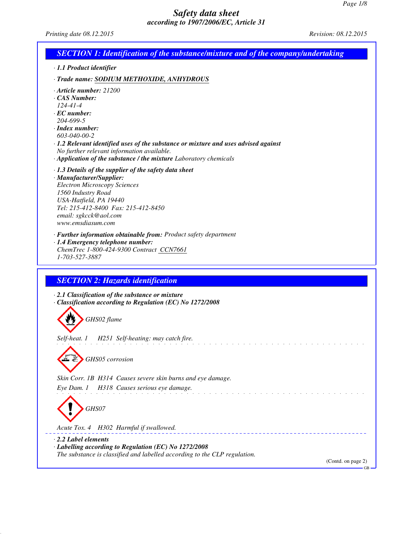*Printing date 08.12.2015 Revision: 08.12.2015*

|                                                                                                           | <b>SECTION 1: Identification of the substance/mixture and of the company/undertaking</b>                                                                                                                                                      |
|-----------------------------------------------------------------------------------------------------------|-----------------------------------------------------------------------------------------------------------------------------------------------------------------------------------------------------------------------------------------------|
| · 1.1 Product identifier                                                                                  |                                                                                                                                                                                                                                               |
|                                                                                                           | · Trade name: SODIUM METHOXIDE, ANHYDROUS                                                                                                                                                                                                     |
| CAS Number:<br>$124 - 41 - 4$<br>$\cdot$ EC number:<br>204-699-5<br>$\cdot$ Index number:<br>603-040-00-2 | $\cdot$ Article number: 21200<br>$\cdot$ 1.2 Relevant identified uses of the substance or mixture and uses advised against<br>No further relevant information available.<br>· Application of the substance / the mixture Laboratory chemicals |
| 1560 Industry Road<br>www.emsdiasum.com                                                                   | $\cdot$ 1.3 Details of the supplier of the safety data sheet<br>· Manufacturer/Supplier:<br><b>Electron Microscopy Sciences</b><br>USA-Hatfield, PA 19440<br>Tel: 215-412-8400 Fax: 215-412-8450<br>email: sgkcck@aol.com                     |
| 1-703-527-3887                                                                                            | · Further information obtainable from: Product safety department<br>· 1.4 Emergency telephone number:<br>ChemTrec 1-800-424-9300 Contract CCN7661                                                                                             |
|                                                                                                           | <b>SECTION 2: Hazards identification</b><br>$\cdot$ 2.1 Classification of the substance or mixture<br>· Classification according to Regulation (EC) No 1272/2008                                                                              |
|                                                                                                           | GHS02 flame                                                                                                                                                                                                                                   |
|                                                                                                           | Self-heat. 1 H251 Self-heating: may catch fire.                                                                                                                                                                                               |
|                                                                                                           | GHS05 corrosion                                                                                                                                                                                                                               |
|                                                                                                           | Skin Corr. 1B H314 Causes severe skin burns and eye damage.                                                                                                                                                                                   |
| Eye Dam. 1                                                                                                | H318 Causes serious eye damage.<br>GHS07                                                                                                                                                                                                      |
|                                                                                                           | Acute Tox. 4 H302 Harmful if swallowed.                                                                                                                                                                                                       |
| $\cdot$ 2.2 Label elements                                                                                |                                                                                                                                                                                                                                               |
|                                                                                                           | · Labelling according to Regulation (EC) No 1272/2008<br>The substance is classified and labelled according to the CLP regulation.                                                                                                            |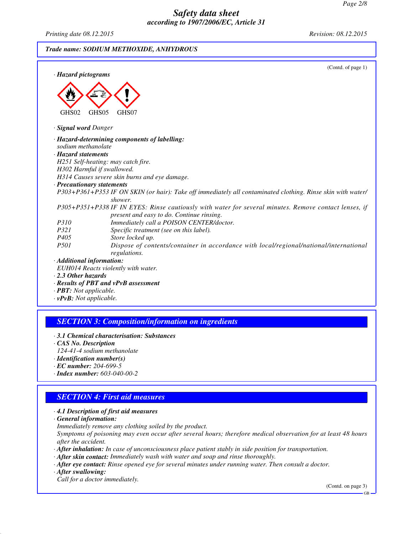*Printing date 08.12.2015 Revision: 08.12.2015*

*Trade name: SODIUM METHOXIDE, ANHYDROUS*

| · Hazard pictograms                               | (Contd. of page 1)                                                                                          |
|---------------------------------------------------|-------------------------------------------------------------------------------------------------------------|
| GHS02                                             | GHS05<br>GHS07                                                                                              |
| · Signal word Danger                              |                                                                                                             |
|                                                   | · Hazard-determining components of labelling:                                                               |
| sodium methanolate                                |                                                                                                             |
| · Hazard statements                               |                                                                                                             |
|                                                   | H251 Self-heating: may catch fire.                                                                          |
|                                                   | H302 Harmful if swallowed.                                                                                  |
|                                                   | H314 Causes severe skin burns and eye damage.                                                               |
| · Precautionary statements                        |                                                                                                             |
|                                                   | P303+P361+P353 IF ON SKIN (or hair): Take off immediately all contaminated clothing. Rinse skin with water/ |
|                                                   | shower.                                                                                                     |
|                                                   | P305+P351+P338 IF IN EYES: Rinse cautiously with water for several minutes. Remove contact lenses, if       |
|                                                   | present and easy to do. Continue rinsing.                                                                   |
| P310                                              | Immediately call a POISON CENTER/doctor.                                                                    |
| P321                                              | Specific treatment (see on this label).                                                                     |
| P405                                              | Store locked up.                                                                                            |
| P501                                              | Dispose of contents/container in accordance with local/regional/national/international                      |
|                                                   | regulations.                                                                                                |
| · Additional information:                         |                                                                                                             |
|                                                   | EUH014 Reacts violently with water.                                                                         |
| $\cdot$ 2.3 Other hazards                         |                                                                                                             |
| $\mathbf{D}\mathbf{D}\mathbf{T}$ . Not applicable | · Results of PBT and vPvB assessment                                                                        |

*· PBT: Not applicable. · vPvB: Not applicable.*

### *SECTION 3: Composition/information on ingredients*

- *· 3.1 Chemical characterisation: Substances*
- *· CAS No. Description*
- *124-41-4 sodium methanolate*
- *· Identification number(s) · EC number: 204-699-5*
- *· Index number: 603-040-00-2*
- *SECTION 4: First aid measures*

### *· 4.1 Description of first aid measures*

- *· General information:*
- *Immediately remove any clothing soiled by the product.*

*Symptoms of poisoning may even occur after several hours; therefore medical observation for at least 48 hours after the accident.*

- *· After inhalation: In case of unconsciousness place patient stably in side position for transportation.*
- *· After skin contact: Immediately wash with water and soap and rinse thoroughly.*
- *· After eye contact: Rinse opened eye for several minutes under running water. Then consult a doctor.*
- *· After swallowing:*

*Call for a doctor immediately.*

(Contd. on page 3)

GB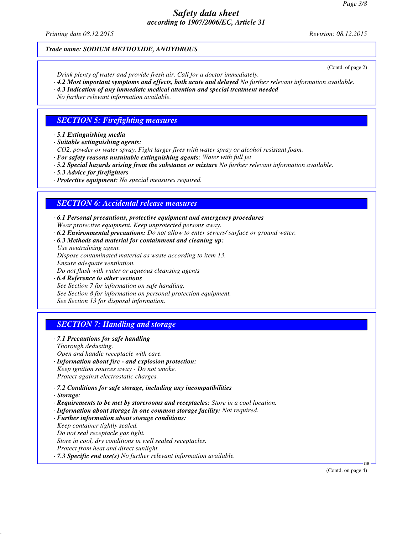*Printing date 08.12.2015 Revision: 08.12.2015*

#### *Trade name: SODIUM METHOXIDE, ANHYDROUS*

(Contd. of page 2)

- *Drink plenty of water and provide fresh air. Call for a doctor immediately.*
- *· 4.2 Most important symptoms and effects, both acute and delayed No further relevant information available.*
- *· 4.3 Indication of any immediate medical attention and special treatment needed*
- *No further relevant information available.*

# *SECTION 5: Firefighting measures*

- *· 5.1 Extinguishing media*
- *· Suitable extinguishing agents:*
- *CO2, powder or water spray. Fight larger fires with water spray or alcohol resistant foam.*
- *· For safety reasons unsuitable extinguishing agents: Water with full jet*
- *· 5.2 Special hazards arising from the substance or mixture No further relevant information available.*
- *· 5.3 Advice for firefighters*
- *· Protective equipment: No special measures required.*

# *SECTION 6: Accidental release measures*

- *· 6.1 Personal precautions, protective equipment and emergency procedures Wear protective equipment. Keep unprotected persons away.*
- *· 6.2 Environmental precautions: Do not allow to enter sewers/ surface or ground water.*
- *· 6.3 Methods and material for containment and cleaning up:*

*Use neutralising agent. Dispose contaminated material as waste according to item 13. Ensure adequate ventilation. Do not flush with water or aqueous cleansing agents*

*· 6.4 Reference to other sections See Section 7 for information on safe handling. See Section 8 for information on personal protection equipment. See Section 13 for disposal information.*

# *SECTION 7: Handling and storage*

*· 7.1 Precautions for safe handling*

*Thorough dedusting.*

- *Open and handle receptacle with care.*
- *· Information about fire and explosion protection:*
- *Keep ignition sources away Do not smoke. Protect against electrostatic charges.*
- *· 7.2 Conditions for safe storage, including any incompatibilities*
- *· Storage:*
- *· Requirements to be met by storerooms and receptacles: Store in a cool location.*
- *· Information about storage in one common storage facility: Not required.*
- *· Further information about storage conditions:*
- *Keep container tightly sealed.*
- *Do not seal receptacle gas tight.*

*Store in cool, dry conditions in well sealed receptacles.*

- *Protect from heat and direct sunlight.*
- *· 7.3 Specific end use(s) No further relevant information available.*

(Contd. on page 4)

GB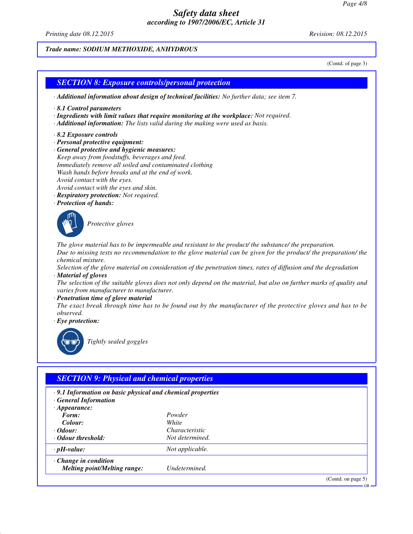*Printing date 08.12.2015 Revision: 08.12.2015*

# *Trade name: SODIUM METHOXIDE, ANHYDROUS*

(Contd. of page 3)

(Contd. on page 5)

GB

# *SECTION 8: Exposure controls/personal protection · Additional information about design of technical facilities: No further data; see item 7. · 8.1 Control parameters · Ingredients with limit values that require monitoring at the workplace: Not required. · Additional information: The lists valid during the making were used as basis. · 8.2 Exposure controls · Personal protective equipment: · General protective and hygienic measures: Keep away from foodstuffs, beverages and feed. Immediately remove all soiled and contaminated clothing Wash hands before breaks and at the end of work. Avoid contact with the eyes. Avoid contact with the eyes and skin. · Respiratory protection: Not required. · Protection of hands: Protective gloves The glove material has to be impermeable and resistant to the product/ the substance/ the preparation. Due to missing tests no recommendation to the glove material can be given for the product/ the preparation/ the chemical mixture. Selection of the glove material on consideration of the penetration times, rates of diffusion and the degradation · Material of gloves The selection of the suitable gloves does not only depend on the material, but also on further marks of quality and varies from manufacturer to manufacturer. · Penetration time of glove material The exact break through time has to be found out by the manufacturer of the protective gloves and has to be observed. · Eye protection: Tightly sealed goggles SECTION 9: Physical and chemical properties · 9.1 Information on basic physical and chemical properties · General Information · Appearance:*<br>*Form: Form: Powder*  $Color:$ *· Odour: Characteristic · Odour threshold: Not determined. · pH-value: Not applicable. · Change in condition Melting point/Melting range: Undetermined.*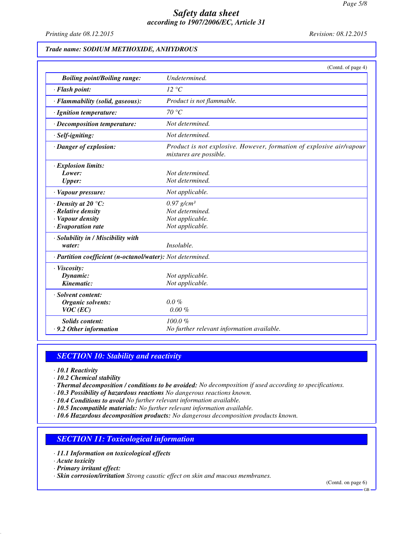*Printing date 08.12.2015 Revision: 08.12.2015*

#### *Trade name: SODIUM METHOXIDE, ANHYDROUS*

|                                                                                                 | (Contd. of page 4)                                                                             |
|-------------------------------------------------------------------------------------------------|------------------------------------------------------------------------------------------------|
| <b>Boiling point/Boiling range:</b>                                                             | Undetermined.                                                                                  |
| · Flash point:                                                                                  | $12 \text{ }^{\circ}C$                                                                         |
| · Flammability (solid, gaseous):                                                                | Product is not flammable.                                                                      |
| · Ignition temperature:                                                                         | 70 °C                                                                                          |
| $\cdot$ Decomposition temperature:                                                              | Not determined.                                                                                |
| $·$ <i>Self-igniting</i> :                                                                      | Not determined.                                                                                |
| · Danger of explosion:                                                                          | Product is not explosive. However, formation of explosive air/vapour<br>mixtures are possible. |
| · Explosion limits:<br>Lower:<br><b>Upper:</b>                                                  | Not determined.<br>Not determined.                                                             |
| · Vapour pressure:                                                                              | Not applicable.                                                                                |
| $\cdot$ Density at 20 °C:<br>· Relative density<br>· Vapour density<br>$\cdot$ Evaporation rate | $0.97$ g/cm <sup>3</sup><br>Not determined.<br>Not applicable.<br>Not applicable.              |
| · Solubility in / Miscibility with<br>water:                                                    | Insoluble.                                                                                     |
| · Partition coefficient (n-octanol/water): Not determined.                                      |                                                                                                |
| · Viscosity:<br>Dynamic:<br>Kinematic:                                                          | Not applicable.<br>Not applicable.                                                             |
| · Solvent content:<br><b>Organic solvents:</b><br>$VOC$ (EC)                                    | $0.0\%$<br>$0.00 \%$                                                                           |
| <b>Solids content:</b><br>.9.2 Other information                                                | 100.0%<br>No further relevant information available.                                           |

### *SECTION 10: Stability and reactivity*

- *· 10.1 Reactivity*
- *· 10.2 Chemical stability*
- *· Thermal decomposition / conditions to be avoided: No decomposition if used according to specifications.*
- *· 10.3 Possibility of hazardous reactions No dangerous reactions known.*
- *· 10.4 Conditions to avoid No further relevant information available.*
- *· 10.5 Incompatible materials: No further relevant information available.*
- *· 10.6 Hazardous decomposition products: No dangerous decomposition products known.*

### *SECTION 11: Toxicological information*

- *· 11.1 Information on toxicological effects*
- *· Acute toxicity*
- *· Primary irritant effect:*
- *· Skin corrosion/irritation Strong caustic effect on skin and mucous membranes.*

(Contd. on page 6)

GB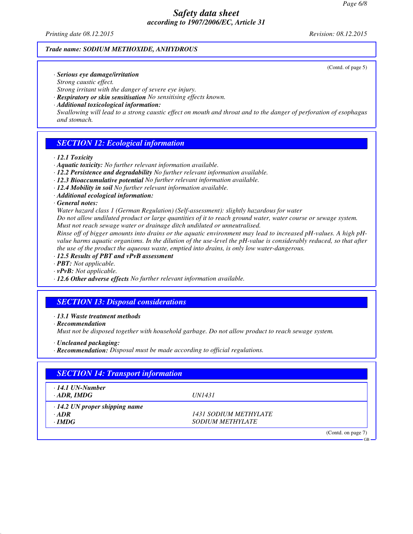*Printing date 08.12.2015 Revision: 08.12.2015*

#### *Trade name: SODIUM METHOXIDE, ANHYDROUS*

(Contd. of page 5)

GB

- *· Serious eye damage/irritation Strong caustic effect. Strong irritant with the danger of severe eye injury.*
- *· Respiratory or skin sensitisation No sensitising effects known.*
- *· Additional toxicological information:*

*Swallowing will lead to a strong caustic effect on mouth and throat and to the danger of perforation of esophagus and stomach.*

# *SECTION 12: Ecological information*

#### *· 12.1 Toxicity*

- *· Aquatic toxicity: No further relevant information available.*
- *· 12.2 Persistence and degradability No further relevant information available.*
- *· 12.3 Bioaccumulative potential No further relevant information available.*
- *· 12.4 Mobility in soil No further relevant information available.*
- *· Additional ecological information:*

#### *· General notes:*

*Water hazard class 1 (German Regulation) (Self-assessment): slightly hazardous for water*

*Do not allow undiluted product or large quantities of it to reach ground water, water course or sewage system. Must not reach sewage water or drainage ditch undiluted or unneutralised.*

*Rinse off of bigger amounts into drains or the aquatic environment may lead to increased pH-values. A high pHvalue harms aquatic organisms. In the dilution of the use-level the pH-value is considerably reduced, so that after the use of the product the aqueous waste, emptied into drains, is only low water-dangerous.*

- *· 12.5 Results of PBT and vPvB assessment*
- *· PBT: Not applicable.*
- *· vPvB: Not applicable.*
- *· 12.6 Other adverse effects No further relevant information available.*

# *SECTION 13: Disposal considerations*

*· 13.1 Waste treatment methods*

*· Recommendation*

*Must not be disposed together with household garbage. Do not allow product to reach sewage system.*

- *· Uncleaned packaging:*
- *· Recommendation: Disposal must be made according to official regulations.*

| <b>SECTION 14: Transport information</b>    |                              |                    |
|---------------------------------------------|------------------------------|--------------------|
| $\cdot$ 14.1 UN-Number<br>$\cdot$ ADR, IMDG | <i>UN1431</i>                |                    |
| $\cdot$ 14.2 UN proper shipping name        |                              |                    |
| $\cdot$ ADR                                 | <i>1431 SODIUM METHYLATE</i> |                    |
| $\cdot$ IMDG                                | <b>SODIUM METHYLATE</b>      |                    |
|                                             |                              | (Contd. on page 7) |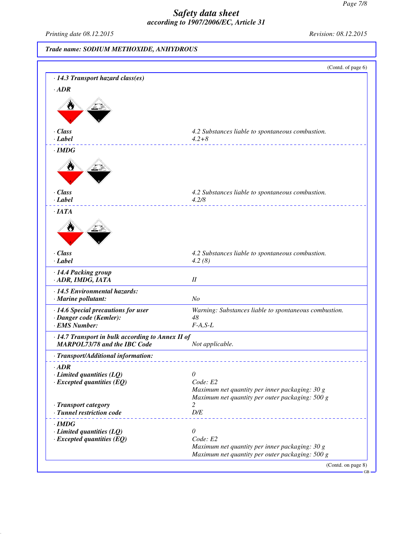*Printing date 08.12.2015 Revision: 08.12.2015*

# *Trade name: SODIUM METHOXIDE, ANHYDROUS*

| · 14.3 Transport hazard class(es)                 | (Contd. of page 6)                                    |
|---------------------------------------------------|-------------------------------------------------------|
|                                                   |                                                       |
| $\cdot$ ADR                                       |                                                       |
|                                                   |                                                       |
|                                                   |                                                       |
|                                                   |                                                       |
| $\cdot$ Class                                     | 4.2 Substances liable to spontaneous combustion.      |
| $\cdot$ Label                                     | $4.2 + 8$                                             |
| $\cdot$ IMDG                                      |                                                       |
|                                                   |                                                       |
| $\cdot$ Class<br>$\cdot$ Label                    | 4.2 Substances liable to spontaneous combustion.      |
|                                                   | 4.2/8                                                 |
| $\cdot$ IATA                                      |                                                       |
|                                                   |                                                       |
| W                                                 |                                                       |
| $\cdot$ Class                                     | 4.2 Substances liable to spontaneous combustion.      |
| $\cdot$ Label                                     | 4.2(8)                                                |
| · 14.4 Packing group                              |                                                       |
| · ADR, IMDG, IATA                                 | $I\!I$                                                |
| · 14.5 Environmental hazards:                     |                                                       |
| · Marine pollutant:                               | N <sub>O</sub>                                        |
| · 14.6 Special precautions for user               | Warning: Substances liable to spontaneous combustion. |
| · Danger code (Kemler):                           | 48                                                    |
| · EMS Number:                                     | $F-A, S-L$                                            |
| · 14.7 Transport in bulk according to Annex II of |                                                       |
| <b>MARPOL73/78 and the IBC Code</b>               | Not applicable.                                       |
| · Transport/Additional information:               |                                                       |
| $\cdot$ <i>ADR</i>                                |                                                       |
| $\cdot$ Limited quantities (LQ)                   | 0                                                     |
| $\cdot$ Excepted quantities (EQ)                  | Code: E2                                              |
|                                                   | Maximum net quantity per inner packaging: 30 g        |
|                                                   | Maximum net quantity per outer packaging: 500 g       |
| · Transport category<br>· Tunnel restriction code | 2<br>$D/E$                                            |
|                                                   |                                                       |
| $\cdot$ IMDG                                      |                                                       |
| $\cdot$ Limited quantities (LQ)                   | $\theta$<br>Code: E2                                  |
| $\cdot$ Excepted quantities (EQ)                  | Maximum net quantity per inner packaging: 30 g        |
|                                                   |                                                       |
|                                                   | Maximum net quantity per outer packaging: 500 g       |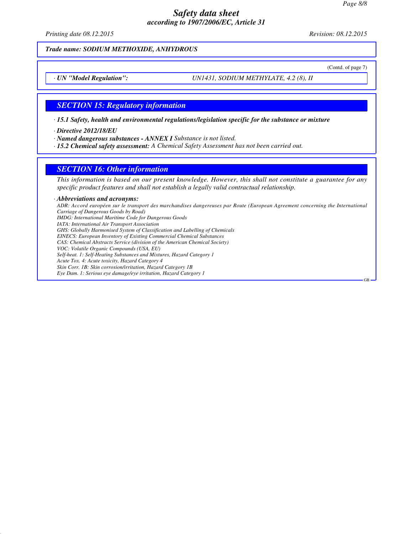# *Safety data sheet according to 1907/2006/EC, Article 31*

*Printing date 08.12.2015 Revision: 08.12.2015*

*Trade name: SODIUM METHOXIDE, ANHYDROUS*

(Contd. of page 7)

GB

*· UN "Model Regulation": UN1431, SODIUM METHYLATE, 4.2 (8), II*

#### *SECTION 15: Regulatory information*

*· 15.1 Safety, health and environmental regulations/legislation specific for the substance or mixture*

*· Directive 2012/18/EU*

*· Named dangerous substances - ANNEX I Substance is not listed.*

*· 15.2 Chemical safety assessment: A Chemical Safety Assessment has not been carried out.*

#### *SECTION 16: Other information*

*This information is based on our present knowledge. However, this shall not constitute a guarantee for any specific product features and shall not establish a legally valid contractual relationship.*

*· Abbreviations and acronyms:*

*ADR: Accord européen sur le transport des marchandises dangereuses par Route (European Agreement concerning the International Carriage of Dangerous Goods by Road) IMDG: International Maritime Code for Dangerous Goods IATA: International Air Transport Association GHS: Globally Harmonised System of Classification and Labelling of Chemicals EINECS: European Inventory of Existing Commercial Chemical Substances CAS: Chemical Abstracts Service (division of the American Chemical Society) VOC: Volatile Organic Compounds (USA, EU) Self-heat. 1: Self-Heating Substances and Mixtures, Hazard Category 1*

*Acute Tox. 4: Acute toxicity, Hazard Category 4*

*Skin Corr. 1B: Skin corrosion/irritation, Hazard Category 1B*

*Eye Dam. 1: Serious eye damage/eye irritation, Hazard Category 1*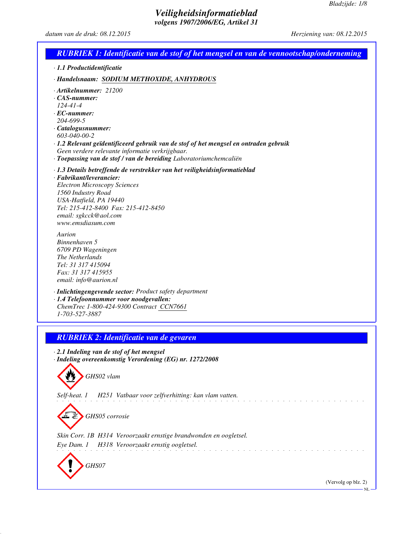*datum van de druk: 08.12.2015 Herziening van: 08.12.2015*

| <b>RUBRIEK 1: Identificatie van de stof of het mengsel en van de vennootschap/onderneming</b>                                                                                                                                                                                                                                                              |
|------------------------------------------------------------------------------------------------------------------------------------------------------------------------------------------------------------------------------------------------------------------------------------------------------------------------------------------------------------|
| · 1.1 Productidentificatie                                                                                                                                                                                                                                                                                                                                 |
| · Handelsnaam: SODIUM METHOXIDE, ANHYDROUS                                                                                                                                                                                                                                                                                                                 |
| · Artikelnummer: 21200<br>$\cdot$ CAS-nummer:<br>$124 - 41 - 4$<br>$\cdot$ EC-nummer:<br>204-699-5<br>· Catalogusnummer:<br>603-040-00-2<br>· 1.2 Relevant geïdentificeerd gebruik van de stof of het mengsel en ontraden gebruik<br>Geen verdere relevante informatie verkrijgbaar.<br>· Toepassing van de stof / van de bereiding Laboratoriumchemcaliën |
| · 1.3 Details betreffende de verstrekker van het veiligheidsinformatieblad<br>· Fabrikant/leverancier:<br><b>Electron Microscopy Sciences</b><br>1560 Industry Road<br>USA-Hatfield, PA 19440<br>Tel: 215-412-8400 Fax: 215-412-8450<br>email: sgkcck@aol.com<br>www.emsdiasum.com                                                                         |
| Aurion<br>Binnenhaven 5<br>6709 PD Wageningen<br>The Netherlands<br>Tel: 31 317 415094<br>Fax: 31 317 415955<br>email: info@aurion.nl                                                                                                                                                                                                                      |
| · Inlichtingengevende sector: Product safety department<br>· 1.4 Telefoonnummer voor noodgevallen:<br>ChemTrec 1-800-424-9300 Contract CCN7661<br>1-703-527-3887                                                                                                                                                                                           |
| <b>RUBRIEK 2: Identificatie van de gevaren</b>                                                                                                                                                                                                                                                                                                             |
| 2.1 Indeling van de stof of het mengsel<br>· Indeling overeenkomstig Verordening (EG) nr. 1272/2008<br>GHS02 vlam                                                                                                                                                                                                                                          |
| H251 Vatbaar voor zelfverhitting: kan vlam vatten.<br>Self-heat. 1                                                                                                                                                                                                                                                                                         |
| GHS05 corrosie                                                                                                                                                                                                                                                                                                                                             |
| Skin Corr. 1B H314 Veroorzaakt ernstige brandwonden en oogletsel.<br>H318 Veroorzaakt ernstig oogletsel.<br>Eye Dam. 1                                                                                                                                                                                                                                     |
| GHS07                                                                                                                                                                                                                                                                                                                                                      |
| (Vervolg op blz. 2)                                                                                                                                                                                                                                                                                                                                        |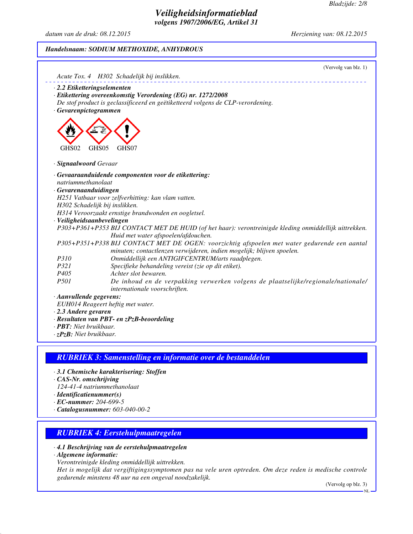*datum van de druk: 08.12.2015 Herziening van: 08.12.2015*

# *Handelsnaam: SODIUM METHOXIDE, ANHYDROUS*

|                                    | (Vervolg van blz. 1)<br>Acute Tox. 4 H302 Schadelijk bij inslikken.                                                                                                   |
|------------------------------------|-----------------------------------------------------------------------------------------------------------------------------------------------------------------------|
| $\cdot$ 2.2 Etiketteringselementen |                                                                                                                                                                       |
|                                    | · Etikettering overeenkomstig Verordening (EG) nr. 1272/2008                                                                                                          |
|                                    | De stof product is geclassificeerd en geëtiketteerd volgens de CLP-verordening.                                                                                       |
| · Gevarenpictogrammen              |                                                                                                                                                                       |
| GHS02                              | GHS05<br>GHS07                                                                                                                                                        |
| · Signaalwoord Gevaar              |                                                                                                                                                                       |
|                                    | · Gevaaraanduidende componenten voor de etikettering:                                                                                                                 |
| natriummethanolaat                 |                                                                                                                                                                       |
| · Gevarenaanduidingen              |                                                                                                                                                                       |
|                                    | H251 Vatbaar voor zelfverhitting: kan vlam vatten.                                                                                                                    |
|                                    | H302 Schadelijk bij inslikken.                                                                                                                                        |
|                                    | H314 Veroorzaakt ernstige brandwonden en oogletsel.                                                                                                                   |
| · Veiligheidsaanbevelingen         |                                                                                                                                                                       |
|                                    | P303+P361+P353 BIJ CONTACT MET DE HUID (of het haar): verontreinigde kleding onmiddellijk uittrekken.<br>Huid met water afspoelen/afdouchen.                          |
|                                    | P305+P351+P338 BIJ CONTACT MET DE OGEN: voorzichtig afspoelen met water gedurende een aantal<br>minuten; contactlenzen verwijderen, indien mogelijk; blijven spoelen. |
| P310                               | Onmiddellijk een ANTIGIFCENTRUM/arts raadplegen.                                                                                                                      |
| P321                               | Specifieke behandeling vereist (zie op dit etiket).                                                                                                                   |
| P405                               | Achter slot bewaren.                                                                                                                                                  |
| P501                               | De inhoud en de verpakking verwerken volgens de plaatselijke/regionale/nationale/<br>internationale voorschriften.                                                    |
| · Aanvullende gegevens:            |                                                                                                                                                                       |
|                                    | EUH014 Reageert heftig met water.                                                                                                                                     |
| $\cdot$ 2.3 Andere gevaren         |                                                                                                                                                                       |
|                                    | · Resultaten van PBT- en zPzB-beoordeling                                                                                                                             |

- *· PBT: Niet bruikbaar.*
- *· zPzB: Niet bruikbaar.*

# *RUBRIEK 3: Samenstelling en informatie over de bestanddelen*

- *· 3.1 Chemische karakterisering: Stoffen*
- *· CAS-Nr. omschrijving*
- *124-41-4 natriummethanolaat*
- *· Identificatienummer(s)*
- *· EC-nummer: 204-699-5*
- *· Catalogusnummer: 603-040-00-2*

# *RUBRIEK 4: Eerstehulpmaatregelen*

- *· 4.1 Beschrijving van de eerstehulpmaatregelen*
- *· Algemene informatie:*
- *Verontreinigde kleding onmiddellijk uittrekken.*

*Het is mogelijk dat vergiftigingssymptomen pas na vele uren optreden. Om deze reden is medische controle gedurende minstens 48 uur na een ongeval noodzakelijk.*

(Vervolg op blz. 3)

NL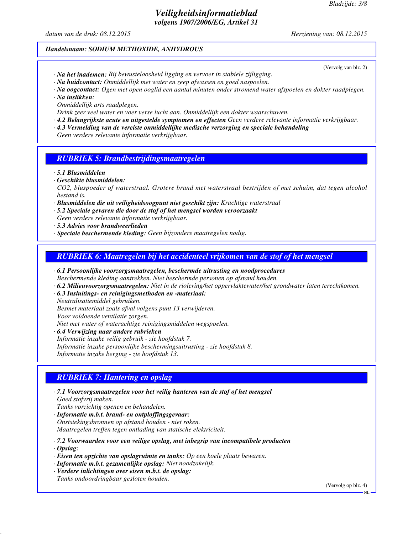(Vervolg van blz. 2)

# *Veiligheidsinformatieblad volgens 1907/2006/EG, Artikel 31*

*datum van de druk: 08.12.2015 Herziening van: 08.12.2015*

#### *Handelsnaam: SODIUM METHOXIDE, ANHYDROUS*

- *· Na het inademen: Bij bewusteloosheid ligging en vervoer in stabiele zijligging.*
- *· Na huidcontact: Onmiddellijk met water en zeep afwassen en goed naspoelen.*
- *· Na oogcontact: Ogen met open ooglid een aantal minuten onder stromend water afspoelen en dokter raadplegen.*
- *· Na inslikken:*

*Onmiddellijk arts raadplegen.*

*Drink zeer veel water en voer verse lucht aan. Onmiddellijk een dokter waarschuwen.*

- *· 4.2 Belangrijkste acute en uitgestelde symptomen en effecten Geen verdere relevante informatie verkrijgbaar.*
- *· 4.3 Vermelding van de vereiste onmiddellijke medische verzorging en speciale behandeling*

*Geen verdere relevante informatie verkrijgbaar.*

# *RUBRIEK 5: Brandbestrijdingsmaatregelen*

*· 5.1 Blusmiddelen*

*· Geschikte blusmiddelen:*

*CO2, bluspoeder of waterstraal. Grotere brand met waterstraal bestrijden of met schuim, dat tegen alcohol bestand is.*

- *· Blusmiddelen die uit veiligheidsoogpunt niet geschikt zijn: Krachtige waterstraal*
- *· 5.2 Speciale gevaren die door de stof of het mengsel worden veroorzaakt Geen verdere relevante informatie verkrijgbaar.*
- *· 5.3 Advies voor brandweerlieden*
- *· Speciale beschermende kleding: Geen bijzondere maatregelen nodig.*

# *RUBRIEK 6: Maatregelen bij het accidenteel vrijkomen van de stof of het mengsel*

- *· 6.1 Persoonlijke voorzorgsmaatregelen, beschermde uitrusting en noodprocedures Beschermende kleding aantrekken. Niet beschermde personen op afstand houden.*
- *· 6.2 Milieuvoorzorgsmaatregelen: Niet in de riolering/het oppervlaktewater/het grondwater laten terechtkomen.*
- *· 6.3 Insluitings- en reinigingsmethoden en -materiaal: Neutralisatiemiddel gebruiken. Besmet materiaal zoals afval volgens punt 13 verwijderen. Voor voldoende ventilatie zorgen. Niet met water of waterachtige reinigingsmiddelen wegspoelen.*
- *· 6.4 Verwijzing naar andere rubrieken Informatie inzake veilig gebruik - zie hoofdstuk 7. Informatie inzake persoonlijke beschermingsuitrusting - zie hoofdstuk 8. Informatie inzake berging - zie hoofdstuk 13.*

# *RUBRIEK 7: Hantering en opslag*

- *· 7.1 Voorzorgsmaatregelen voor het veilig hanteren van de stof of het mengsel Goed stofvrij maken.*
- *Tanks vorzichtig openen en behandelen.*
- *· Informatie m.b.t. brand- en ontploffingsgevaar: Onststekingsbronnen op afstand houden - niet roken. Maatregelen treffen tegen ontlading van statische elektriciteit.*

*· 7.2 Voorwaarden voor een veilige opslag, met inbegrip van incompatibele producten*

- *· Opslag:*
- *· Eisen ten opzichte van opslagruimte en tanks: Op een koele plaats bewaren.*
- *· Informatie m.b.t. gezamenlijke opslag: Niet noodzakelijk.*
- *· Verdere inlichtingen over eisen m.b.t. de opslag: Tanks ondoordringbaar gesloten houden.*

(Vervolg op blz. 4)

NL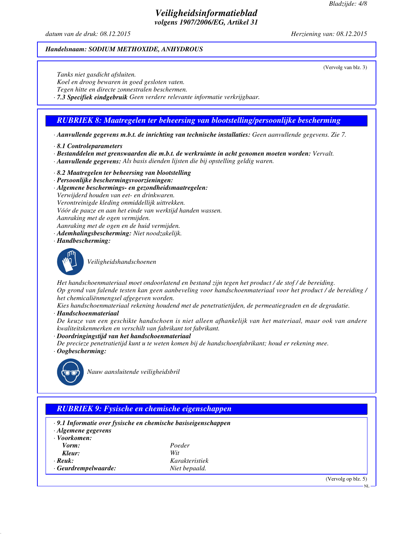*datum van de druk: 08.12.2015 Herziening van: 08.12.2015*

#### *Handelsnaam: SODIUM METHOXIDE, ANHYDROUS*

(Vervolg van blz. 3)

*Tanks niet gasdicht afsluiten.*

*Koel en droog bewaren in goed gesloten vaten.*

*Tegen hitte en directe zonnestralen beschermen.*

*· 7.3 Specifiek eindgebruik Geen verdere relevante informatie verkrijgbaar.*

# *RUBRIEK 8: Maatregelen ter beheersing van blootstelling/persoonlijke bescherming*

*· Aanvullende gegevens m.b.t. de inrichting van technische installaties: Geen aanvullende gegevens. Zie 7.*

*· 8.1 Controleparameters*

*· Bestanddelen met grenswaarden die m.b.t. de werkruimte in acht genomen moeten worden: Vervalt.*

- *· Aanvullende gegevens: Als basis dienden lijsten die bij opstelling geldig waren.*
- *· 8.2 Maatregelen ter beheersing van blootstelling*
- *· Persoonlijke beschermingsvoorzieningen:*
- *· Algemene beschermings- en gezondheidsmaatregelen: Verwijderd houden van eet- en drinkwaren. Verontreinigde kleding onmiddellijk uittrekken. Vóór de pauze en aan het einde van werktijd handen wassen. Aanraking met de ogen vermijden. Aanraking met de ogen en de huid vermijden. · Ademhalingsbescherming: Niet noodzakelijk.*
- *· Handbescherming:*



*Veiligheidshandschoenen*

*Het handschoenmateriaal moet ondoorlatend en bestand zijn tegen het product / de stof / de bereiding. Op grond van falende testen kan geen aanbeveling voor handschoenmateriaal voor het product / de bereiding / het chemicaliënmengsel afgegeven worden.*

*Kies handschoenmateriaal rekening houdend met de penetratietijden, de permeatiegraden en de degradatie. · Handschoenmateriaal*

*De keuze van een geschikte handschoen is niet alleen afhankelijk van het materiaal, maar ook van andere kwaliteitskenmerken en verschilt van fabrikant tot fabrikant.*

*· Doordringingstijd van het handschoenmateriaal*

*De precieze penetratietijd kunt u te weten komen bij de handschoenfabrikant; houd er rekening mee.*

*· Oogbescherming:*



*Nauw aansluitende veiligheidsbril*

# *RUBRIEK 9: Fysische en chemische eigenschappen*

- *· 9.1 Informatie over fysische en chemische basiseigenschappen*
- *· Algemene gegevens*
- *· Voorkomen:*
- $Kleur:$
- 
- *Vorm: Poeder · Reuk: Karakteristiek*
- *· Geurdrempelwaarde: Niet bepaald.*

(Vervolg op blz. 5)

NL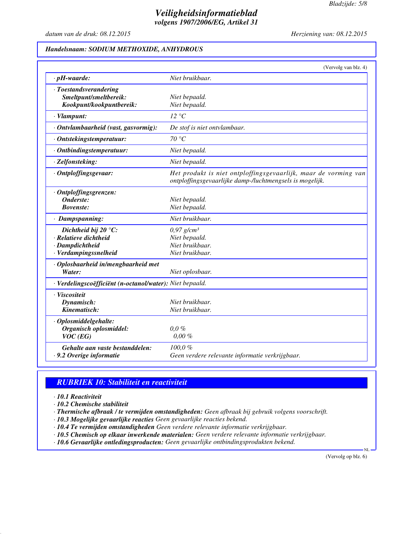*datum van de druk: 08.12.2015 Herziening van: 08.12.2015*

# *Handelsnaam: SODIUM METHOXIDE, ANHYDROUS*

|                                                                                                    | (Vervolg van blz. 4)                                                                                                        |
|----------------------------------------------------------------------------------------------------|-----------------------------------------------------------------------------------------------------------------------------|
| $\cdot$ pH-waarde:                                                                                 | Niet bruikbaar.                                                                                                             |
| · Toestandsverandering<br>Smeltpunt/smeltbereik:<br>Kookpunt/kookpuntbereik:                       | Niet bepaald.<br>Niet bepaald.                                                                                              |
| $\cdot$ Vlampunt:                                                                                  | 12 °C                                                                                                                       |
| · Ontvlambaarheid (vast, gasvormig):                                                               | De stof is niet ontvlambaar.                                                                                                |
| · Ontstekingstemperatuur:                                                                          | 70 °C                                                                                                                       |
| · Ontbindingstemperatuur:                                                                          | Niet bepaald.                                                                                                               |
| · Zelfonsteking:                                                                                   | Niet bepaald.                                                                                                               |
| · Ontploffingsgevaar:                                                                              | Het produkt is niet ontploffingsgevaarlijk, maar de vorming van<br>ontploffingsgevaarlijke damp-/luchtmengsels is mogelijk. |
| · Ontploffingsgrenzen:<br>Onderste:<br><b>Bovenste:</b>                                            | Niet bepaald.<br>Niet bepaald.                                                                                              |
| · Dampspanning:                                                                                    | Niet bruikbaar.                                                                                                             |
| Dichtheid bij 20 $\degree$ C:<br>· Relatieve dichtheid<br>· Dampdichtheid<br>· Verdampingssnelheid | $0.97$ g/cm <sup>3</sup><br>Niet bepaald.<br>Niet bruikbaar.<br>Niet bruikbaar.                                             |
| · Oplosbaarheid in/mengbaarheid met<br>Water:                                                      | Niet oplosbaar.                                                                                                             |
| · Verdelingscoëfficiënt (n-octanol/water): Niet bepaald.                                           |                                                                                                                             |
| · Viscositeit<br>Dynamisch:<br>Kinematisch:                                                        | Niet bruikbaar.<br>Niet bruikbaar.                                                                                          |
| · Oplosmiddelgehalte:<br>Organisch oplosmiddel:<br>$VOC$ (EG)                                      | $0.0\%$<br>$0.00 \%$                                                                                                        |
| Gehalte aan vaste bestanddelen:<br>. 9.2 Overige informatie                                        | 100,0%<br>Geen verdere relevante informatie verkrijgbaar.                                                                   |

# *RUBRIEK 10: Stabiliteit en reactiviteit*

*· 10.1 Reactiviteit*

*· 10.2 Chemische stabiliteit*

*· Thermische afbraak / te vermijden omstandigheden: Geen afbraak bij gebruik volgens voorschrift.*

*· 10.3 Mogelijke gevaarlijke reacties Geen gevaarlijke reacties bekend.*

*· 10.4 Te vermijden omstandigheden Geen verdere relevante informatie verkrijgbaar.*

*· 10.5 Chemisch op elkaar inwerkende materialen: Geen verdere relevante informatie verkrijgbaar.*

*· 10.6 Gevaarlijke ontledingsproducten: Geen gevaarlijke ontbindingsprodukten bekend.*

(Vervolg op blz. 6)

NL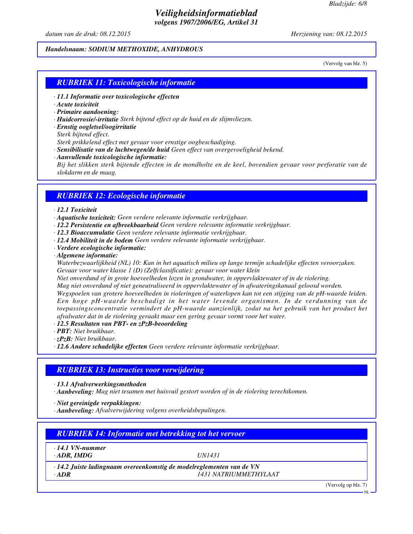*datum van de druk: 08.12.2015 Herziening van: 08.12.2015*

# *Handelsnaam: SODIUM METHOXIDE, ANHYDROUS*

(Vervolg van blz. 5)

# *RUBRIEK 11: Toxicologische informatie*

- *· 11.1 Informatie over toxicologische effecten*
- *· Acute toxiciteit*
- *· Primaire aandoening:*
- *· Huidcorrosie/-irritatie Sterk bijtend effect op de huid en de slijmvliezen.*
- *· Ernstig oogletsel/oogirritatie*
- *Sterk bijtend effect.*

*Sterk prikkelend effect met gevaar voor ernstige oogbeschadiging.*

- *· Sensibilisatie van de luchtwegen/de huid Geen effect van overgevoeligheid bekend.*
- *· Aanvullende toxicologische informatie: Bij het slikken sterk bijtende effecten in de mondholte en de keel, bovendien gevaar voor perforatie van de slokdarm en de maag.*

# *RUBRIEK 12: Ecologische informatie*

# *· 12.1 Toxiciteit*

- *· Aquatische toxiciteit: Geen verdere relevante informatie verkrijgbaar.*
- *· 12.2 Persistentie en afbreekbaarheid Geen verdere relevante informatie verkrijgbaar.*
- *· 12.3 Bioaccumulatie Geen verdere relevante informatie verkrijgbaar.*
- *· 12.4 Mobiliteit in de bodem Geen verdere relevante informatie verkrijgbaar.*
- *· Verdere ecologische informatie:*
- *· Algemene informatie:*

*Waterbezwaarlijkheid (NL) 10: Kan in het aquatisch milieu op lange termijn schadelijke effecten veroorzaken. Gevaar voor water klasse 1 (D) (Zelfclassificatie): gevaar voor water klein*

*Niet onverdund of in grote hoeveelheden lozen in grondwater, in oppervlaktewater of in de riolering.*

*Mag niet onverdund of niet geneutraliseerd in oppervlaktewater of in afwateringskanaal geloosd worden.*

*Wegspoelen van grotere hoeveelheden in rioleringen of waterlopen kan tot een stijging van de pH-waarde leiden. Een hoge pH-waarde beschadigt in het water levende organismen. In de verdunning van de toepassingsconcentratie vermindert de pH-waarde aanzienlijk, zodat na het gebruik van het product het afvalwater dat in de riolering geraakt maar een gering gevaar vormt voor het water.*

- *· 12.5 Resultaten van PBT- en zPzB-beoordeling*
- *· PBT: Niet bruikbaar.*

*· zPzB: Niet bruikbaar.*

*· 12.6 Andere schadelijke effecten Geen verdere relevante informatie verkrijgbaar.*

# *RUBRIEK 13: Instructies voor verwijdering*

*· 13.1 Afvalverwerkingsmethoden*

*· Aanbeveling: Mag niet tesamen met huisvuil gestort worden of in de riolering terechtkomen.*

*· Niet gereinigde verpakkingen:*

*· Aanbeveling: Afvalverwijdering volgens overheidsbepalingen.*

| $\cdot$ 14.1 VN-nummer |                                                                             |  |
|------------------------|-----------------------------------------------------------------------------|--|
| $\cdot$ ADR, IMDG      | <i>UN1431</i>                                                               |  |
|                        | $\cdot$ 14.2 Juiste ladingnaam overeenkomstig de modelreglementen van de VN |  |
| $\cdot$ ADR            | <i>1431 NATRIUMMETHYLAAT</i>                                                |  |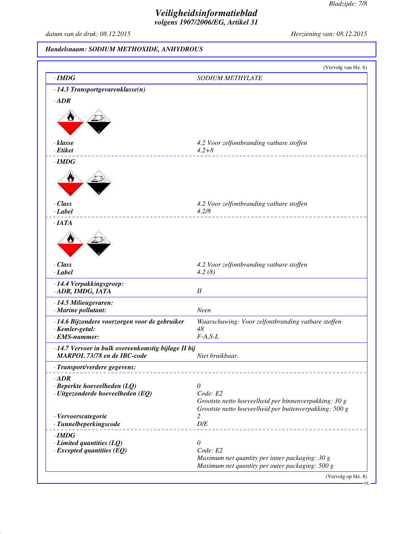*datum van de druk: 08.12.2015 Herziening van: 08.12.2015*

# *Handelsnaam: SODIUM METHOXIDE, ANHYDROUS*

| $\cdot$ IMDG                                                                        | <b>SODIUM METHYLATE</b>                                |
|-------------------------------------------------------------------------------------|--------------------------------------------------------|
| $\cdot$ 14.3 Transportgevarenklasse(n)                                              |                                                        |
|                                                                                     |                                                        |
| $\cdot$ <i>ADR</i>                                                                  |                                                        |
|                                                                                     |                                                        |
|                                                                                     |                                                        |
|                                                                                     |                                                        |
| $\cdot$ klasse                                                                      | 4.2 Voor zelfontbranding vatbare stoffen               |
| $\cdot$ Etiket                                                                      | $4.2 + 8$                                              |
| $\cdot$ IMDG                                                                        |                                                        |
|                                                                                     |                                                        |
|                                                                                     |                                                        |
|                                                                                     |                                                        |
| $\cdot$ Class                                                                       | 4.2 Voor zelfontbranding vatbare stoffen               |
| $\cdot$ Label                                                                       | 4.2/8                                                  |
| $\cdot$ IATA                                                                        |                                                        |
|                                                                                     |                                                        |
|                                                                                     |                                                        |
|                                                                                     |                                                        |
|                                                                                     |                                                        |
| $\cdot$ Class                                                                       | 4.2 Voor zelfontbranding vatbare stoffen               |
| $\cdot$ Label                                                                       | 4.2(8)                                                 |
| · 14.4 Verpakkingsgroep:                                                            |                                                        |
| · ADR, IMDG, IATA                                                                   | $I\!I$                                                 |
| $\cdot$ 14.5 Milieugevaren:                                                         |                                                        |
| · Marine pollutant:                                                                 | Neen                                                   |
| · 14.6 Bijzondere voorzorgen voor de gebruiker                                      | Waarschuwing: Voor zelfontbranding vatbare stoffen     |
| · Kemler-getal:<br>$\cdot$ EMS-nummer:                                              | 48<br>$F-A, S-L$                                       |
|                                                                                     |                                                        |
| · 14.7 Vervoer in bulk overeenkomstig bijlage II bij<br>MARPOL 73/78 en de IBC-code | Niet bruikbaar.                                        |
| · Transport/verdere gegevens:                                                       |                                                        |
|                                                                                     |                                                        |
| $\cdot$ <i>ADR</i>                                                                  | $\theta$                                               |
| $\cdot$ Beperkte hoeveelheden (LQ)<br>$\cdot$ Uitgezonderde hoeveelheden (EQ)       | Code: E2                                               |
|                                                                                     | Grootste netto hoeveelheid per binnenverpakking: 30 g  |
|                                                                                     | Grootste netto hoeveelheid per buitenverpakking: 500 g |
| · Vervoerscategorie                                                                 | 2                                                      |
| · Tunnelbeperkingscode                                                              | $D\!/\!E$                                              |
| $\cdot$ IMDG                                                                        |                                                        |
| $\cdot$ Limited quantities (LQ)                                                     | 0<br>Code: E2                                          |
| $\cdot$ Excepted quantities (EQ)                                                    | Maximum net quantity per inner packaging: 30 g         |
|                                                                                     | Maximum net quantity per outer packaging: 500 g        |
|                                                                                     |                                                        |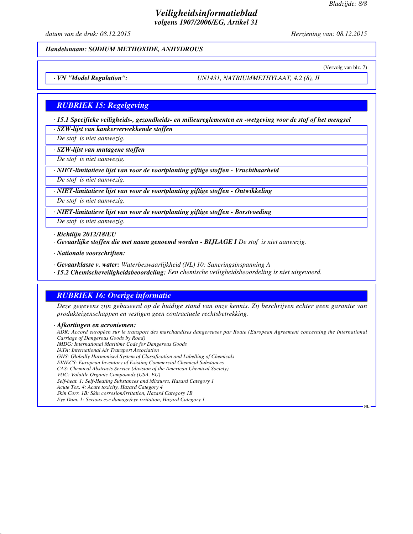*datum van de druk: 08.12.2015 Herziening van: 08.12.2015*

#### *Handelsnaam: SODIUM METHOXIDE, ANHYDROUS*

(Vervolg van blz. 7)

NL

*· VN "Model Regulation": UN1431, NATRIUMMETHYLAAT, 4.2 (8), II*

## *RUBRIEK 15: Regelgeving*

*· 15.1 Specifieke veiligheids-, gezondheids- en milieureglementen en -wetgeving voor de stof of het mengsel · SZW-lijst van kankerverwekkende stoffen*

*De stof is niet aanwezig.*

*· SZW-lijst van mutagene stoffen*

*De stof is niet aanwezig.*

*· NIET-limitatieve lijst van voor de voortplanting giftige stoffen - Vruchtbaarheid*

*De stof is niet aanwezig.*

*· NIET-limitatieve lijst van voor de voortplanting giftige stoffen - Ontwikkeling*

*De stof is niet aanwezig.*

*· NIET-limitatieve lijst van voor de voortplanting giftige stoffen - Borstvoeding*

*De stof is niet aanwezig.*

*· Richtlijn 2012/18/EU*

*· Gevaarlijke stoffen die met naam genoemd worden - BIJLAGE I De stof is niet aanwezig.*

*· Nationale voorschriften:*

*· Gevaarklasse v. water: Waterbezwaarlijkheid (NL) 10: Saneringsinspanning A*

*· 15.2 Chemischeveiligheidsbeoordeling: Een chemische veiligheidsbeoordeling is niet uitgevoerd.*

## *RUBRIEK 16: Overige informatie*

*Deze gegevens zijn gebaseerd op de huidige stand van onze kennis. Zij beschrijven echter geen garantie van produkteigenschappen en vestigen geen contractuele rechtsbetrekking.*

*· Afkortingen en acroniemen: ADR: Accord européen sur le transport des marchandises dangereuses par Route (European Agreement concerning the International Carriage of Dangerous Goods by Road) IMDG: International Maritime Code for Dangerous Goods IATA: International Air Transport Association GHS: Globally Harmonised System of Classification and Labelling of Chemicals EINECS: European Inventory of Existing Commercial Chemical Substances CAS: Chemical Abstracts Service (division of the American Chemical Society) VOC: Volatile Organic Compounds (USA, EU) Self-heat. 1: Self-Heating Substances and Mixtures, Hazard Category 1 Acute Tox. 4: Acute toxicity, Hazard Category 4 Skin Corr. 1B: Skin corrosion/irritation, Hazard Category 1B Eye Dam. 1: Serious eye damage/eye irritation, Hazard Category 1*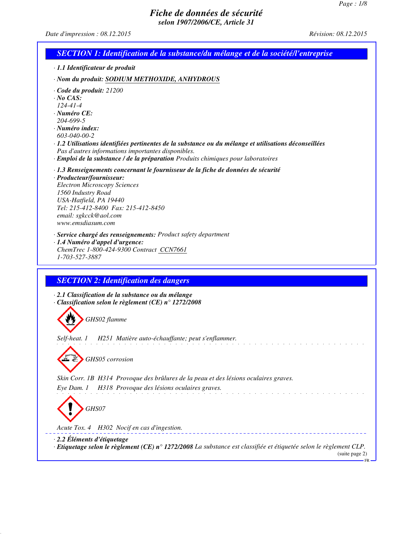*Date d'impression : 08.12.2015 Révision: 08.12.2015*

|                                                                                                                                                 | <b>SECTION 1: Identification de la substance/du mélange et de la société/l'entreprise</b>                                                                                                                                                          |
|-------------------------------------------------------------------------------------------------------------------------------------------------|----------------------------------------------------------------------------------------------------------------------------------------------------------------------------------------------------------------------------------------------------|
|                                                                                                                                                 | · 1.1 Identificateur de produit                                                                                                                                                                                                                    |
|                                                                                                                                                 | · Nom du produit: SODIUM METHOXIDE, ANHYDROUS                                                                                                                                                                                                      |
| $\cdot$ Code du produit: 21200<br>$\cdot$ No CAS:<br>$124 - 41 - 4$<br>$\cdot$ Numéro CE:<br>204-699-5<br>$\cdot$ Numéro index:<br>603-040-00-2 | 1.2 Utilisations identifiées pertinentes de la substance ou du mélange et utilisations déconseillées<br>Pas d'autres informations importantes disponibles.<br>· Emploi de la substance / de la préparation Produits chimiques pour laboratoires    |
| · Producteur/fournisseur:<br>1560 Industry Road<br>USA-Hatfield, PA 19440<br>email: sgkcck@aol.com<br>www.emsdiasum.com                         | $\cdot$ 1.3 Renseignements concernant le fournisseur de la fiche de données de sécurité<br><b>Electron Microscopy Sciences</b><br>Tel: 215-412-8400 Fax: 215-412-8450                                                                              |
|                                                                                                                                                 | · Service chargé des renseignements: Product safety department<br>· 1.4 Numéro d'appel d'urgence:<br>ChemTrec 1-800-424-9300 Contract CCN7661                                                                                                      |
| 1-703-527-3887                                                                                                                                  |                                                                                                                                                                                                                                                    |
|                                                                                                                                                 | <b>SECTION 2: Identification des dangers</b><br>· 2.1 Classification de la substance ou du mélange<br>$\cdot$ Classification selon le règlement (CE) n° 1272/2008<br>GHS02 flamme<br>Self-heat. 1 H251 Matière auto-échauffante; peut s'enflammer. |
|                                                                                                                                                 | GHS05 corrosion<br>Skin Corr. 1B H314 Provoque des brûlures de la peau et des lésions oculaires graves.                                                                                                                                            |
| Eye Dam. 1                                                                                                                                      | H318 Provoque des lésions oculaires graves.<br>GHS07<br>Acute Tox. 4 H302 Nocif en cas d'ingestion.                                                                                                                                                |

FR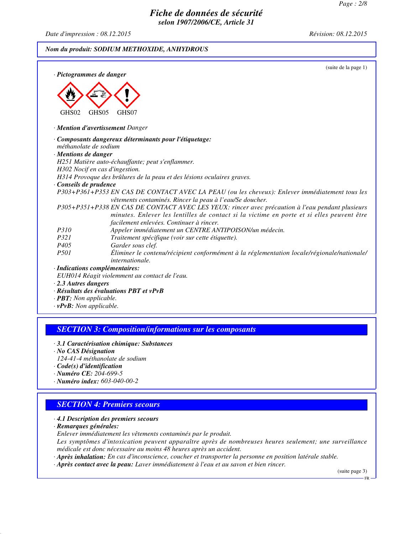*Date d'impression : 08.12.2015 Révision: 08.12.2015*

*Nom du produit: SODIUM METHOXIDE, ANHYDROUS*



## *SECTION 3: Composition/informations sur les composants*

- *· 3.1 Caractérisation chimique: Substances*
- *· No CAS Désignation*
- *124-41-4 méthanolate de sodium*
- *· Code(s) d'identification*
- *· Numéro CE: 204-699-5*
- *· Numéro index: 603-040-00-2*

## *SECTION 4: Premiers secours*

- *· 4.1 Description des premiers secours*
- *· Remarques générales:*
- *Enlever immédiatement les vêtements contaminés par le produit.*

*Les symptômes d'intoxication peuvent apparaître après de nombreuses heures seulement; une surveillance médicale est donc nécessaire au moins 48 heures après un accident.*

- *· Après inhalation: En cas d'inconscience, coucher et transporter la personne en position latérale stable.*
- *· Après contact avec la peau: Laver immédiatement à l'eau et au savon et bien rincer.*

(suite page 3)

FR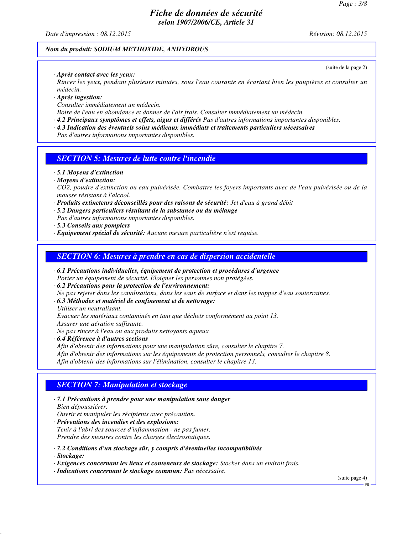*Date d'impression : 08.12.2015 Révision: 08.12.2015*

#### *Nom du produit: SODIUM METHOXIDE, ANHYDROUS*

*· Après contact avec les yeux:*

*Rincer les yeux, pendant plusieurs minutes, sous l'eau courante en écartant bien les paupières et consulter un médecin.*

- *· Après ingestion:*
- *Consulter immédiatement un médecin.*

*Boire de l'eau en abondance et donner de l'air frais. Consulter immédiatement un médecin.*

- *· 4.2 Principaux symptômes et effets, aigus et différés Pas d'autres informations importantes disponibles.*
- *· 4.3 Indication des éventuels soins médicaux immédiats et traitements particuliers nécessaires*

*Pas d'autres informations importantes disponibles.*

## *SECTION 5: Mesures de lutte contre l'incendie*

*· 5.1 Moyens d'extinction*

# *· Moyens d'extinction:*

*CO2, poudre d'extinction ou eau pulvérisée. Combattre les foyers importants avec de l'eau pulvérisée ou de la mousse résistant à l'alcool.*

- *· Produits extincteurs déconseillés pour des raisons de sécurité: Jet d'eau à grand débit*
- *· 5.2 Dangers particuliers résultant de la substance ou du mélange*
- *Pas d'autres informations importantes disponibles.*
- *· 5.3 Conseils aux pompiers*
- *· Equipement spécial de sécurité: Aucune mesure particulière n'est requise.*

## *SECTION 6: Mesures à prendre en cas de dispersion accidentelle*

- *· 6.1 Précautions individuelles, équipement de protection et procédures d'urgence*
- *Porter un équipement de sécurité. Eloigner les personnes non protégées.*
- *· 6.2 Précautions pour la protection de l'environnement:*

*Ne pas rejeter dans les canalisations, dans les eaux de surface et dans les nappes d'eau souterraines.*

- *· 6.3 Méthodes et matériel de confinement et de nettoyage:*
- *Utiliser un neutralisant.*

*Evacuer les matériaux contaminés en tant que déchets conformément au point 13.*

*Assurer une aération suffisante.*

*Ne pas rincer à l'eau ou aux produits nettoyants aqueux.*

*· 6.4 Référence à d'autres sections*

*Afin d'obtenir des informations pour une manipulation sûre, consulter le chapitre 7. Afin d'obtenir des informations sur les équipements de protection personnels, consulter le chapitre 8. Afin d'obtenir des informations sur l'élimination, consulter le chapitre 13.*

# *SECTION 7: Manipulation et stockage*

*· 7.1 Précautions à prendre pour une manipulation sans danger Bien dépoussiérer.*

*Ouvrir et manipuler les récipients avec précaution.*

- *· Préventions des incendies et des explosions: Tenir à l'abri des sources d'inflammation - ne pas fumer. Prendre des mesures contre les charges électrostatiques.*
- *· 7.2 Conditions d'un stockage sûr, y compris d'éventuelles incompatibilités*
- *· Stockage:*
- *· Exigences concernant les lieux et conteneurs de stockage: Stocker dans un endroit frais.*
- *· Indications concernant le stockage commun: Pas nécessaire.*

(suite page 4)

(suite de la page 2)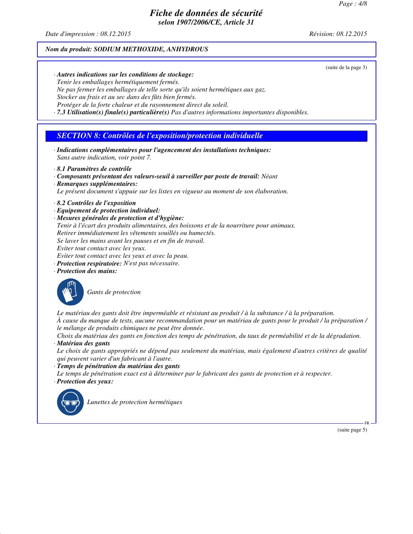*Date d'impression : 08.12.2015 Révision: 08.12.2015*

(suite de la page 3)

#### *Nom du produit: SODIUM METHOXIDE, ANHYDROUS*

*· Autres indications sur les conditions de stockage: Tenir les emballages hermétiquement fermés. Ne pas fermer les emballages de telle sorte qu'ils soient hermétiques aux gaz. Stocker au frais et au sec dans des fûts bien fermés. Protéger de la forte chaleur et du rayonnement direct du soleil. · 7.3 Utilisation(s) finale(s) particulière(s) Pas d'autres informations importantes disponibles.*

# *SECTION 8: Contrôles de l'exposition/protection individuelle*

- *· Indications complémentaires pour l'agencement des installations techniques: Sans autre indication, voir point 7.*
- *· 8.1 Paramètres de contrôle*
- *· Composants présentant des valeurs-seuil à surveiller par poste de travail: Néant*
- *· Remarques supplémentaires:*

*Le présent document s'appuie sur les listes en vigueur au moment de son élaboration.*

- *· 8.2 Contrôles de l'exposition*
- *· Equipement de protection individuel:*
- *· Mesures générales de protection et d'hygiène:*
- *Tenir à l'écart des produits alimentaires, des boissons et de la nourriture pour animaux.*
- *Retirer immédiatement les vêtements souillés ou humectés.*
- *Se laver les mains avant les pauses et en fin de travail.*

*Eviter tout contact avec les yeux.*

- *Eviter tout contact avec les yeux et avec la peau.*
- *· Protection respiratoire: N'est pas nécessaire.*
- *· Protection des mains:*



*Gants de protection*

*Le matériau des gants doit être imperméable et résistant au produit / à la substance / à la préparation. À cause du manque de tests, aucune recommandation pour un matériau de gants pour le produit / la préparation / le mélange de produits chimiques ne peut être donnée.*

*Choix du matériau des gants en fonction des temps de pénétration, du taux de perméabilité et de la dégradation. · Matériau des gants*

*Le choix de gants appropriés ne dépend pas seulement du matériau, mais également d'autres critères de qualité qui peuvent varier d'un fabricant à l'autre.*

*· Temps de pénétration du matériau des gants*

*Le temps de pénétration exact est à déterminer par le fabricant des gants de protection et à respecter. · Protection des yeux:*



*Lunettes de protection hermétiques*

(suite page 5)

FR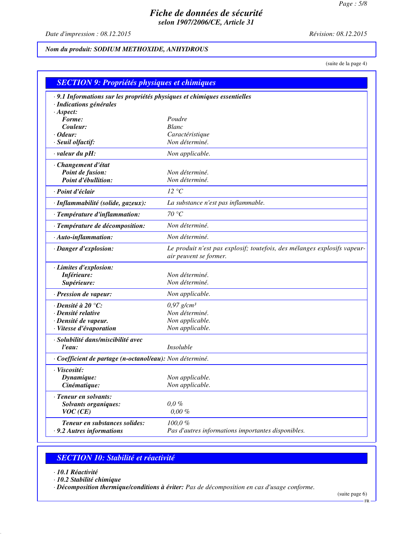*Date d'impression : 08.12.2015 Révision: 08.12.2015*

# *Nom du produit: SODIUM METHOXIDE, ANHYDROUS*

(suite de la page 4)

| · 9.1 Informations sur les propriétés physiques et chimiques essentielles<br>· Indications générales<br>$·$ Aspect:<br>Forme:<br>Poudre<br>Couleur:<br><b>Blanc</b><br>$\cdot$ Odeur:<br>Caractéristique<br>Non déterminé.<br>· Seuil olfactif:<br>valeur du pH:<br>Non applicable.<br>· Changement d'état<br>Point de fusion:<br>Non déterminé.<br>Non déterminé.<br>Point d'ébullition:<br>· Point d'éclair<br>12 °C<br>· Inflammabilité (solide, gazeux):<br>La substance n'est pas inflammable.<br>70 °C<br>· Température d'inflammation:<br>Non déterminé.<br>· Température de décomposition:<br>Non déterminé.<br>$\cdot$ Auto-inflammation:<br>Le produit n'est pas explosif; toutefois, des mélanges explosifs vapeur-<br>· Danger d'explosion:<br>air peuvent se former.<br>· Limites d'explosion:<br>Inférieure:<br>Non déterminé.<br>Non déterminé.<br>Supérieure:<br>· Pression de vapeur:<br>Non applicable.<br>$\cdot$ Densité à 20 °C:<br>$0.97$ g/cm <sup>3</sup><br>Non déterminé.<br>· Densité relative<br>· Densité de vapeur.<br>Non applicable.<br>· Vitesse d'évaporation<br>Non applicable.<br>· Solubilité dans/miscibilité avec<br>Insoluble<br>l'eau:<br>· Coefficient de partage (n-octanol/eau): Non déterminé.<br>· Viscosité:<br>Non applicable.<br>Dynamique:<br>Cinématique:<br>Non applicable.<br>· Teneur en solvants:<br>0,0,0<br><b>Solvants organiques:</b><br>$0,00\%$<br>VOC(CE)<br>100,0%<br>Teneur en substances solides: | <b>SECTION 9: Propriétés physiques et chimiques</b> |                                                    |
|--------------------------------------------------------------------------------------------------------------------------------------------------------------------------------------------------------------------------------------------------------------------------------------------------------------------------------------------------------------------------------------------------------------------------------------------------------------------------------------------------------------------------------------------------------------------------------------------------------------------------------------------------------------------------------------------------------------------------------------------------------------------------------------------------------------------------------------------------------------------------------------------------------------------------------------------------------------------------------------------------------------------------------------------------------------------------------------------------------------------------------------------------------------------------------------------------------------------------------------------------------------------------------------------------------------------------------------------------------------------------------------------------------------------------------------------------------------------|-----------------------------------------------------|----------------------------------------------------|
|                                                                                                                                                                                                                                                                                                                                                                                                                                                                                                                                                                                                                                                                                                                                                                                                                                                                                                                                                                                                                                                                                                                                                                                                                                                                                                                                                                                                                                                                    |                                                     |                                                    |
|                                                                                                                                                                                                                                                                                                                                                                                                                                                                                                                                                                                                                                                                                                                                                                                                                                                                                                                                                                                                                                                                                                                                                                                                                                                                                                                                                                                                                                                                    |                                                     |                                                    |
|                                                                                                                                                                                                                                                                                                                                                                                                                                                                                                                                                                                                                                                                                                                                                                                                                                                                                                                                                                                                                                                                                                                                                                                                                                                                                                                                                                                                                                                                    |                                                     |                                                    |
|                                                                                                                                                                                                                                                                                                                                                                                                                                                                                                                                                                                                                                                                                                                                                                                                                                                                                                                                                                                                                                                                                                                                                                                                                                                                                                                                                                                                                                                                    |                                                     |                                                    |
|                                                                                                                                                                                                                                                                                                                                                                                                                                                                                                                                                                                                                                                                                                                                                                                                                                                                                                                                                                                                                                                                                                                                                                                                                                                                                                                                                                                                                                                                    |                                                     |                                                    |
|                                                                                                                                                                                                                                                                                                                                                                                                                                                                                                                                                                                                                                                                                                                                                                                                                                                                                                                                                                                                                                                                                                                                                                                                                                                                                                                                                                                                                                                                    |                                                     |                                                    |
|                                                                                                                                                                                                                                                                                                                                                                                                                                                                                                                                                                                                                                                                                                                                                                                                                                                                                                                                                                                                                                                                                                                                                                                                                                                                                                                                                                                                                                                                    |                                                     |                                                    |
|                                                                                                                                                                                                                                                                                                                                                                                                                                                                                                                                                                                                                                                                                                                                                                                                                                                                                                                                                                                                                                                                                                                                                                                                                                                                                                                                                                                                                                                                    |                                                     |                                                    |
|                                                                                                                                                                                                                                                                                                                                                                                                                                                                                                                                                                                                                                                                                                                                                                                                                                                                                                                                                                                                                                                                                                                                                                                                                                                                                                                                                                                                                                                                    |                                                     |                                                    |
|                                                                                                                                                                                                                                                                                                                                                                                                                                                                                                                                                                                                                                                                                                                                                                                                                                                                                                                                                                                                                                                                                                                                                                                                                                                                                                                                                                                                                                                                    |                                                     |                                                    |
|                                                                                                                                                                                                                                                                                                                                                                                                                                                                                                                                                                                                                                                                                                                                                                                                                                                                                                                                                                                                                                                                                                                                                                                                                                                                                                                                                                                                                                                                    |                                                     |                                                    |
|                                                                                                                                                                                                                                                                                                                                                                                                                                                                                                                                                                                                                                                                                                                                                                                                                                                                                                                                                                                                                                                                                                                                                                                                                                                                                                                                                                                                                                                                    |                                                     |                                                    |
|                                                                                                                                                                                                                                                                                                                                                                                                                                                                                                                                                                                                                                                                                                                                                                                                                                                                                                                                                                                                                                                                                                                                                                                                                                                                                                                                                                                                                                                                    |                                                     |                                                    |
|                                                                                                                                                                                                                                                                                                                                                                                                                                                                                                                                                                                                                                                                                                                                                                                                                                                                                                                                                                                                                                                                                                                                                                                                                                                                                                                                                                                                                                                                    |                                                     |                                                    |
|                                                                                                                                                                                                                                                                                                                                                                                                                                                                                                                                                                                                                                                                                                                                                                                                                                                                                                                                                                                                                                                                                                                                                                                                                                                                                                                                                                                                                                                                    |                                                     |                                                    |
|                                                                                                                                                                                                                                                                                                                                                                                                                                                                                                                                                                                                                                                                                                                                                                                                                                                                                                                                                                                                                                                                                                                                                                                                                                                                                                                                                                                                                                                                    |                                                     |                                                    |
|                                                                                                                                                                                                                                                                                                                                                                                                                                                                                                                                                                                                                                                                                                                                                                                                                                                                                                                                                                                                                                                                                                                                                                                                                                                                                                                                                                                                                                                                    |                                                     |                                                    |
|                                                                                                                                                                                                                                                                                                                                                                                                                                                                                                                                                                                                                                                                                                                                                                                                                                                                                                                                                                                                                                                                                                                                                                                                                                                                                                                                                                                                                                                                    |                                                     |                                                    |
|                                                                                                                                                                                                                                                                                                                                                                                                                                                                                                                                                                                                                                                                                                                                                                                                                                                                                                                                                                                                                                                                                                                                                                                                                                                                                                                                                                                                                                                                    |                                                     |                                                    |
|                                                                                                                                                                                                                                                                                                                                                                                                                                                                                                                                                                                                                                                                                                                                                                                                                                                                                                                                                                                                                                                                                                                                                                                                                                                                                                                                                                                                                                                                    |                                                     |                                                    |
|                                                                                                                                                                                                                                                                                                                                                                                                                                                                                                                                                                                                                                                                                                                                                                                                                                                                                                                                                                                                                                                                                                                                                                                                                                                                                                                                                                                                                                                                    |                                                     |                                                    |
|                                                                                                                                                                                                                                                                                                                                                                                                                                                                                                                                                                                                                                                                                                                                                                                                                                                                                                                                                                                                                                                                                                                                                                                                                                                                                                                                                                                                                                                                    |                                                     |                                                    |
|                                                                                                                                                                                                                                                                                                                                                                                                                                                                                                                                                                                                                                                                                                                                                                                                                                                                                                                                                                                                                                                                                                                                                                                                                                                                                                                                                                                                                                                                    |                                                     |                                                    |
|                                                                                                                                                                                                                                                                                                                                                                                                                                                                                                                                                                                                                                                                                                                                                                                                                                                                                                                                                                                                                                                                                                                                                                                                                                                                                                                                                                                                                                                                    |                                                     |                                                    |
|                                                                                                                                                                                                                                                                                                                                                                                                                                                                                                                                                                                                                                                                                                                                                                                                                                                                                                                                                                                                                                                                                                                                                                                                                                                                                                                                                                                                                                                                    |                                                     |                                                    |
|                                                                                                                                                                                                                                                                                                                                                                                                                                                                                                                                                                                                                                                                                                                                                                                                                                                                                                                                                                                                                                                                                                                                                                                                                                                                                                                                                                                                                                                                    |                                                     |                                                    |
|                                                                                                                                                                                                                                                                                                                                                                                                                                                                                                                                                                                                                                                                                                                                                                                                                                                                                                                                                                                                                                                                                                                                                                                                                                                                                                                                                                                                                                                                    |                                                     |                                                    |
|                                                                                                                                                                                                                                                                                                                                                                                                                                                                                                                                                                                                                                                                                                                                                                                                                                                                                                                                                                                                                                                                                                                                                                                                                                                                                                                                                                                                                                                                    |                                                     |                                                    |
|                                                                                                                                                                                                                                                                                                                                                                                                                                                                                                                                                                                                                                                                                                                                                                                                                                                                                                                                                                                                                                                                                                                                                                                                                                                                                                                                                                                                                                                                    |                                                     |                                                    |
|                                                                                                                                                                                                                                                                                                                                                                                                                                                                                                                                                                                                                                                                                                                                                                                                                                                                                                                                                                                                                                                                                                                                                                                                                                                                                                                                                                                                                                                                    |                                                     |                                                    |
|                                                                                                                                                                                                                                                                                                                                                                                                                                                                                                                                                                                                                                                                                                                                                                                                                                                                                                                                                                                                                                                                                                                                                                                                                                                                                                                                                                                                                                                                    |                                                     |                                                    |
|                                                                                                                                                                                                                                                                                                                                                                                                                                                                                                                                                                                                                                                                                                                                                                                                                                                                                                                                                                                                                                                                                                                                                                                                                                                                                                                                                                                                                                                                    |                                                     |                                                    |
|                                                                                                                                                                                                                                                                                                                                                                                                                                                                                                                                                                                                                                                                                                                                                                                                                                                                                                                                                                                                                                                                                                                                                                                                                                                                                                                                                                                                                                                                    |                                                     |                                                    |
|                                                                                                                                                                                                                                                                                                                                                                                                                                                                                                                                                                                                                                                                                                                                                                                                                                                                                                                                                                                                                                                                                                                                                                                                                                                                                                                                                                                                                                                                    |                                                     |                                                    |
|                                                                                                                                                                                                                                                                                                                                                                                                                                                                                                                                                                                                                                                                                                                                                                                                                                                                                                                                                                                                                                                                                                                                                                                                                                                                                                                                                                                                                                                                    |                                                     |                                                    |
|                                                                                                                                                                                                                                                                                                                                                                                                                                                                                                                                                                                                                                                                                                                                                                                                                                                                                                                                                                                                                                                                                                                                                                                                                                                                                                                                                                                                                                                                    | .9.2 Autres informations                            | Pas d'autres informations importantes disponibles. |

# *SECTION 10: Stabilité et réactivité*

*· 10.1 Réactivité*

*· 10.2 Stabilité chimique*

*· Décomposition thermique/conditions à éviter: Pas de décomposition en cas d'usage conforme.*

(suite page 6)

FR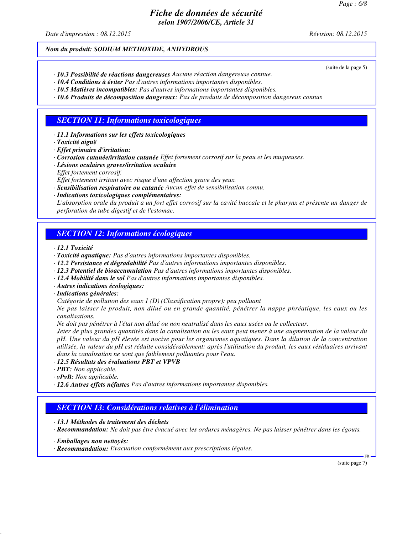*Date d'impression : 08.12.2015 Révision: 08.12.2015*

(suite de la page 5)

## *Nom du produit: SODIUM METHOXIDE, ANHYDROUS*

- *· 10.3 Possibilité de réactions dangereuses Aucune réaction dangereuse connue.*
- *· 10.4 Conditions à éviter Pas d'autres informations importantes disponibles.*
- *· 10.5 Matières incompatibles: Pas d'autres informations importantes disponibles.*
- *· 10.6 Produits de décomposition dangereux: Pas de produits de décomposition dangereux connus*

## *SECTION 11: Informations toxicologiques*

- *· 11.1 Informations sur les effets toxicologiques*
- *· Toxicité aiguë*
- *· Effet primaire d'irritation:*
- *· Corrosion cutanée/irritation cutanée Effet fortement corrosif sur la peau et les muqueuses.*
- *· Lésions oculaires graves/irritation oculaire Effet fortement corrosif.*

*Effet fortement irritant avec risque d'une affection grave des yeux.*

- *· Sensibilisation respiratoire ou cutanée Aucun effet de sensibilisation connu.*
- *· Indications toxicologiques complémentaires:*

*L'absorption orale du produit a un fort effet corrosif sur la cavité buccale et le pharynx et présente un danger de perforation du tube digestif et de l'estomac.*

# *SECTION 12: Informations écologiques*

*· 12.1 Toxicité*

- *· Toxicité aquatique: Pas d'autres informations importantes disponibles.*
- *· 12.2 Persistance et dégradabilité Pas d'autres informations importantes disponibles.*
- *· 12.3 Potentiel de bioaccumulation Pas d'autres informations importantes disponibles.*
- *· 12.4 Mobilité dans le sol Pas d'autres informations importantes disponibles.*
- *· Autres indications écologiques:*
- *· Indications générales:*

*Catégorie de pollution des eaux 1 (D) (Classification propre): peu polluant*

*Ne pas laisser le produit, non dilué ou en grande quantité, pénétrer la nappe phréatique, les eaux ou les canalisations.*

*Ne doit pas pénétrer à l'état non dilué ou non neutralisé dans les eaux usées ou le collecteur.*

*Jeter de plus grandes quantités dans la canalisation ou les eaux peut mener à une augmentation de la valeur du pH. Une valeur du pH élevée est nocive pour les organismes aquatiques. Dans la dilution de la concentration utilisée, la valeur du pH est réduite considérablement: après l'utilisation du produit, les eaux résiduaires arrivant dans la canalisation ne sont que faiblement polluantes pour l'eau.*

#### *· 12.5 Résultats des évaluations PBT et VPVB*

- *· PBT: Non applicable.*
- *· vPvB: Non applicable.*
- *· 12.6 Autres effets néfastes Pas d'autres informations importantes disponibles.*

# *SECTION 13: Considérations relatives à l'élimination*

*· 13.1 Méthodes de traitement des déchets*

- *· Recommandation: Ne doit pas être évacué avec les ordures ménagères. Ne pas laisser pénétrer dans les égouts.*
- *· Emballages non nettoyés:*

*· Recommandation: Evacuation conformément aux prescriptions légales.*

(suite page 7)

FR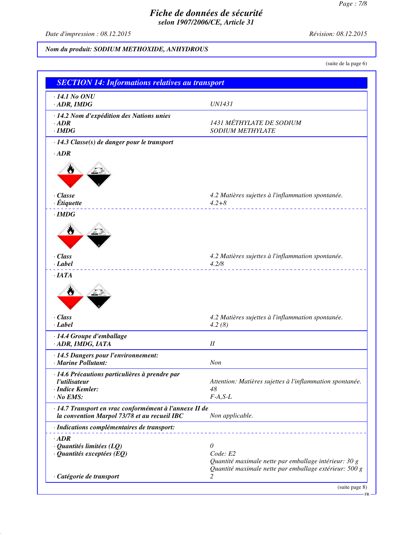*Date d'impression : 08.12.2015 Révision: 08.12.2015*

# *Nom du produit: SODIUM METHOXIDE, ANHYDROUS*

(suite de la page 6)

| $\cdot$ 14.1 No ONU                                                                                    |                                                                |
|--------------------------------------------------------------------------------------------------------|----------------------------------------------------------------|
| $\cdot$ ADR, IMDG                                                                                      | <b>UN1431</b>                                                  |
| · 14.2 Nom d'expédition des Nations unies                                                              |                                                                |
| $\cdot$ <i>ADR</i>                                                                                     | 1431 MÉTHYLATE DE SODIUM                                       |
| $\cdot$ IMDG                                                                                           | <b>SODIUM METHYLATE</b>                                        |
| · 14.3 Classe(s) de danger pour le transport                                                           |                                                                |
| $\cdot$ ADR                                                                                            |                                                                |
|                                                                                                        |                                                                |
| $\cdot$ Classe                                                                                         | 4.2 Matières sujettes à l'inflammation spontanée.              |
| $\cdot$ Étiquette                                                                                      | $4.2 + 8$                                                      |
| $\cdot$ IMDG                                                                                           |                                                                |
| W                                                                                                      |                                                                |
| · Class<br>$\cdot$ Label                                                                               | 4.2 Matières sujettes à l'inflammation spontanée.<br>4.2/8     |
| $\cdot$ IATA                                                                                           |                                                                |
| W<br>$\cdot$ Class<br>$\cdot$ Label                                                                    | 4.2 Matières sujettes à l'inflammation spontanée.<br>4.2(8)    |
|                                                                                                        |                                                                |
| · 14.4 Groupe d'emballage<br>· ADR, IMDG, IATA                                                         | $I\!I$                                                         |
|                                                                                                        |                                                                |
| · 14.5 Dangers pour l'environnement:                                                                   |                                                                |
| · Marine Pollutant:                                                                                    | Non                                                            |
| · 14.6 Précautions particulières à prendre par                                                         |                                                                |
| l'utilisateur<br>· Indice Kemler:                                                                      | Attention: Matières sujettes à l'inflammation spontanée.<br>48 |
| $\cdot$ No EMS:                                                                                        | $F-A, S-L$                                                     |
|                                                                                                        |                                                                |
| · 14.7 Transport en vrac conformément à l'annexe II de<br>la convention Marpol 73/78 et au recueil IBC | Non applicable.                                                |
| · Indications complémentaires de transport:                                                            |                                                                |
| $\cdot$ ADR                                                                                            |                                                                |
| $\cdot$ Quantités limitées (LQ)                                                                        | 0                                                              |
| $\cdot$ Quantités exceptées (EQ)                                                                       | Code: E2                                                       |
|                                                                                                        | Quantité maximale nette par emballage intérieur: 30 g          |
|                                                                                                        | Quantité maximale nette par emballage extérieur: 500 g         |
| · Catégorie de transport                                                                               | 2                                                              |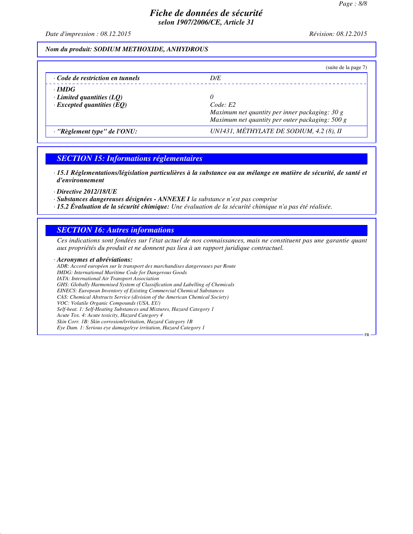FR

# *Fiche de données de sécurité selon 1907/2006/CE, Article 31*

*Date d'impression : 08.12.2015 Révision: 08.12.2015*

#### *Nom du produit: SODIUM METHOXIDE, ANHYDROUS*

|                                                                                     | (suite de la page 7)                                                                                               |
|-------------------------------------------------------------------------------------|--------------------------------------------------------------------------------------------------------------------|
| $\cdot$ Code de restriction en tunnels                                              | D/E                                                                                                                |
| $\cdot$ IMDG<br>$\cdot$ Limited quantities (LQ)<br>$\cdot$ Excepted quantities (EQ) | 0<br>Code: E2<br>Maximum net quantity per inner packaging: 30 g<br>Maximum net quantity per outer packaging: 500 g |
| $\cdot$ "Règlement type" de l'ONU:                                                  | UN1431, MÉTHYLATE DE SODIUM, 4.2 (8), II                                                                           |

#### *SECTION 15: Informations réglementaires*

*· 15.1 Réglementations/législation particulières à la substance ou au mélange en matière de sécurité, de santé et d'environnement*

*· Directive 2012/18/UE*

- *· Substances dangereuses désignées ANNEXE I la substance n'est pas comprise*
- *· 15.2 Évaluation de la sécurité chimique: Une évaluation de la sécurité chimique n'a pas été réalisée.*

#### *SECTION 16: Autres informations*

*Ces indications sont fondées sur l'état actuel de nos connaissances, mais ne constituent pas une garantie quant aux propriétés du produit et ne donnent pas lieu à un rapport juridique contractuel.*

#### *· Acronymes et abréviations:*

*ADR: Accord européen sur le transport des marchandises dangereuses par Route IMDG: International Maritime Code for Dangerous Goods IATA: International Air Transport Association GHS: Globally Harmonised System of Classification and Labelling of Chemicals EINECS: European Inventory of Existing Commercial Chemical Substances CAS: Chemical Abstracts Service (division of the American Chemical Society) VOC: Volatile Organic Compounds (USA, EU) Self-heat. 1: Self-Heating Substances and Mixtures, Hazard Category 1 Acute Tox. 4: Acute toxicity, Hazard Category 4 Skin Corr. 1B: Skin corrosion/irritation, Hazard Category 1B Eye Dam. 1: Serious eye damage/eye irritation, Hazard Category 1*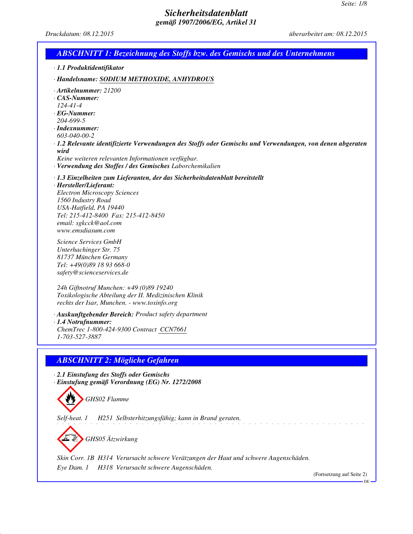*Druckdatum: 08.12.2015 überarbeitet am: 08.12.2015*

| <b>ABSCHNITT 1: Bezeichnung des Stoffs bzw. des Gemischs und des Unternehmens</b>                                                                                                                                                                                                                                                                                                         |                                 |
|-------------------------------------------------------------------------------------------------------------------------------------------------------------------------------------------------------------------------------------------------------------------------------------------------------------------------------------------------------------------------------------------|---------------------------------|
| · 1.1 Produktidentifikator                                                                                                                                                                                                                                                                                                                                                                |                                 |
| · Handelsname: SODIUM METHOXIDE, ANHYDROUS                                                                                                                                                                                                                                                                                                                                                |                                 |
| $\cdot$ Artikelnummer: 21200<br>$\cdot$ CAS-Nummer:<br>$124 - 41 - 4$<br>$\cdot$ EG-Nummer:<br>204-699-5<br>$\cdot$ Indexnummer:<br>603-040-00-2<br>· 1.2 Relevante identifizierte Verwendungen des Stoffs oder Gemischs und Verwendungen, von denen abgeraten<br>wird<br>Keine weiteren relevanten Informationen verfügbar.<br>· Verwendung des Stoffes / des Gemisches Laborchemikalien |                                 |
| · 1.3 Einzelheiten zum Lieferanten, der das Sicherheitsdatenblatt bereitstellt<br>· Hersteller/Lieferant:<br><b>Electron Microscopy Sciences</b><br>1560 Industry Road<br>USA-Hatfield, PA 19440<br>Tel: 215-412-8400 Fax: 215-412-8450<br>email: sgkcck@aol.com<br>www.emsdiasum.com                                                                                                     |                                 |
| Science Services GmbH<br>Unterhachinger Str. 75<br>81737 München Germany<br>Tel: +49(0)89 18 93 668-0<br>safety@scienceservices.de                                                                                                                                                                                                                                                        |                                 |
| 24h Giftnotruf Munchen: +49 (0)89 19240<br>Toxikologische Abteilung der II. Medizinischen Klinik<br>rechts der Isar, Munchen. - www.toxinfo.org                                                                                                                                                                                                                                           |                                 |
| · Auskunftgebender Bereich: Product safety department<br>$\cdot$ 1.4 Notrufnummer:<br>ChemTrec 1-800-424-9300 Contract CCN7661<br>1-703-527-3887                                                                                                                                                                                                                                          |                                 |
| <b>ABSCHNITT 2: Mögliche Gefahren</b>                                                                                                                                                                                                                                                                                                                                                     |                                 |
| 2.1 Einstufung des Stoffs oder Gemischs<br>· Einstufung gemäß Verordnung (EG) Nr. 1272/2008<br>GHS02 Flamme                                                                                                                                                                                                                                                                               |                                 |
| Self-heat. 1<br>H251 Selbsterhitzungsfähig; kann in Brand geraten.                                                                                                                                                                                                                                                                                                                        |                                 |
| GHS05 Ätzwirkung                                                                                                                                                                                                                                                                                                                                                                          |                                 |
| Skin Corr. 1B H314 Verursacht schwere Verätzungen der Haut und schwere Augenschäden.<br>H318 Verursacht schwere Augenschäden.<br>Eye Dam. 1                                                                                                                                                                                                                                               | (Fortsetzung auf Seite 2)<br>DE |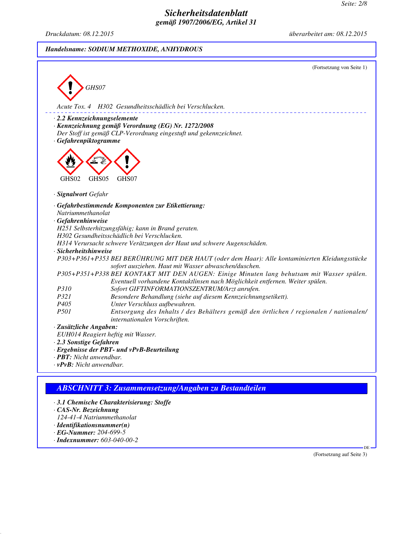*Druckdatum: 08.12.2015 überarbeitet am: 08.12.2015*

#### *Handelsname: SODIUM METHOXIDE, ANHYDROUS*



## *ABSCHNITT 3: Zusammensetzung/Angaben zu Bestandteilen*

- *· 3.1 Chemische Charakterisierung: Stoffe*
- *· CAS-Nr. Bezeichnung*
- *124-41-4 Natriummethanolat*
- *· Identifikationsnummer(n)*
- *· EG-Nummer: 204-699-5*
- *· Indexnummer: 603-040-00-2*

(Fortsetzung auf Seite 3)

DE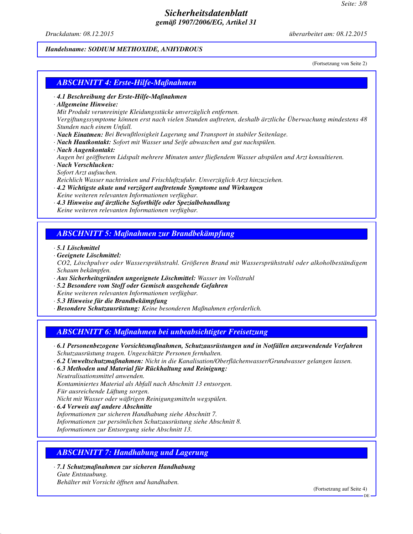*Druckdatum: 08.12.2015 überarbeitet am: 08.12.2015*

#### *Handelsname: SODIUM METHOXIDE, ANHYDROUS*

(Fortsetzung von Seite 2)

#### *ABSCHNITT 4: Erste-Hilfe-Maßnahmen*

- *· 4.1 Beschreibung der Erste-Hilfe-Maßnahmen*
- *· Allgemeine Hinweise:*

*Mit Produkt verunreinigte Kleidungsstücke unverzüglich entfernen.*

*Vergiftungssymptome können erst nach vielen Stunden auftreten, deshalb ärztliche Überwachung mindestens 48 Stunden nach einem Unfall.*

- *· Nach Einatmen: Bei Bewußtlosigkeit Lagerung und Transport in stabiler Seitenlage.*
- *· Nach Hautkontakt: Sofort mit Wasser und Seife abwaschen und gut nachspülen.*
- *· Nach Augenkontakt:*

*Augen bei geöffnetem Lidspalt mehrere Minuten unter fließendem Wasser abspülen und Arzt konsultieren.*

*· Nach Verschlucken: Sofort Arzt aufsuchen.*

*Reichlich Wasser nachtrinken und Frischluftzufuhr. Unverzüglich Arzt hinzuziehen.*

- *· 4.2 Wichtigste akute und verzögert auftretende Symptome und Wirkungen Keine weiteren relevanten Informationen verfügbar.*
- *· 4.3 Hinweise auf ärztliche Soforthilfe oder Spezialbehandlung Keine weiteren relevanten Informationen verfügbar.*

#### *ABSCHNITT 5: Maßnahmen zur Brandbekämpfung*

*· 5.1 Löschmittel*

*· Geeignete Löschmittel:*

*CO2, Löschpulver oder Wassersprühstrahl. Größeren Brand mit Wassersprühstrahl oder alkoholbeständigem Schaum bekämpfen.*

*· Aus Sicherheitsgründen ungeeignete Löschmittel: Wasser im Vollstrahl*

*· 5.2 Besondere vom Stoff oder Gemisch ausgehende Gefahren*

*Keine weiteren relevanten Informationen verfügbar.*

- *· 5.3 Hinweise für die Brandbekämpfung*
- *· Besondere Schutzausrüstung: Keine besonderen Maßnahmen erforderlich.*

#### *ABSCHNITT 6: Maßnahmen bei unbeabsichtigter Freisetzung*

- *· 6.1 Personenbezogene Vorsichtsmaßnahmen, Schutzausrüstungen und in Notfällen anzuwendende Verfahren Schutzausrüstung tragen. Ungeschützte Personen fernhalten.*
- *· 6.2 Umweltschutzmaßnahmen: Nicht in die Kanalisation/Oberflächenwasser/Grundwasser gelangen lassen.*
- *· 6.3 Methoden und Material für Rückhaltung und Reinigung: Neutralisationsmittel anwenden.*

*Kontaminiertes Material als Abfall nach Abschnitt 13 entsorgen.*

*Für ausreichende Lüftung sorgen.*

*Nicht mit Wasser oder wäßrigen Reinigungsmitteln wegspülen.*

*· 6.4 Verweis auf andere Abschnitte Informationen zur sicheren Handhabung siehe Abschnitt 7. Informationen zur persönlichen Schutzausrüstung siehe Abschnitt 8. Informationen zur Entsorgung siehe Abschnitt 13.*

# *ABSCHNITT 7: Handhabung und Lagerung*

*· 7.1 Schutzmaßnahmen zur sicheren Handhabung Gute Entstaubung. Behälter mit Vorsicht öffnen und handhaben.*

(Fortsetzung auf Seite 4)

DE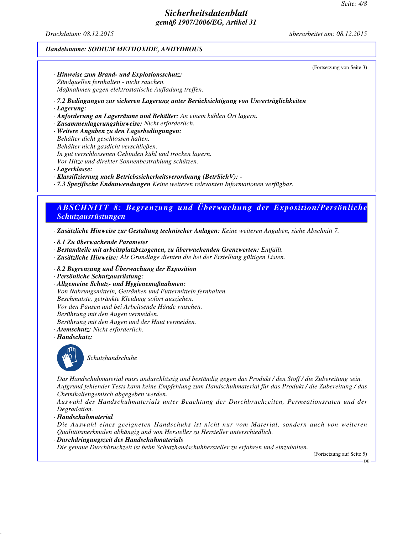*Druckdatum: 08.12.2015 überarbeitet am: 08.12.2015*

(Fortsetzung von Seite 3)

#### *Handelsname: SODIUM METHOXIDE, ANHYDROUS*

*· Hinweise zum Brand- und Explosionsschutz: Zündquellen fernhalten - nicht rauchen. Maßnahmen gegen elektrostatische Aufladung treffen.*

*· 7.2 Bedingungen zur sicheren Lagerung unter Berücksichtigung von Unverträglichkeiten*

*· Lagerung:*

*· Anforderung an Lagerräume und Behälter: An einem kühlen Ort lagern.*

*· Zusammenlagerungshinweise: Nicht erforderlich.*

*· Weitere Angaben zu den Lagerbedingungen:*

*Behälter dicht geschlossen halten.*

*Behälter nicht gasdicht verschließen. In gut verschlossenen Gebinden kühl und trocken lagern.*

*Vor Hitze und direkter Sonnenbestrahlung schützen.*

*· Lagerklasse:*

*· Klassifizierung nach Betriebssicherheitsverordnung (BetrSichV): -* 

*· 7.3 Spezifische Endanwendungen Keine weiteren relevanten Informationen verfügbar.*

# *ABSCHNITT 8: Begrenzung und Überwachung der Exposition/Persönliche Schutzausrüstungen*

*· Zusätzliche Hinweise zur Gestaltung technischer Anlagen: Keine weiteren Angaben, siehe Abschnitt 7.*

- *· 8.1 Zu überwachende Parameter*
- *· Bestandteile mit arbeitsplatzbezogenen, zu überwachenden Grenzwerten: Entfällt.*
- *· Zusätzliche Hinweise: Als Grundlage dienten die bei der Erstellung gültigen Listen.*
- *· 8.2 Begrenzung und Überwachung der Exposition*
- *· Persönliche Schutzausrüstung:*
- *· Allgemeine Schutz- und Hygienemaßnahmen: Von Nahrungsmitteln, Getränken und Futtermitteln fernhalten. Beschmutzte, getränkte Kleidung sofort ausziehen. Vor den Pausen und bei Arbeitsende Hände waschen. Berührung mit den Augen vermeiden. Berührung mit den Augen und der Haut vermeiden.*
- *· Atemschutz: Nicht erforderlich.*
- *· Handschutz:*



*Schutzhandschuhe*

*Das Handschuhmaterial muss undurchlässig und beständig gegen das Produkt / den Stoff / die Zubereitung sein. Aufgrund fehlender Tests kann keine Empfehlung zum Handschuhmaterial für das Produkt / die Zubereitung / das Chemikaliengemisch abgegeben werden.*

*Auswahl des Handschuhmaterials unter Beachtung der Durchbruchzeiten, Permeationsraten und der Degradation.*

*· Handschuhmaterial*

*Die Auswahl eines geeigneten Handschuhs ist nicht nur vom Material, sondern auch von weiteren Qualitätsmerkmalen abhängig und von Hersteller zu Hersteller unterschiedlich.*

*· Durchdringungszeit des Handschuhmaterials*

*Die genaue Durchbruchzeit ist beim Schutzhandschuhhersteller zu erfahren und einzuhalten.*

(Fortsetzung auf Seite 5)

DE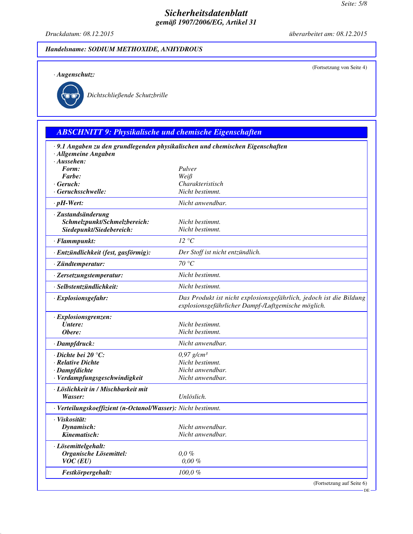*Druckdatum: 08.12.2015 überarbeitet am: 08.12.2015*

(Fortsetzung von Seite 4)

#### *Handelsname: SODIUM METHOXIDE, ANHYDROUS*

*· Augenschutz:*



*Dichtschließende Schutzbrille*

*ABSCHNITT 9: Physikalische und chemische Eigenschaften*

# *· 9.1 Angaben zu den grundlegenden physikalischen und chemischen Eigenschaften · Allgemeine Angaben <i>Aussehen:*<br>*Form: Form: Pulver Farbe: Weiß*  $Charakteristisch$ *· Geruchsschwelle: Nicht bestimmt. · pH-Wert: Nicht anwendbar. · Zustandsänderung Schmelzpunkt/Schmelzbereich: Nicht bestimmt. Siedepunkt/Siedebereich: Nicht bestimmt. · Flammpunkt: 12 °C · Entzündlichkeit (fest, gasförmig): Der Stoff ist nicht entzündlich. · Zündtemperatur: 70 °C · Zersetzungstemperatur: Nicht bestimmt. · Selbstentzündlichkeit: Nicht bestimmt. · Explosionsgefahr: Das Produkt ist nicht explosionsgefährlich, jedoch ist die Bildung explosionsgefährlicher Dampf-/Luftgemische möglich. · Explosionsgrenzen: Untere: Nicht bestimmt.*  $Nicht$  bestimmt.

| $\cdot$ Dampfdruck:                                          | Nicht anwendbar.         |
|--------------------------------------------------------------|--------------------------|
| $\cdot$ Dichte bei 20 $\degree$ C:                           | $0.97$ g/cm <sup>3</sup> |
| · Relative Dichte                                            | Nicht bestimmt.          |
| · Dampfdichte                                                | Nicht anwendbar.         |
| · Verdampfungsgeschwindigkeit                                | Nicht anwendbar.         |
| · Löslichkeit in / Mischbarkeit mit                          |                          |
| Wasser:                                                      | Unlöslich.               |
| · Verteilungskoeffizient (n-Octanol/Wasser): Nicht bestimmt. |                          |
| · Viskosität:                                                |                          |
| Dynamisch:                                                   | Nicht anwendbar.         |
| Kinematisch:                                                 | Nicht anwendbar.         |
| · Lösemittelgehalt:                                          |                          |
| Organische Lösemittel:                                       | $0.0\%$                  |
| $VOC$ (EU)                                                   | $0.00 \%$                |
| Festkörpergehalt:                                            | 100,0%                   |

(Fortsetzung auf Seite 6)

DE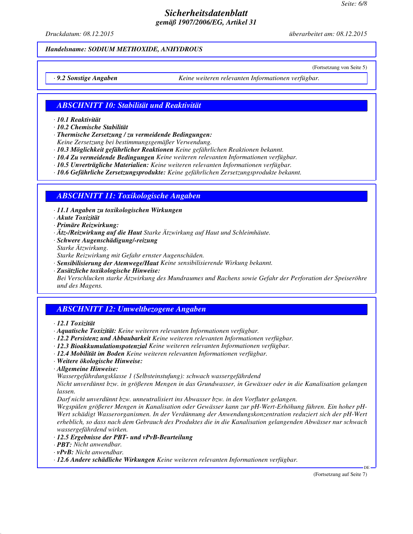*Druckdatum: 08.12.2015 überarbeitet am: 08.12.2015*

(Fortsetzung von Seite 5)

#### *Handelsname: SODIUM METHOXIDE, ANHYDROUS*

*· 9.2 Sonstige Angaben Keine weiteren relevanten Informationen verfügbar.*

## *ABSCHNITT 10: Stabilität und Reaktivität*

*· 10.1 Reaktivität*

*· 10.2 Chemische Stabilität*

*· Thermische Zersetzung / zu vermeidende Bedingungen:*

*Keine Zersetzung bei bestimmungsgemäßer Verwendung.*

*· 10.3 Möglichkeit gefährlicher Reaktionen Keine gefährlichen Reaktionen bekannt.*

*· 10.4 Zu vermeidende Bedingungen Keine weiteren relevanten Informationen verfügbar.*

*· 10.5 Unverträgliche Materialien: Keine weiteren relevanten Informationen verfügbar.*

*· 10.6 Gefährliche Zersetzungsprodukte: Keine gefährlichen Zersetzungsprodukte bekannt.*

## *ABSCHNITT 11: Toxikologische Angaben*

*· 11.1 Angaben zu toxikologischen Wirkungen*

*· Akute Toxizität*

*· Primäre Reizwirkung:*

*· Ätz-/Reizwirkung auf die Haut Starke Ätzwirkung auf Haut und Schleimhäute.*

*· Schwere Augenschädigung/-reizung*

*Starke Ätzwirkung.*

*Starke Reizwirkung mit Gefahr ernster Augenschäden.*

*· Sensibilisierung der Atemwege/Haut Keine sensibilisierende Wirkung bekannt.*

*· Zusätzliche toxikologische Hinweise: Bei Verschlucken starke Ätzwirkung des Mundraumes und Rachens sowie Gefahr der Perforation der Speiseröhre und des Magens.*

# *ABSCHNITT 12: Umweltbezogene Angaben*

*· 12.1 Toxizität*

*· Aquatische Toxizität: Keine weiteren relevanten Informationen verfügbar.*

*· 12.2 Persistenz und Abbaubarkeit Keine weiteren relevanten Informationen verfügbar.*

*· 12.3 Bioakkumulationspotenzial Keine weiteren relevanten Informationen verfügbar.*

*· 12.4 Mobilität im Boden Keine weiteren relevanten Informationen verfügbar.*

*· Weitere ökologische Hinweise:*

*· Allgemeine Hinweise:*

*Wassergefährdungsklasse 1 (Selbsteinstufung): schwach wassergefährdend*

*Nicht unverdünnt bzw. in größeren Mengen in das Grundwasser, in Gewässer oder in die Kanalisation gelangen lassen.*

*Darf nicht unverdünnt bzw. unneutralisiert ins Abwasser bzw. in den Vorfluter gelangen.*

*Wegspülen größerer Mengen in Kanalisation oder Gewässer kann zur pH-Wert-Erhöhung führen. Ein hoher pH-Wert schädigt Wasserorganismen. In der Verdünnung der Anwendungskonzentration reduziert sich der pH-Wert erheblich, so dass nach dem Gebrauch des Produktes die in die Kanalisation gelangenden Abwässer nur schwach wassergefährdend wirken.*

*· 12.5 Ergebnisse der PBT- und vPvB-Beurteilung*

*· PBT: Nicht anwendbar.*

*· vPvB: Nicht anwendbar.*

*· 12.6 Andere schädliche Wirkungen Keine weiteren relevanten Informationen verfügbar.*

(Fortsetzung auf Seite 7)

DE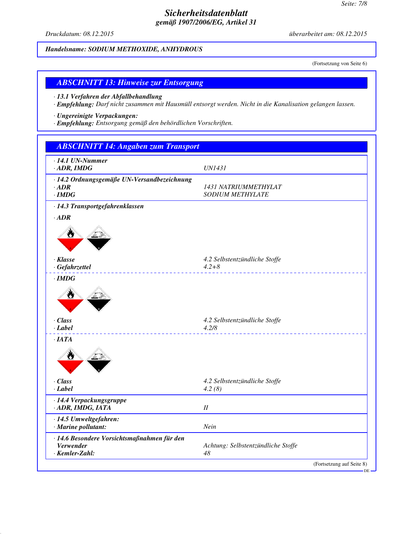*Druckdatum: 08.12.2015 überarbeitet am: 08.12.2015*

*Handelsname: SODIUM METHOXIDE, ANHYDROUS*

(Fortsetzung von Seite 6)

#### *ABSCHNITT 13: Hinweise zur Entsorgung*

*· 13.1 Verfahren der Abfallbehandlung*

*· Empfehlung: Darf nicht zusammen mit Hausmüll entsorgt werden. Nicht in die Kanalisation gelangen lassen.*

*· Ungereinigte Verpackungen:*

*· Empfehlung: Entsorgung gemäß den behördlichen Vorschriften.*

| $\cdot$ 14.1 UN-Nummer                                   |                                        |  |
|----------------------------------------------------------|----------------------------------------|--|
| $-$ ADR, IMDG                                            | <b>UN1431</b>                          |  |
| · 14.2 Ordnungsgemäße UN-Versandbezeichnung              |                                        |  |
| $\cdot$ ADR                                              | 1431 NATRIUMMETHYLAT                   |  |
| $\cdot$ IMDG                                             | <b>SODIUM METHYLATE</b>                |  |
| · 14.3 Transportgefahrenklassen                          |                                        |  |
| $\cdot$ ADR                                              |                                        |  |
|                                                          |                                        |  |
| · Klasse                                                 | 4.2 Selbstentzündliche Stoffe          |  |
| · Gefahrzettel                                           | $4.2 + 8$                              |  |
| $\cdot$ IMDG                                             |                                        |  |
|                                                          |                                        |  |
| · Class<br>· Label                                       | 4.2 Selbstentzündliche Stoffe<br>4.2/8 |  |
|                                                          |                                        |  |
| ·IATA                                                    |                                        |  |
| · Class                                                  | 4.2 Selbstentzündliche Stoffe          |  |
| · Label                                                  | 4.2(8)                                 |  |
| · 14.4 Verpackungsgruppe                                 |                                        |  |
| · ADR, IMDG, IATA                                        | $I\!I$                                 |  |
| · 14.5 Umweltgefahren:                                   |                                        |  |
| · Marine pollutant:                                      | Nein                                   |  |
| · 14.6 Besondere Vorsichtsmaßnahmen für den<br>Verwender | Achtung: Selbstentzündliche Stoffe     |  |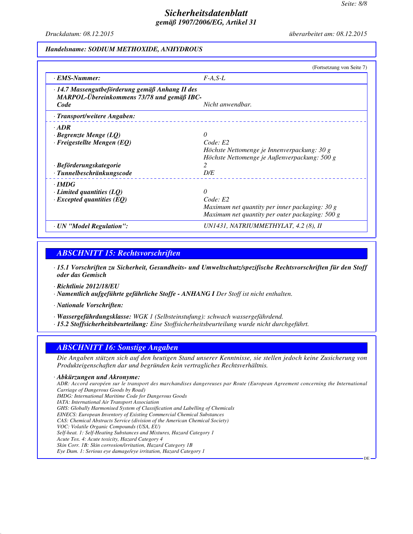DE

# *Sicherheitsdatenblatt gemäß 1907/2006/EG, Artikel 31*

*Druckdatum: 08.12.2015 überarbeitet am: 08.12.2015*

#### *Handelsname: SODIUM METHOXIDE, ANHYDROUS*

|                                                                                               | (Fortsetzung von Seite 7)                       |
|-----------------------------------------------------------------------------------------------|-------------------------------------------------|
| · EMS-Nummer:                                                                                 | $F-A, S-L$                                      |
| · 14.7 Massengutbeförderung gemäß Anhang II des<br>MARPOL-Übereinkommens 73/78 und gemäß IBC- |                                                 |
| Code                                                                                          | Nicht anwendbar.                                |
| · Transport/weitere Angaben:                                                                  |                                                 |
| $\cdot$ ADR                                                                                   |                                                 |
| $\cdot$ Begrenzte Menge (LQ)                                                                  | 0                                               |
| $\cdot$ Freigestellte Mengen (EQ)                                                             | Code: E2                                        |
|                                                                                               | Höchste Nettomenge je Innenverpackung: 30 g     |
|                                                                                               | Höchste Nettomenge je Außenverpackung: 500 g    |
| · Beförderungskategorie                                                                       |                                                 |
| · Tunnelbeschränkungscode                                                                     | D/E                                             |
| $\cdot$ IMDG                                                                                  |                                                 |
| $\cdot$ Limited quantities (LO)                                                               | $\Omega$                                        |
| $\cdot$ Excepted quantities (EQ)                                                              | Code: E2                                        |
|                                                                                               | Maximum net quantity per inner packaging: 30 g  |
|                                                                                               | Maximum net quantity per outer packaging: 500 g |
| · UN "Model Regulation":                                                                      | UN1431, NATRIUMMETHYLAT, 4.2 (8), II            |

#### *ABSCHNITT 15: Rechtsvorschriften*

- *· 15.1 Vorschriften zu Sicherheit, Gesundheits- und Umweltschutz/spezifische Rechtsvorschriften für den Stoff oder das Gemisch*
- *· Richtlinie 2012/18/EU*
- *· Namentlich aufgeführte gefährliche Stoffe ANHANG I Der Stoff ist nicht enthalten.*
- *· Nationale Vorschriften:*
- *· Wassergefährdungsklasse: WGK 1 (Selbsteinstufung): schwach wassergefährdend.*
- *· 15.2 Stoffsicherheitsbeurteilung: Eine Stoffsicherheitsbeurteilung wurde nicht durchgeführt.*

## *ABSCHNITT 16: Sonstige Angaben*

*Die Angaben stützen sich auf den heutigen Stand unserer Kenntnisse, sie stellen jedoch keine Zusicherung von Produkteigenschaften dar und begründen kein vertragliches Rechtsverhältnis.*

*· Abkürzungen und Akronyme: ADR: Accord européen sur le transport des marchandises dangereuses par Route (European Agreement concerning the International Carriage of Dangerous Goods by Road) IMDG: International Maritime Code for Dangerous Goods IATA: International Air Transport Association GHS: Globally Harmonised System of Classification and Labelling of Chemicals EINECS: European Inventory of Existing Commercial Chemical Substances CAS: Chemical Abstracts Service (division of the American Chemical Society) VOC: Volatile Organic Compounds (USA, EU) Self-heat. 1: Self-Heating Substances and Mixtures, Hazard Category 1 Acute Tox. 4: Acute toxicity, Hazard Category 4 Skin Corr. 1B: Skin corrosion/irritation, Hazard Category 1B Eye Dam. 1: Serious eye damage/eye irritation, Hazard Category 1*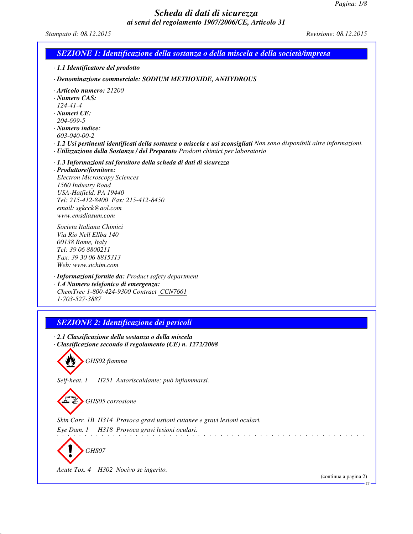# *Scheda di dati di sicurezza ai sensi del regolamento 1907/2006/CE, Articolo 31*

*Stampato il: 08.12.2015 Revisione: 08.12.2015*

| <b>SEZIONE 1: Identificazione della sostanza o della miscela e della società/impresa</b>                                                                                                                                                                                                                                                                    |                       |
|-------------------------------------------------------------------------------------------------------------------------------------------------------------------------------------------------------------------------------------------------------------------------------------------------------------------------------------------------------------|-----------------------|
| · 1.1 Identificatore del prodotto                                                                                                                                                                                                                                                                                                                           |                       |
| · Denominazione commerciale: SODIUM METHOXIDE, ANHYDROUS                                                                                                                                                                                                                                                                                                    |                       |
| · Articolo numero: 21200<br>$\cdot$ Numero CAS:<br>$124 - 41 - 4$<br>$\cdot$ Numeri CE:<br>204-699-5<br>$\cdot$ Numero indice:<br>603-040-00-2<br>· 1.2 Usi pertinenti identificati della sostanza o miscela e usi sconsigliati Non sono disponibili altre informazioni.<br>· Utilizzazione della Sostanza / del Preparato Prodotti chimici per laboratorio |                       |
| · 1.3 Informazioni sul fornitore della scheda di dati di sicurezza<br>· Produttore/fornitore:<br><b>Electron Microscopy Sciences</b><br>1560 Industry Road<br>USA-Hatfield, PA 19440<br>Tel: 215-412-8400 Fax: 215-412-8450<br>email: sgkcck@aol.com<br>www.emsdiasum.com                                                                                   |                       |
| Societa Italiana Chimici<br>Via Rio Nell Ellba 140<br>00138 Rome, Italy<br>Tel: 39 06 8800211<br>Fax: 39 30 06 8815313<br>Web: www.sichim.com                                                                                                                                                                                                               |                       |
| · Informazioni fornite da: Product safety department<br>· 1.4 Numero telefonico di emergenza:<br>ChemTrec 1-800-424-9300 Contract CCN7661<br>1-703-527-3887                                                                                                                                                                                                 |                       |
|                                                                                                                                                                                                                                                                                                                                                             |                       |
| <b>SEZIONE 2: Identificazione dei pericoli</b>                                                                                                                                                                                                                                                                                                              |                       |
| · 2.1 Classificazione della sostanza o della miscela<br>· Classificazione secondo il regolamento (CE) n. 1272/2008<br>GHS02 fiamma                                                                                                                                                                                                                          |                       |
| H251 Autoriscaldante; può infiammarsi.<br>Self-heat. 1                                                                                                                                                                                                                                                                                                      |                       |
| GHS05 corrosione                                                                                                                                                                                                                                                                                                                                            |                       |
| Skin Corr. 1B H314 Provoca gravi ustioni cutanee e gravi lesioni oculari.<br>H318 Provoca gravi lesioni oculari.<br>Eye Dam. 1<br>GHS07                                                                                                                                                                                                                     |                       |
| Acute Tox. 4 H302 Nocivo se ingerito.                                                                                                                                                                                                                                                                                                                       | (continua a pagina 2) |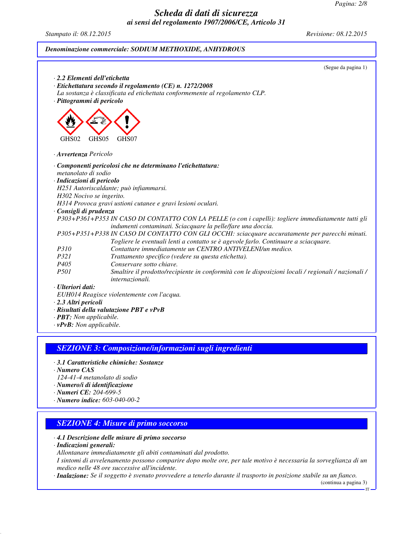# *Scheda di dati di sicurezza*

# *ai sensi del regolamento 1907/2006/CE, Articolo 31 Stampato il: 08.12.2015 Revisione: 08.12.2015 Denominazione commerciale: SODIUM METHOXIDE, ANHYDROUS* (Segue da pagina 1) *· 2.2 Elementi dell'etichetta · Etichettatura secondo il regolamento (CE) n. 1272/2008 La sostanza è classificata ed etichettata conformemente al regolamento CLP. · Pittogrammi di pericolo* GHS02 GHS05 GHS07 *· Avvertenza Pericolo · Componenti pericolosi che ne determinano l'etichettatura: metanolato di sodio · Indicazioni di pericolo H251 Autoriscaldante; può infiammarsi. H302 Nocivo se ingerito. H314 Provoca gravi ustioni cutanee e gravi lesioni oculari. · Consigli di prudenza P303+P361+P353 IN CASO DI CONTATTO CON LA PELLE (o con i capelli): togliere immediatamente tutti gli indumenti contaminati. Sciacquare la pelle/fare una doccia. P305+P351+P338 IN CASO DI CONTATTO CON GLI OCCHI: sciacquare accuratamente per parecchi minuti. Togliere le eventuali lenti a contatto se è agevole farlo. Continuare a sciacquare. P310 Contattare immediatamente un CENTRO ANTIVELENI/un medico. P321 Trattamento specifico (vedere su questa etichetta). P405 Conservare sotto chiave. P501 Smaltire il prodotto/recipiente in conformità con le disposizioni locali / regionali / nazionali / internazionali. · Ulteriori dati: EUH014 Reagisce violentemente con l'acqua. · 2.3 Altri pericoli · Risultati della valutazione PBT e vPvB · PBT: Non applicabile. · vPvB: Non applicabile. SEZIONE 3: Composizione/informazioni sugli ingredienti*

- *· 3.1 Caratteristiche chimiche: Sostanze*
- *· Numero CAS*
- *124-41-4 metanolato di sodio*
- *· Numero/i di identificazione*
- *· Numeri CE: 204-699-5*
- *· Numero indice: 603-040-00-2*

# *SEZIONE 4: Misure di primo soccorso*

- *· 4.1 Descrizione delle misure di primo soccorso · Indicazioni generali:*
- *Allontanare immediatamente gli abiti contaminati dal prodotto.*

*I sintomi di avvelenamento possono comparire dopo molte ore, per tale motivo è necessaria la sorveglianza di un medico nelle 48 ore successive all'incidente.*

*· Inalazione: Se il soggetto è svenuto provvedere a tenerlo durante il trasporto in posizione stabile su un fianco.*

(continua a pagina 3)

IT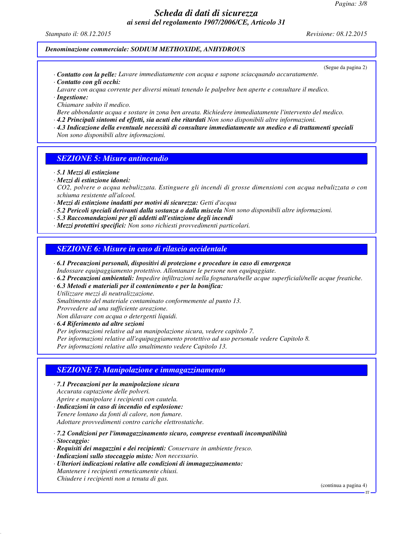*Pagina: 3/8*

## *Scheda di dati di sicurezza ai sensi del regolamento 1907/2006/CE, Articolo 31*

*Stampato il: 08.12.2015 Revisione: 08.12.2015*

#### *Denominazione commerciale: SODIUM METHOXIDE, ANHYDROUS*

(Segue da pagina 2)

- *· Contatto con la pelle: Lavare immediatamente con acqua e sapone sciacquando accuratamente. · Contatto con gli occhi:*
- *Lavare con acqua corrente per diversi minuti tenendo le palpebre ben aperte e consultare il medico. · Ingestione:*

*Chiamare subito il medico.*

- *Bere abbondante acqua e sostare in zona ben areata. Richiedere immediatamente l'intervento del medico.*
- *· 4.2 Principali sintomi ed effetti, sia acuti che ritardati Non sono disponibili altre informazioni.*
- *· 4.3 Indicazione della eventuale necessità di consultare immediatamente un medico e di trattamenti speciali Non sono disponibili altre informazioni.*

# *SEZIONE 5: Misure antincendio*

*· 5.1 Mezzi di estinzione*

*· Mezzi di estinzione idonei:*

- *CO2, polvere o acqua nebulizzata. Estinguere gli incendi di grosse dimensioni con acqua nebulizzata o con schiuma resistente all'alcool.*
- *· Mezzi di estinzione inadatti per motivi di sicurezza: Getti d'acqua*
- *· 5.2 Pericoli speciali derivanti dalla sostanza o dalla miscela Non sono disponibili altre informazioni.*
- *· 5.3 Raccomandazioni per gli addetti all'estinzione degli incendi*
- *· Mezzi protettivi specifici: Non sono richiesti provvedimenti particolari.*

# *SEZIONE 6: Misure in caso di rilascio accidentale*

- *· 6.1 Precauzioni personali, dispositivi di protezione e procedure in caso di emergenza Indossare equipaggiamento protettivo. Allontanare le persone non equipaggiate.*
- *· 6.2 Precauzioni ambientali: Impedire infiltrazioni nella fognatura/nelle acque superficiali/nelle acque freatiche.*
- *· 6.3 Metodi e materiali per il contenimento e per la bonifica:*

*Utilizzare mezzi di neutralizzazione. Smaltimento del materiale contaminato conformemente al punto 13. Provvedere ad una sufficiente areazione. Non dilavare con acqua o detergenti liquidi. · 6.4 Riferimento ad altre sezioni*

*Per informazioni relative ad un manipolazione sicura, vedere capitolo 7. Per informazioni relative all'equipaggiamento protettivo ad uso personale vedere Capitolo 8. Per informazioni relative allo smaltimento vedere Capitolo 13.*

# *SEZIONE 7: Manipolazione e immagazzinamento*

*· 7.1 Precauzioni per la manipolazione sicura Accurata captazione delle polveri.*

*Aprire e manipolare i recipienti con cautela.*

*· Indicazioni in caso di incendio ed esplosione: Tenere lontano da fonti di calore, non fumare. Adottare provvedimenti contro cariche elettrostatiche.*

*· 7.2 Condizioni per l'immagazzinamento sicuro, comprese eventuali incompatibilità*

- *· Stoccaggio:*
- *· Requisiti dei magazzini e dei recipienti: Conservare in ambiente fresco.*

*· Indicazioni sullo stoccaggio misto: Non necessario.*

*· Ulteriori indicazioni relative alle condizioni di immagazzinamento: Mantenere i recipienti ermeticamente chiusi. Chiudere i recipienti non a tenuta di gas.*

(continua a pagina 4)

IT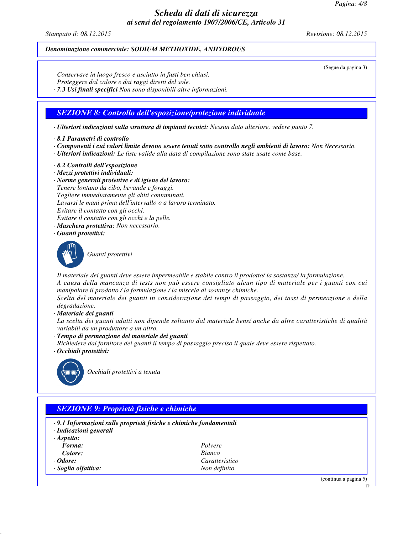*Pagina: 4/8*

# *Scheda di dati di sicurezza ai sensi del regolamento 1907/2006/CE, Articolo 31*

*Stampato il: 08.12.2015 Revisione: 08.12.2015*

#### *Denominazione commerciale: SODIUM METHOXIDE, ANHYDROUS*

(Segue da pagina 3)

*Conservare in luogo fresco e asciutto in fusti ben chiusi. Proteggere dal calore e dai raggi diretti del sole. · 7.3 Usi finali specifici Non sono disponibili altre informazioni.*

## *SEZIONE 8: Controllo dell'esposizione/protezione individuale*

*· Ulteriori indicazioni sulla struttura di impianti tecnici: Nessun dato ulteriore, vedere punto 7.*

- *· 8.1 Parametri di controllo*
- *· Componenti i cui valori limite devono essere tenuti sotto controllo negli ambienti di lavoro: Non Necessario.*
- *· Ulteriori indicazioni: Le liste valide alla data di compilazione sono state usate come base.*
- *· 8.2 Controlli dell'esposizione*
- *· Mezzi protettivi individuali:*
- *· Norme generali protettive e di igiene del lavoro: Tenere lontano da cibo, bevande e foraggi. Togliere immediatamente gli abiti contaminati. Lavarsi le mani prima dell'intervallo o a lavoro terminato. Evitare il contatto con gli occhi. Evitare il contatto con gli occhi e la pelle.*
- *· Maschera protettiva: Non necessario.*
- *· Guanti protettivi:*



*Guanti protettivi*

*Il materiale dei guanti deve essere impermeabile e stabile contro il prodotto/ la sostanza/ la formulazione. A causa della mancanza di tests non può essere consigliato alcun tipo di materiale per i guanti con cui manipolare il prodotto / la formulazione / la miscela di sostanze chimiche.*

*Scelta del materiale dei guanti in considerazione dei tempi di passaggio, dei tassi di permeazione e della degradazione.*

*· Materiale dei guanti*

*La scelta dei guanti adatti non dipende soltanto dal materiale bensí anche da altre caratteristiche di qualità variabili da un produttore a un altro.*

- *· Tempo di permeazione del materiale dei guanti*
- *Richiedere dal fornitore dei guanti il tempo di passaggio preciso il quale deve essere rispettato.*
- *· Occhiali protettivi:*



*Occhiali protettivi a tenuta*

# *SEZIONE 9: Proprietà fisiche e chimiche*

- *· 9.1 Informazioni sulle proprietà fisiche e chimiche fondamentali*
- *· Indicazioni generali*
- *· Aspetto: Forma: Polvere Colore: Bianco · Odore: Caratteristico · Soglia olfattiva: Non definito.*

(continua a pagina 5)

IT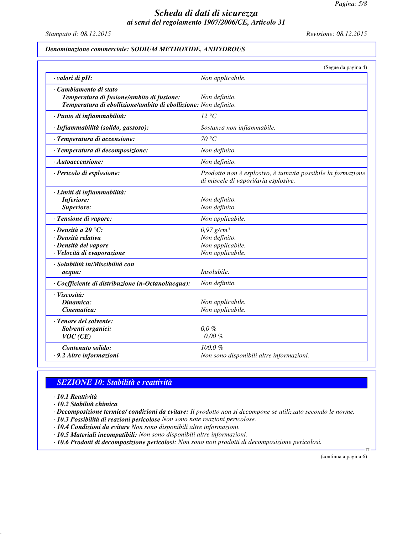*Pagina: 5/8*

# *Scheda di dati di sicurezza ai sensi del regolamento 1907/2006/CE, Articolo 31*

*Stampato il: 08.12.2015 Revisione: 08.12.2015*

## *Denominazione commerciale: SODIUM METHOXIDE, ANHYDROUS*

|                                                                                                                                        | (Segue da pagina 4)                                                                                  |
|----------------------------------------------------------------------------------------------------------------------------------------|------------------------------------------------------------------------------------------------------|
| valori di pH:                                                                                                                          | Non applicabile.                                                                                     |
| · Cambiamento di stato<br>Temperatura di fusione/ambito di fusione:<br>Temperatura di ebollizione/ambito di ebollizione: Non definito. | Non definito.                                                                                        |
| · Punto di infiammabilità:                                                                                                             | $12 \text{ }^{\circ}C$                                                                               |
| · Infiammabilità (solido, gassoso):                                                                                                    | Sostanza non infiammabile.                                                                           |
| · Temperatura di accensione:                                                                                                           | 70 °C                                                                                                |
| · Temperatura di decomposizione:                                                                                                       | Non definito.                                                                                        |
| $\cdot$ Autoaccensione:                                                                                                                | Non definito.                                                                                        |
| · Pericolo di esplosione:                                                                                                              | Prodotto non è esplosivo, è tuttavia possibile la formazione<br>di miscele di vapori/aria esplosive. |
| · Limiti di infiammabilità:<br><b>Inferiore:</b><br>Superiore:                                                                         | Non definito.<br>Non definito.                                                                       |
| · Tensione di vapore:                                                                                                                  | Non applicabile.                                                                                     |
| $\cdot$ Densità a 20 °C:<br>· Densità relativa<br>· Densità del vapore<br>· Velocità di evaporazione                                   | $0.97$ g/cm <sup>3</sup><br>Non definito.<br>Non applicabile.<br>Non applicabile.                    |
| · Solubilità in/Miscibilità con<br>acqua:                                                                                              | Insolubile.                                                                                          |
| · Coefficiente di distribuzione (n-Octanol/acqua):                                                                                     | Non definito.                                                                                        |
| · Viscosità:<br>Dinamica:<br>Cinematica:                                                                                               | Non applicabile.<br>Non applicabile.                                                                 |
| · Tenore del solvente:<br>Solventi organici:<br>VOC(CE)                                                                                | $0.0 \%$<br>$0.00 \%$                                                                                |
| Contenuto solido:<br>· 9.2 Altre informazioni                                                                                          | $100.0 \%$<br>Non sono disponibili altre informazioni.                                               |

# *SEZIONE 10: Stabilità e reattività*

*· 10.1 Reattività*

*· 10.2 Stabilità chimica*

*· Decomposizione termica/ condizioni da evitare: Il prodotto non si decompone se utilizzato secondo le norme.*

*· 10.3 Possibilità di reazioni pericolose Non sono note reazioni pericolose.*

*· 10.4 Condizioni da evitare Non sono disponibili altre informazioni.*

*· 10.5 Materiali incompatibili: Non sono disponibili altre informazioni. · 10.6 Prodotti di decomposizione pericolosi: Non sono noti prodotti di decomposizione pericolosi.*

(continua a pagina 6)

IT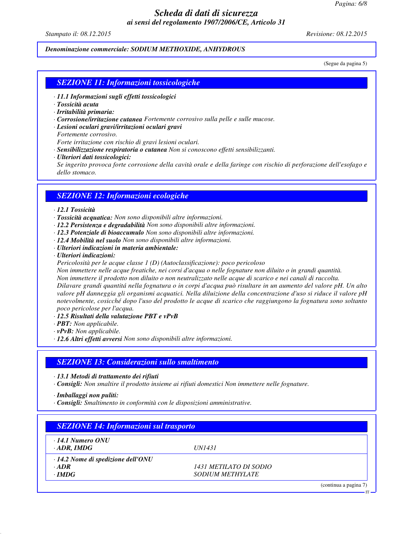*Pagina: 6/8*

## *Scheda di dati di sicurezza ai sensi del regolamento 1907/2006/CE, Articolo 31*

*Stampato il: 08.12.2015 Revisione: 08.12.2015*

*Denominazione commerciale: SODIUM METHOXIDE, ANHYDROUS*

(Segue da pagina 5)

IT

#### *SEZIONE 11: Informazioni tossicologiche*

- *· 11.1 Informazioni sugli effetti tossicologici*
- *· Tossicità acuta*
- *· Irritabilità primaria:*
- *· Corrosione/irritazione cutanea Fortemente corrosivo sulla pelle e sulle mucose.*
- *· Lesioni oculari gravi/irritazioni oculari gravi*
- *Fortemente corrosivo.*

*Forte irritazione con rischio di gravi lesioni oculari.*

- *· Sensibilizzazione respiratoria o cutanea Non si conoscono effetti sensibilizzanti.*
- *· Ulteriori dati tossicologici:*

*Se ingerito provoca forte corrosione della cavità orale e della faringe con rischio di perforazione dell'esofago e dello stomaco.*

#### *SEZIONE 12: Informazioni ecologiche*

#### *· 12.1 Tossicità*

- *· Tossicità acquatica: Non sono disponibili altre informazioni.*
- *· 12.2 Persistenza e degradabilità Non sono disponibili altre informazioni.*
- *· 12.3 Potenziale di bioaccumulo Non sono disponibili altre informazioni.*
- *· 12.4 Mobilità nel suolo Non sono disponibili altre informazioni.*
- *· Ulteriori indicazioni in materia ambientale:*
- *· Ulteriori indicazioni:*
- *Pericolosità per le acque classe 1 (D) (Autoclassificazione): poco pericoloso*

*Non immettere nelle acque freatiche, nei corsi d'acqua o nelle fognature non diluito o in grandi quantità.*

*Non immettere il prodotto non diluito o non neutralizzato nelle acque di scarico e nei canali di raccolta.*

*Dilavare grandi quantitá nella fognatura o in corpi d'acqua può risultare in un aumento del valore pH. Un alto valore pH danneggia gli organismi acquatici. Nella diluizione della concentrazione d'uso si riduce il valore pH notevolmente, cosicché dopo l'uso del prodotto le acque di scarico che raggiungono la fognatura sono soltanto poco pericolose per l'acqua.*

- *· 12.5 Risultati della valutazione PBT e vPvB*
- *· PBT: Non applicabile.*
- *· vPvB: Non applicabile.*
- *· 12.6 Altri effetti avversi Non sono disponibili altre informazioni.*

#### *SEZIONE 13: Considerazioni sullo smaltimento*

*· 13.1 Metodi di trattamento dei rifiuti*

*· Consigli: Non smaltire il prodotto insieme ai rifiuti domestici Non immettere nelle fognature.*

*· Imballaggi non puliti:*

*· Consigli: Smaltimento in conformità con le disposizioni amministrative.*

| $\cdot$ 14.1 Numero ONU                  |                               |  |
|------------------------------------------|-------------------------------|--|
| $\cdot$ ADR, IMDG                        | <i><b>IJN1431</b></i>         |  |
| $\cdot$ 14.2 Nome di spedizione dell'ONU |                               |  |
| $\cdot$ ADR                              | <i>1431 METILATO DI SODIO</i> |  |
| $\cdot$ IMDG                             | <b>SODIUM METHYLATE</b>       |  |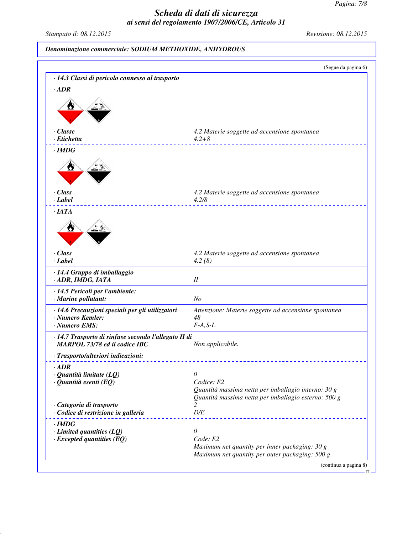*Pagina: 7/8*

# *Scheda di dati di sicurezza ai sensi del regolamento 1907/2006/CE, Articolo 31*

*Stampato il: 08.12.2015 Revisione: 08.12.2015*

*Denominazione commerciale: SODIUM METHOXIDE, ANHYDROUS*

|                                                                                       | (Segue da pagina 6)                                                                                         |
|---------------------------------------------------------------------------------------|-------------------------------------------------------------------------------------------------------------|
| · 14.3 Classi di pericolo connesso al trasporto                                       |                                                                                                             |
| $\cdot$ <i>ADR</i>                                                                    |                                                                                                             |
|                                                                                       |                                                                                                             |
|                                                                                       |                                                                                                             |
|                                                                                       |                                                                                                             |
| · Classe                                                                              | 4.2 Materie soggette ad accensione spontanea                                                                |
| · Etichetta                                                                           | $4.2 + 8$                                                                                                   |
| $\cdot$ IMDG                                                                          |                                                                                                             |
|                                                                                       |                                                                                                             |
| · Class<br>$\cdot$ <i>Label</i>                                                       | 4.2 Materie soggette ad accensione spontanea<br>4.2/8                                                       |
| $\cdot$ IATA                                                                          |                                                                                                             |
|                                                                                       |                                                                                                             |
|                                                                                       |                                                                                                             |
| · Class<br>$\cdot$ Label                                                              | 4.2 Materie soggette ad accensione spontanea<br>4.2(8)                                                      |
| · 14.4 Gruppo di imballaggio<br>· ADR, IMDG, IATA                                     | $I\!I$                                                                                                      |
| · 14.5 Pericoli per l'ambiente:<br>· Marine pollutant:                                | N <sub>O</sub>                                                                                              |
| · 14.6 Precauzioni speciali per gli utilizzatori                                      | Attenzione: Materie soggette ad accensione spontanea                                                        |
| · Numero Kemler:                                                                      | 48                                                                                                          |
| · Numero EMS:                                                                         | $F-A, S-L$                                                                                                  |
| · 14.7 Trasporto di rinfuse secondo l'allegato II di<br>MARPOL 73/78 ed il codice IBC | Non applicabile.                                                                                            |
| · Trasporto/ulteriori indicazioni:                                                    |                                                                                                             |
| $\cdot$ ADR                                                                           |                                                                                                             |
| $\cdot$ Quantità limitate (LQ)                                                        | 0                                                                                                           |
| $\cdot$ Quantità esenti (EQ)                                                          | Codice: E2                                                                                                  |
|                                                                                       | Quantità massima netta per imballagio interno: 30 g<br>Quantità massima netta per imballagio esterno: 500 g |
| · Categoria di trasporto                                                              | 2                                                                                                           |
| · Codice di restrizione in galleria                                                   | D/E                                                                                                         |
| $\cdot$ IMDG                                                                          |                                                                                                             |
| $\cdot$ Limited quantities (LQ)                                                       | 0                                                                                                           |
| $\cdot$ Excepted quantities (EQ)                                                      | Code: E2                                                                                                    |
|                                                                                       | Maximum net quantity per inner packaging: 30 g<br>Maximum net quantity per outer packaging: 500 g           |
|                                                                                       | (continua a pagina 8)                                                                                       |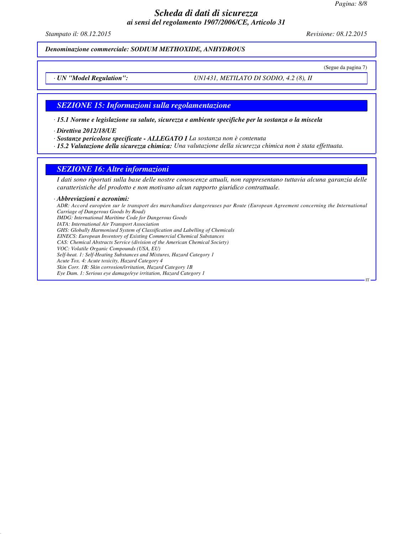*Pagina: 8/8*

## *Scheda di dati di sicurezza ai sensi del regolamento 1907/2006/CE, Articolo 31*

*Stampato il: 08.12.2015 Revisione: 08.12.2015*

(Segue da pagina 7)

IT

*Denominazione commerciale: SODIUM METHOXIDE, ANHYDROUS*

*· UN "Model Regulation": UN1431, METILATO DI SODIO, 4.2 (8), II*

#### *SEZIONE 15: Informazioni sulla regolamentazione*

*· 15.1 Norme e legislazione su salute, sicurezza e ambiente specifiche per la sostanza o la miscela*

*· Direttiva 2012/18/UE*

*· Sostanze pericolose specificate - ALLEGATO I La sostanza non è contenuta*

*· 15.2 Valutazione della sicurezza chimica: Una valutazione della sicurezza chimica non è stata effettuata.*

#### *SEZIONE 16: Altre informazioni*

*I dati sono riportati sulla base delle nostre conoscenze attuali, non rappresentano tuttavia alcuna garanzia delle caratteristiche del prodotto e non motivano alcun rapporto giuridico contrattuale.*

#### *· Abbreviazioni e acronimi:*

*ADR: Accord européen sur le transport des marchandises dangereuses par Route (European Agreement concerning the International Carriage of Dangerous Goods by Road) IMDG: International Maritime Code for Dangerous Goods IATA: International Air Transport Association GHS: Globally Harmonised System of Classification and Labelling of Chemicals EINECS: European Inventory of Existing Commercial Chemical Substances CAS: Chemical Abstracts Service (division of the American Chemical Society) VOC: Volatile Organic Compounds (USA, EU) Self-heat. 1: Self-Heating Substances and Mixtures, Hazard Category 1 Acute Tox. 4: Acute toxicity, Hazard Category 4 Skin Corr. 1B: Skin corrosion/irritation, Hazard Category 1B Eye Dam. 1: Serious eye damage/eye irritation, Hazard Category 1*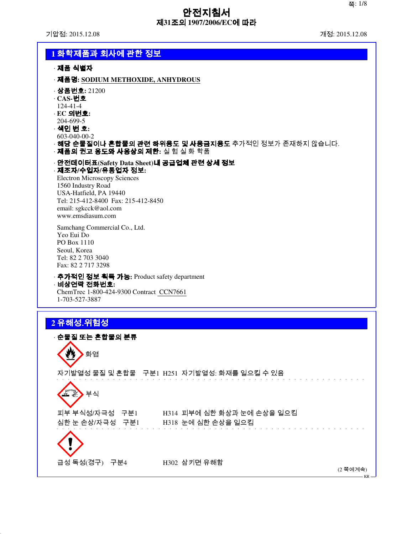# 안전지침서 제**31**조의 **1907/2006/EC**에 따라

기압점: 2015.12.08 개정: 2015.12.08

| 1 화학제품과 회사에 관한 정보                                                           |
|-----------------------------------------------------------------------------|
| · 제품 식별자                                                                    |
| · 제품명: SODIUM METHOXIDE, ANHYDROUS                                          |
| · <b>상품번호:</b> 21200                                                        |
| $\cdot$ CAS-번호<br>124-41-4                                                  |
| $\cdot$ EC 의번호:<br>204-699-5                                                |
| · 색인 번 호:                                                                   |
| 603-040-00-2<br>· <b>해당 순물질이나 혼합물의 관련 하위용도 및 사용금지용도</b> 추가적인 정보가 존재하지 않습니다. |
| · 제품의 권고 용도와 사용상의 제한: 실 험 실 화 학품                                            |
| · 안전데이터표(Safety Data Sheet)내 공급업체 관련 상세 정보<br>· 제조자/수입자/유통업자 정보:            |
| <b>Electron Microscopy Sciences</b>                                         |
| 1560 Industry Road<br>USA-Hatfield, PA 19440                                |
| Tel: 215-412-8400 Fax: 215-412-8450                                         |
| email: sgkcck@aol.com<br>www.emsdiasum.com                                  |
| Samchang Commercial Co., Ltd.                                               |
| Yeo Eui Do<br>PO Box 1110                                                   |
| Seoul, Korea                                                                |
| Tel: 82 2 703 3040<br>Fax: 82 2 717 3298                                    |
| · 추가적인 정보 획득 가능: Product safety department                                  |
| · 비상연락 전화번호:<br>ChemTrec 1-800-424-9300 Contract CCN7661                    |
| 1-703-527-3887                                                              |
|                                                                             |
| 2 유해성.위험성                                                                   |
| · 순물질 또는 혼합물의 분류<br>⌒                                                       |
| 화염                                                                          |
|                                                                             |
| 자기발열성 물질 및 혼합물 구분1 H251 자기발열성: 화재를 일으킬 수 있음                                 |
| 부식                                                                          |
|                                                                             |
| H314 피부에 심한 화상과 눈에 손상을 일으킴<br>피부 부식성/자극성 구분1                                |
| 심한 눈 손상/자극성 구분1<br>H318 눈에 심한 손상을 일으킴                                       |
|                                                                             |
|                                                                             |
| 급성 독성(경구) 구분4<br>H302 삼키면 유해함<br>(2 쪽에계속)                                   |
|                                                                             |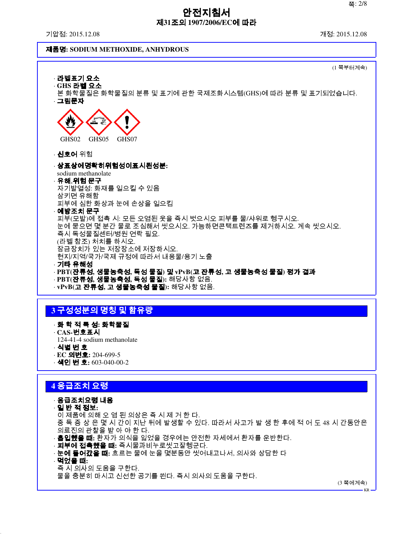# 안전지침서 제**31**조의 **1907/2006/EC**에 따라

기압점: 2015.12.08 개정: 2015.12.08

#### 제품명**: SODIUM METHOXIDE, ANHYDROUS**



# **3** 구성성분의 명칭 및 함유량

- · 화 학 적 특 성**:** 화학물질
- · **CAS-**번호표시
- 124-41-4 sodium methanolate
- · 식별 번 호
- · **EC** 의번호**:** 204-699-5
- · 색인 번 호**:** 603-040-00-2

# **4** 응급조치 요령

· 응급조치요령 내용

- · 일 반 적 정보**:**
- 이 제품에 의해 오 염 된 의상은 즉 시 제 거 한 다.
- 중 독 증 상 은 몇 시 간이 지난 뒤에 발생할 수 있다. 따라서 사고가 발 생 한 후에 적 어 도 48 시 간동안은 의료진의 관찰을 받 아 야 한 다.
- · 흡입했을 때**:** 환자가 의식을 잃었을 경우에는 안전한 자세에서 환자를 운반한다.
- · 피부에 접촉했을 때**:** 즉시물과비누로씻고잘헹군다.
- · 눈에 들어갔을 때**:** 흐르는 물에 눈을 몇분동안 씻어내고나서, 의사와 상담한 다
- · 먹었을 때**:**
	- 즉 시 의사의 도움을 구한다.
- 물을 충분히 마시고 신선한 공기를 쐰다. 즉시 의사의 도움을 구한다.

(3 쪽에계속)

KR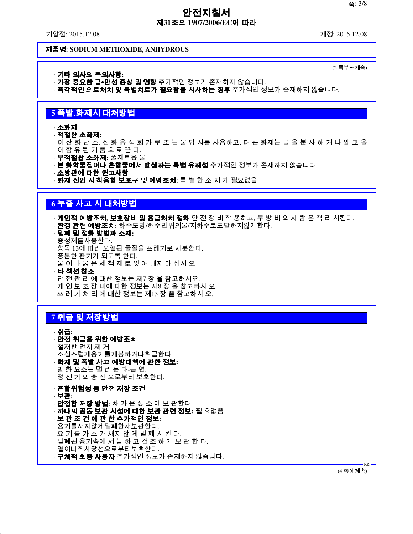# 안전지침서 제**31**조의 **1907/2006/EC**에 따라

기압점: 2015.12.08 개정: 2015.12.08

(2 쪽부터계속)

#### 제품명**: SODIUM METHOXIDE, ANHYDROUS**

· 기타 의사의 주의사항**:**

- · **가장 중요한 급∙만성 증상 및 영향** 추가적인 정보가 존재하지 않습니다.
- · **즉각적인 의료처치 및 특별치료가 필요함을 시사하는 징후** 추가적인 정보가 존재하지 않습니다.

# **5** 폭발․화재시 대처방법

#### · 소화제

- · 적절한 소화제**:**
- 이 산 화 탄 소, 진 화 용 석 회 가 루 또 는 물 방 사를 사용하고, 더 큰 화재는 물 을 분 사 하 거 나 알 코 올 이 함 유 된 거 품 으 로 끈 다.
- · 부적절한 소화제**:** 풀제트용 물
- · **본 화학물질이나 혼합물에서 발생하는 특별 유해성** 추가적인 정보가 존재하지 않습니다.
- · 소방관에 대한 권고사항
- · 화재 진압 시 착용할 보호구 및 예방조치**:** 특 별 한 조 치 가 필요없음.

# **6** 누출 사고 시 대처방법

- · 개인적 예방조치**,** 보호장비 및 응급처치 절차 안 전 장 비 착 용하고, 무 방 비 의 사 람 은 격 리 시킨다.
- · 환경 관련 예방조치**:** 하수도망/해수면위의물/지하수로도달하지않게한다.
- · 밀폐 및 정화 방법과 소재**:** 중성제를사용한다. 항목 13에 따라 오염된 물질을 쓰레기로 처분한다. 충분한 환기가 되도록 한다. 물 이 나 묽 은 세 척 제 로 씻 어 내지 마 십시 오 · 타 섹션 참조 안 전 관 리 에 대한 정보는 제7 장 을 참고하시오. 개 인 보 호 장 비에 대한 정보는 제8 장 을 참고하시 오.

쓰 레 기 처 리 에 대한 정보는 제13 장 을 참고하시 오.

# **7** 취급 및 저장방법

- · 취급**:** · 안전 취급을 위한 예방조치 철저한 먼지 제 거. 조심스럽게용기를개봉하거나취급한다. · 화재 및 폭발 사고 예방대책에 관한 정보**:** 발 화 요소는 멀 리 둔 다-금 연. 정 전 기 의 충 전 으로부터 보호한다.
- · 혼합위험성 등 안전 저장 조건 · 보관**:** · 안전한 저장 방법**:** 차 가 운 장 소 에 보 관한다. · 하나의 공동 보관 시설에 대한 보관 관련 정보**:** 필 요없음 · 보 관 조 건 에 관 한 추가적인 정보**:** 용기를새지않게밀폐한채보관한다. 요 기 를 가 스 가 새지 않 게 밀 폐 시 킨 다. 밀폐된 용기속에 서 늘 하 고 건 조 하 게 보 관 한 다. 열이나직사광선으로부터보호한다. · **구체적 최종 사용자** 추가적인 정보가 존재하지 않습니다.

(4 쪽에계속)

KR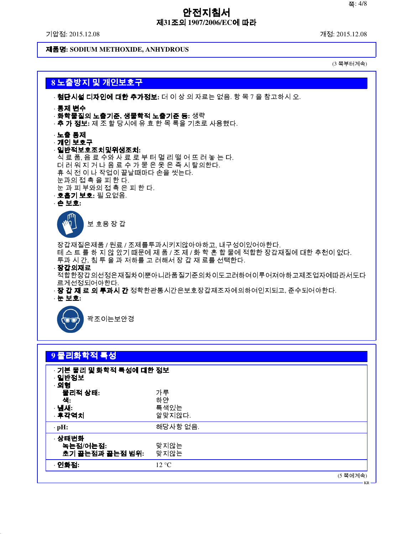기압점: 2015.12.08 개정: 2015.12.08

제품명**: SODIUM METHOXIDE, ANHYDROUS**

(3 쪽부터계속)

KR

# **8** 노출방지 및 개인보호구



| 9 물리화학적 특성                                |                            |  |          |
|-------------------------------------------|----------------------------|--|----------|
| · 기본 물리 및 화학적 특성에 대한 정보<br>· 일반정보<br>· 외형 |                            |  |          |
| 물리적 상태:<br>색:<br>· 냄새:<br>· 후각역치          | 가루<br>하얀<br>특색있는<br>알맞지않다. |  |          |
| $\cdot$ pH:                               | 해당사항 없음.                   |  |          |
| · 상태변화<br>녹는점/어는점:<br>초기 끓는점과 끓는점 범위:     | 맞지않는<br>맞지않는               |  |          |
| · 인화점:                                    | 12 °C                      |  |          |
|                                           |                            |  | (5 쪽에계속) |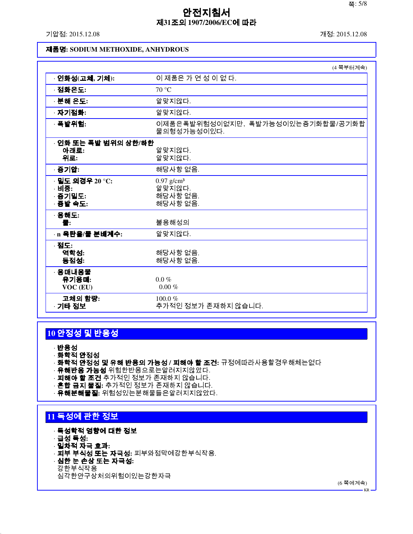기압점: 2015.12.08 개정: 2015.12.08

### 제품명**: SODIUM METHOXIDE, ANHYDROUS**

|                                               | (4 쪽부터계속)                                                  |
|-----------------------------------------------|------------------------------------------------------------|
| · 인화성(고체, 기체):                                | 이 제품은 가 연 성 이 없 다.                                         |
| · 점화온도:                                       | 70 °C                                                      |
| · 분해 온도:                                      | 알맞지않다.                                                     |
| · 자기점화:                                       | 알맞지않다.                                                     |
| · 폭발위험:                                       | 이제품은폭발위험성이없지만, 폭발가능성이있는증기화합물/공기화합<br>물의형성가능성이있다.           |
| · 인화 또는 폭발 범위의 상한/하한<br>아래로:<br>위로:           | 알맞지않다.<br>알맞지않다.                                           |
| · 증기압:                                        | 해당사항 없음.                                                   |
| 밀도 의경우 20 °C:<br>· 비중:<br>· 증기밀도:<br>· 증발 속도: | $0.97$ g/cm <sup>3</sup><br>알맞지않다.<br>해당사항 없음.<br>해당사항 없음. |
| · <b>용해도:</b><br>물:                           | 불용해성의                                                      |
| · n 옥탄을/물 분배계수:                               | 알맞지않다.                                                     |
| · 점도:<br>역학성:<br>동점성:                         | 해당사항 없음.<br>해당사항 없음.                                       |
| 용매내용물<br>유기용매:<br>VOC (EU)                    | $0.0\%$<br>$0.00~\%$                                       |
| 고체의 함량:<br>· 기타 정보                            | $100.0 \%$<br>추가적인 정보가 존재하지 않습니다.                          |

# **10** 안정성 및 반응성

· 반응성

- · 화학적 안정성
- · 화학적 안정성 및 유해 반응의 가능성 **/** 피해야 할 조건**:** 규정에따라사용할경우해체는없다
- · **유해반응 가능성** 위험한반응으로는알려지지않았다.
- · **피해야 할 조건** 추가적인 정보가 존재하지 않습니다.
- · 혼합 금지 물질**:** 추가적인 정보가 존재하지 않습니다.
- · 유해분해물질**:** 위험성있는분해물들은알려지지않았다.

# **11** 독성에 관한 정보

- · 독성학적 영향에 대한 정보
- · 급성 독성**:**
- · 일차적 자극 효과**:**
- · 피부 부식성 또는 자극성**:** 피부와점막에강한부식작용.
- · 심한 눈 손상 또는 자극성**:**
- 강한부식작용

심각한안구상처의위험이있는강한자극

(6 쪽에계속)

KR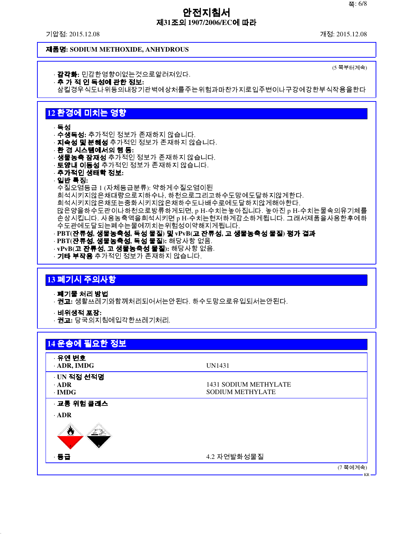기압점: 2015.12.08 개정: 2015.12.08

(5 쪽부터계속)

### 제품명**: SODIUM METHOXIDE, ANHYDROUS**

- · 감각화**:** 민감한영향이없는것으로알려져있다.
- · 추 가 적 인 독성에 관한 정보**:**
- 삼킬경우식도나위등의내장기관벽에상처를주는위험과마찬가지로입주변이나구강에강한부식작용을한다

# **12** 환경에 미치는 영향

#### · 독성

- · 수생독성**:** 추가적인 정보가 존재하지 않습니다.
- · **지속성 및 분해성** 추가적인 정보가 존재하지 않습니다.
- · 환 경 시스템에서의 행 동**:**
- · **생물농축 잠재성** 추가적인 정보가 존재하지 않습니다.
- · **토양내 이동성** 추가적인 정보가 존재하지 않습니다.
- · 추가적인 생태학 정보**:**

# · 일반 특징**:**

- 수질오염등급 1 (자체등급분류): 약하게수질오염이된
- 희석시키지않은채대량으로지하수나, 하천으로그리고하수도망에도달하지않게한다.
- 희석시키지않은채또는중화시키지않은채하수도나배수로에도달하지않게해야한다.

많은양을하수도관이나하천으로방류하게되면, p H-수치는높아집니다. 높아진 p H-수치는물속의유기체를 손상시킵니다. 사용농축액을희석시키면 p H-수치는현저하게감소하게됩니다. 그래서제품을사용한후에하 수도관에도달되는폐수는물에끼치는위험성이약해지게됩니다.

- · **PBT(**잔류성**,** 생물농축성**,** 독성 물질**)** 및 **vPvB(**고 잔류성**,** 고 생물농축성 물질**)** 평가 결과
- · **PBT(**잔류성**,** 생물농축성**,** 독성 물질**):** 해당사항 없음.
- · **vPvB(**고 잔류성**,** 고 생물농축성 물질**):** 해당사항 없음.
- · **기타 부작용** 추가적인 정보가 존재하지 않습니다.

# **13** 폐기시 주의사항

- · 폐기물 처리 방법
- · 권고**:** 생활쓰레기와함께처리되어서는안된다. 하수도망으로유입되서는안된다.
- · 비위생적 포장**:**
- · 권고**:** 당국의지침에입각한쓰레기처리.

| · 유엔 번호      |                         |  |
|--------------|-------------------------|--|
| · ADR, IMDG  | UN1431                  |  |
| · UN 적정 선적명  |                         |  |
| $\cdot$ ADR  | 1431 SODIUM METHYLATE   |  |
| $\cdot$ IMDG | <b>SODIUM METHYLATE</b> |  |
| · 교통 위험 클래스  |                         |  |
| $\cdot$ ADR  |                         |  |
| ₩<br>电源      |                         |  |
| · 동급         | 4.2 자연발화성물질             |  |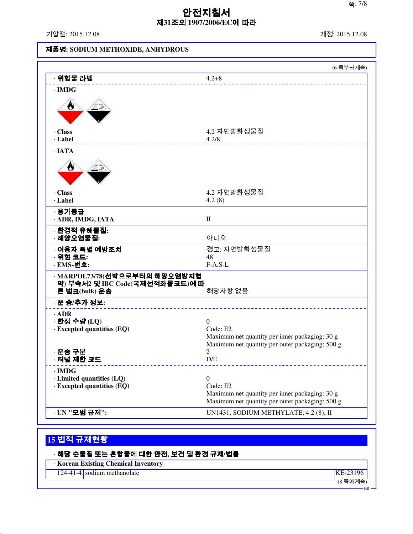기압점: 2015.12.08 개정: 2015.12.08

# 제품명**: SODIUM METHOXIDE, ANHYDROUS**

| · 위험물 라벨<br>$4.2 + 8$<br>$\cdot$ IMDG<br>Ò<br>· Class<br>4.2 자연발화성물질<br>· Label<br>4.2/8<br>$\cdot$ IATA<br>Ö<br>4.2 자연발화성물질<br>· Class<br>· Label<br>4.2(8)<br>· 용기등급<br>$\rm II$<br>· ADR, IMDG, IATA<br>· 환경적 유해물질:<br>아니오<br>· 해양오염물질:<br>○ 이용자 특별 예방조치<br>경고: 자연발화성물질<br>· 위험 코드:<br>48<br>· EMS-번호:<br>$F-A, S-L$<br>· MARPOL73/78(선박으로부터의 해양오염방지협<br>약) 부속서2 및 IBC Code(국제선적화물코드)에 따<br>해당사항 없음.<br>른 벌크(bulk) 운송<br>· 운 송/추가 정보:<br>$\cdot$ ADR<br>· 한정 수량 (LQ)<br>$\Omega$<br>Code: E2<br>$\cdot$ Excepted quantities (EQ)<br>Maximum net quantity per inner packaging: 30 g<br>Maximum net quantity per outer packaging: 500 g<br>2<br>· 운송 구분<br>· 터널 제한 코드<br>D/E<br>$\cdot$ IMDG<br>· Limited quantities (LQ)<br>$\boldsymbol{0}$<br>Code: E2<br>$\cdot$ Excepted quantities (EQ)<br>Maximum net quantity per inner packaging: 30 g<br>Maximum net quantity per outer packaging: 500 g<br>UN1431, SODIUM METHYLATE, 4.2 (8), II |               | (6 쪽부터계속) |
|----------------------------------------------------------------------------------------------------------------------------------------------------------------------------------------------------------------------------------------------------------------------------------------------------------------------------------------------------------------------------------------------------------------------------------------------------------------------------------------------------------------------------------------------------------------------------------------------------------------------------------------------------------------------------------------------------------------------------------------------------------------------------------------------------------------------------------------------------------------------------------------------------------------------------------------------|---------------|-----------|
|                                                                                                                                                                                                                                                                                                                                                                                                                                                                                                                                                                                                                                                                                                                                                                                                                                                                                                                                              |               |           |
|                                                                                                                                                                                                                                                                                                                                                                                                                                                                                                                                                                                                                                                                                                                                                                                                                                                                                                                                              |               |           |
|                                                                                                                                                                                                                                                                                                                                                                                                                                                                                                                                                                                                                                                                                                                                                                                                                                                                                                                                              |               |           |
|                                                                                                                                                                                                                                                                                                                                                                                                                                                                                                                                                                                                                                                                                                                                                                                                                                                                                                                                              |               |           |
|                                                                                                                                                                                                                                                                                                                                                                                                                                                                                                                                                                                                                                                                                                                                                                                                                                                                                                                                              |               |           |
|                                                                                                                                                                                                                                                                                                                                                                                                                                                                                                                                                                                                                                                                                                                                                                                                                                                                                                                                              |               |           |
|                                                                                                                                                                                                                                                                                                                                                                                                                                                                                                                                                                                                                                                                                                                                                                                                                                                                                                                                              |               |           |
|                                                                                                                                                                                                                                                                                                                                                                                                                                                                                                                                                                                                                                                                                                                                                                                                                                                                                                                                              |               |           |
|                                                                                                                                                                                                                                                                                                                                                                                                                                                                                                                                                                                                                                                                                                                                                                                                                                                                                                                                              |               |           |
|                                                                                                                                                                                                                                                                                                                                                                                                                                                                                                                                                                                                                                                                                                                                                                                                                                                                                                                                              |               |           |
|                                                                                                                                                                                                                                                                                                                                                                                                                                                                                                                                                                                                                                                                                                                                                                                                                                                                                                                                              |               |           |
|                                                                                                                                                                                                                                                                                                                                                                                                                                                                                                                                                                                                                                                                                                                                                                                                                                                                                                                                              |               |           |
|                                                                                                                                                                                                                                                                                                                                                                                                                                                                                                                                                                                                                                                                                                                                                                                                                                                                                                                                              |               |           |
|                                                                                                                                                                                                                                                                                                                                                                                                                                                                                                                                                                                                                                                                                                                                                                                                                                                                                                                                              |               |           |
|                                                                                                                                                                                                                                                                                                                                                                                                                                                                                                                                                                                                                                                                                                                                                                                                                                                                                                                                              |               |           |
|                                                                                                                                                                                                                                                                                                                                                                                                                                                                                                                                                                                                                                                                                                                                                                                                                                                                                                                                              |               |           |
|                                                                                                                                                                                                                                                                                                                                                                                                                                                                                                                                                                                                                                                                                                                                                                                                                                                                                                                                              |               |           |
|                                                                                                                                                                                                                                                                                                                                                                                                                                                                                                                                                                                                                                                                                                                                                                                                                                                                                                                                              |               |           |
|                                                                                                                                                                                                                                                                                                                                                                                                                                                                                                                                                                                                                                                                                                                                                                                                                                                                                                                                              | · UN "모범 규제": |           |

# **15** 법적 규제현황

| · 해당 순물질 또는 혼합물에 대한 안전, 보건 및 환경 규제/법률     |            |
|-------------------------------------------|------------|
| <b>Korean Existing Chemical Inventory</b> |            |
| 124-41-4 sodium methanolate               | $KE-23196$ |
|                                           | (8 쪽에계속)   |
|                                           | $KR -$     |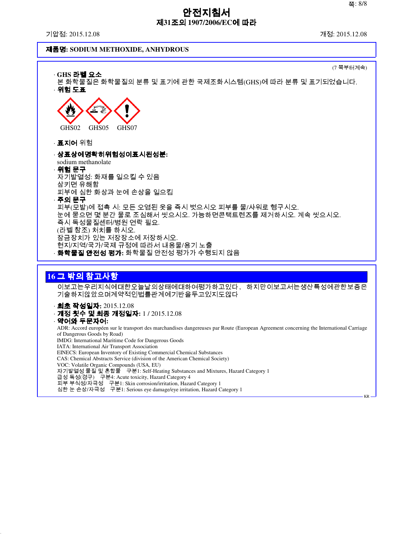KR

# 안전지침서 제**31**조의 **1907/2006/EC**에 따라

기압점: 2015.12.08 개정: 2015.12.08

of Dangerous Goods by Road)

IMDG: International Maritime Code for Dangerous Goods

급성 독성(경구) 구분4: Acute toxicity, Hazard Category 4

EINECS: European Inventory of Existing Commercial Chemical Substances CAS: Chemical Abstracts Service (division of the American Chemical Society)

피부 부식성/자극성 구분1: Skin corrosion/irritation, Hazard Category 1 심한 눈 손상/자극성 구분1: Serious eye damage/eye irritation, Hazard Category 1

자기발열성 물질 및 혼합물 구분1: Self-Heating Substances and Mixtures, Hazard Category 1

IATA: International Air Transport Association

VOC: Volatile Organic Compounds (USA, EU)

### 제품명**: SODIUM METHOXIDE, ANHYDROUS**

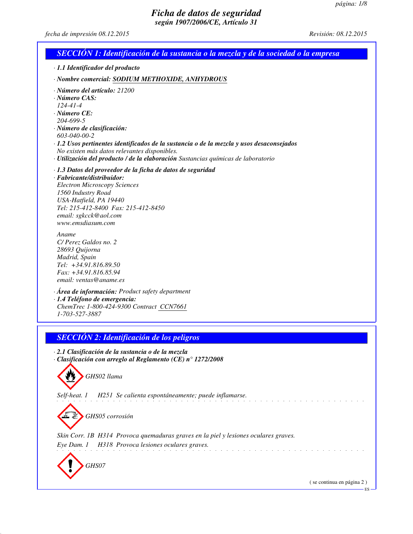*fecha de impresión 08.12.2015 Revisión: 08.12.2015*

| SECCIÓN 1: Identificación de la sustancia o la mezcla y de la sociedad o la empresa                                                                                                                                                                                                                                                                                                              |
|--------------------------------------------------------------------------------------------------------------------------------------------------------------------------------------------------------------------------------------------------------------------------------------------------------------------------------------------------------------------------------------------------|
| · 1.1 Identificador del producto                                                                                                                                                                                                                                                                                                                                                                 |
| · Nombre comercial: SODIUM METHOXIDE, ANHYDROUS                                                                                                                                                                                                                                                                                                                                                  |
| · Número del artículo: 21200<br>$\cdot$ Número CAS:<br>$124 - 41 - 4$<br>$\cdot$ Número CE:<br>204-699-5<br>· Número de clasificación:<br>$603 - 040 - 00 - 2$<br>· 1.2 Usos pertinentes identificados de la sustancia o de la mezcla y usos desaconsejados<br>No existen más datos relevantes disponibles.<br>· Utilización del producto / de la elaboración Sustancias químicas de laboratorio |
| · 1.3 Datos del proveedor de la ficha de datos de seguridad<br>· Fabricante/distribuidor:<br><b>Electron Microscopy Sciences</b><br>1560 Industry Road<br>USA-Hatfield, PA 19440<br>Tel: 215-412-8400 Fax: 215-412-8450<br>email: sgkcck@aol.com<br>www.emsdiasum.com                                                                                                                            |
| Aname<br>C/Perez Galdos no. 2<br>28693 Quijorna<br>Madrid, Spain<br>Tel: +34.91.816.89.50<br>Fax: +34.91.816.85.94<br>email: ventas@aname.es                                                                                                                                                                                                                                                     |
| $\cdot$ Área de información: Product safety department<br>· 1.4 Teléfono de emergencia:<br>ChemTrec 1-800-424-9300 Contract CCN7661<br>1-703-527-3887                                                                                                                                                                                                                                            |
| <b>SECCIÓN 2: Identificación de los peligros</b>                                                                                                                                                                                                                                                                                                                                                 |
| · 2.1 Clasificación de la sustancia o de la mezcla<br>$\cdot$ Clasificación con arreglo al Reglamento (CE) n° 1272/2008<br>GHS02 llama                                                                                                                                                                                                                                                           |
| H251 Se calienta espontáneamente; puede inflamarse.<br>Self-heat. 1<br>GHS05 corrosión                                                                                                                                                                                                                                                                                                           |
| Skin Corr. 1B H314 Provoca quemaduras graves en la piel y lesiones oculares graves.<br>H318 Provoca lesiones oculares graves.<br>Eye Dam. 1                                                                                                                                                                                                                                                      |
| GHS07<br>(se continua en página 2)                                                                                                                                                                                                                                                                                                                                                               |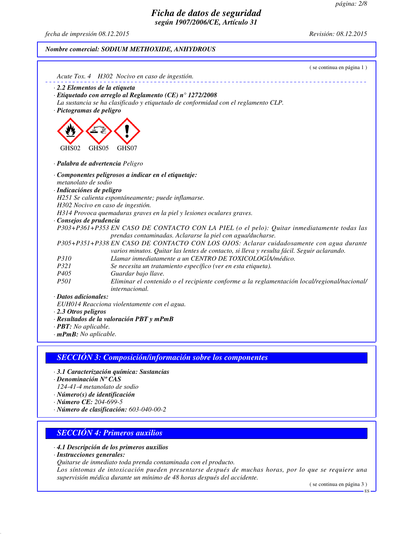*fecha de impresión 08.12.2015 Revisión: 08.12.2015*

### *Nombre comercial: SODIUM METHOXIDE, ANHYDROUS*

|                            | (se continua en página 1)<br>Acute Tox. 4 H302 Nocivo en caso de ingestión.                                                                                                            |
|----------------------------|----------------------------------------------------------------------------------------------------------------------------------------------------------------------------------------|
|                            | $\cdot$ 2.2 Elementos de la etiqueta                                                                                                                                                   |
|                            | $\cdot$ Etiquetado con arreglo al Reglamento (CE) nº 1272/2008                                                                                                                         |
|                            | La sustancia se ha clasificado y etiquetado de conformidad con el reglamento CLP.                                                                                                      |
| · Pictogramas de peligro   |                                                                                                                                                                                        |
| GHS02                      | GHS05<br>GHS07                                                                                                                                                                         |
|                            | · Palabra de advertencia Peligro                                                                                                                                                       |
|                            | · Componentes peligrosos a indicar en el etiquetaje:                                                                                                                                   |
| metanolato de sodio        |                                                                                                                                                                                        |
| · Indicaciónes de peligro  |                                                                                                                                                                                        |
|                            | H251 Se calienta espontáneamente; puede inflamarse.                                                                                                                                    |
|                            | H302 Nocivo en caso de ingestión.                                                                                                                                                      |
|                            | H314 Provoca quemaduras graves en la piel y lesiones oculares graves.                                                                                                                  |
| · Consejos de prudencia    |                                                                                                                                                                                        |
|                            | P303+P361+P353 EN CASO DE CONTACTO CON LA PIEL (o el pelo): Quitar inmediatamente todas las<br>prendas contaminadas. Aclararse la piel con agua/ducharse.                              |
|                            | P305+P351+P338 EN CASO DE CONTACTO CON LOS OJOS: Aclarar cuidadosamente con agua durante<br>varios minutos. Quitar las lentes de contacto, si lleva y resulta fácil. Seguir aclarando. |
| <i>P310</i>                | Llamar inmediatamente a un CENTRO DE TOXICOLOGÍA/médico.                                                                                                                               |
| P321                       | Se necesita un tratamiento específico (ver en esta etiqueta).                                                                                                                          |
| P <sub>405</sub>           | Guardar bajo llave.                                                                                                                                                                    |
| P <sub>501</sub>           | Eliminar el contenido o el recipiente conforme a la reglamentación local/regional/nacional/<br><i>internacional.</i>                                                                   |
| · Datos adicionales:       |                                                                                                                                                                                        |
|                            | EUH014 Reacciona violentamente con el agua.                                                                                                                                            |
| $\cdot$ 2.3 Otros peligros |                                                                                                                                                                                        |
|                            | · Resultados de la valoración PBT y mPmB                                                                                                                                               |

- *· PBT: No aplicable.*
- *· mPmB: No aplicable.*

### *SECCIÓN 3: Composición/información sobre los componentes*

- *· 3.1 Caracterización química: Sustancias*
- *· Denominación Nº CAS*
- *124-41-4 metanolato de sodio*
- *· Número(s) de identificación*
- *· Número CE: 204-699-5*
- *· Número de clasificación: 603-040-00-2*

# *SECCIÓN 4: Primeros auxilios*

- *· 4.1 Descripción de los primeros auxilios*
- *· Instrucciones generales:*
- *Quitarse de inmediato toda prenda contaminada con el producto.*

*Los síntomas de intoxicación pueden presentarse después de muchas horas, por lo que se requiere una supervisión médica durante un mínimo de 48 horas después del accidente.*

( se continua en página 3 )

ES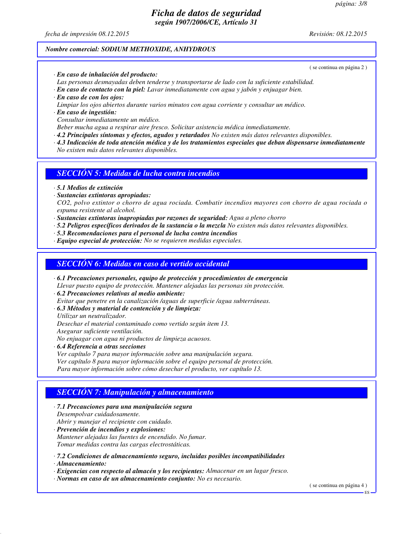*fecha de impresión 08.12.2015 Revisión: 08.12.2015*

#### *Nombre comercial: SODIUM METHOXIDE, ANHYDROUS*

- *· En caso de inhalación del producto:*
- *Las personas desmayadas deben tenderse y transportarse de lado con la suficiente estabilidad.*
- *· En caso de contacto con la piel: Lavar inmediatamente con agua y jabón y enjuagar bien.*
- *· En caso de con los ojos:*
- *Limpiar los ojos abiertos durante varios minutos con agua corriente y consultar un médico.*
- *· En caso de ingestión: Consultar inmediatamente un médico.*
- *Beber mucha agua a respirar aire fresco. Solicitar asistencia médica inmediatamente.*
- *· 4.2 Principales síntomas y efectos, agudos y retardados No existen más datos relevantes disponibles.*
- *· 4.3 Indicación de toda atención médica y de los tratamientos especiales que deban dispensarse inmediatamente No existen más datos relevantes disponibles.*

### *SECCIÓN 5: Medidas de lucha contra incendios*

- *· 5.1 Medios de extinción*
- *· Sustancias extintoras apropiadas:*

*CO2, polvo extintor o chorro de agua rociada. Combatir incendios mayores con chorro de agua rociada o espuma resistente al alcohol.*

- *· Sustancias extintoras inapropiadas por razones de seguridad: Agua a pleno chorro*
- *· 5.2 Peligros específicos derivados de la sustancia o la mezcla No existen más datos relevantes disponibles.*
- *· 5.3 Recomendaciones para el personal de lucha contra incendios*
- *· Equipo especial de protección: No se requieren medidas especiales.*

### *SECCIÓN 6: Medidas en caso de vertido accidental*

- *· 6.1 Precauciones personales, equipo de protección y procedimientos de emergencia Llevar puesto equipo de protección. Mantener alejadas las personas sin protección.*
- *· 6.2 Precauciones relativas al medio ambiente:*
- *Evitar que penetre en la canalización /aguas de superficie /agua subterráneas.*
- *· 6.3 Métodos y material de contención y de limpieza:*
- *Utilizar un neutralizador.*

*Desechar el material contaminado como vertido según item 13.*

*Asegurar suficiente ventilación.*

*No enjuagar con agua ni productos de limpieza acuosos.*

*· 6.4 Referencia a otras secciones*

*Ver capítulo 7 para mayor información sobre una manipulación segura.*

*Ver capítulo 8 para mayor información sobre el equipo personal de protección.*

*Para mayor información sobre cómo desechar el producto, ver capítulo 13.*

### *SECCIÓN 7: Manipulación y almacenamiento*

- *· 7.1 Precauciones para una manipulación segura Desempolvar cuidadosamente. Abrir y manejar el recipiente con cuidado. · Prevención de incendios y explosiones: Mantener alejadas las fuentes de encendido. No fumar.*
- *Tomar medidas contra las cargas electrostáticas.*

*· 7.2 Condiciones de almacenamiento seguro, incluidas posibles incompatibilidades*

*· Almacenamiento:*

*· Exigencias con respecto al almacén y los recipientes: Almacenar en un lugar fresco.*

*· Normas en caso de un almacenamiento conjunto: No es necesario.*

( se continua en página 4 )

#### ( se continua en página 2 )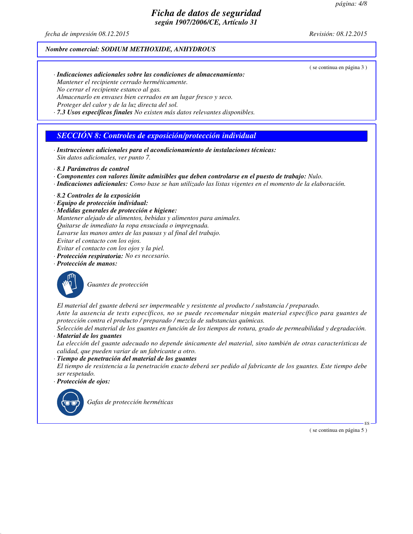*fecha de impresión 08.12.2015 Revisión: 08.12.2015*

#### *Nombre comercial: SODIUM METHOXIDE, ANHYDROUS*

( se continua en página 3 )

- *· Indicaciones adicionales sobre las condiciones de almacenamiento: Mantener el recipiente cerrado herméticamente. No cerrar el recipiente estanco al gas. Almacenarlo en envases bien cerrados en un lugar fresco y seco.*
- *Proteger del calor y de la luz directa del sol.*
- *· 7.3 Usos específicos finales No existen más datos relevantes disponibles.*

### *SECCIÓN 8: Controles de exposición/protección individual*

- *· Instrucciones adicionales para el acondicionamiento de instalaciones técnicas: Sin datos adicionales, ver punto 7.*
- *· 8.1 Parámetros de control*
- *· Componentes con valores límite admisibles que deben controlarse en el puesto de trabajo: Nulo.*
- *· Indicaciones adicionales: Como base se han utilizado las listas vigentes en el momento de la elaboración.*
- *· 8.2 Controles de la exposición*
- *· Equipo de protección individual:*
- *· Medidas generales de protección e higiene:*
- *Mantener alejado de alimentos, bebidas y alimentos para animales.*
- *Quitarse de inmediato la ropa ensuciada o impregnada.*
- *Lavarse las manos antes de las pausas y al final del trabajo.*
- *Evitar el contacto con los ojos.*
- *Evitar el contacto con los ojos y la piel.*
- *· Protección respiratoria: No es necesario.*
- *· Protección de manos:*



*Guantes de protección*

*El material del guante deberá ser impermeable y resistente al producto / substancia / preparado. Ante la ausencia de tests específicos, no se puede recomendar ningún material específico para guantes de protección contra el producto / preparado / mezcla de substancias químicas.*

*Selección del material de los guantes en función de los tiempos de rotura, grado de permeabilidad y degradación. · Material de los guantes*

*La elección del guante adecuado no depende únicamente del material, sino también de otras características de calidad, que pueden variar de un fabricante a otro.*

- *· Tiempo de penetración del material de los guantes El tiempo de resistencia a la penetración exacto deberá ser pedido al fabricante de los guantes. Este tiempo debe ser respetado.*
- *· Protección de ojos:*



*Gafas de protección herméticas*

( se continua en página 5 )

ES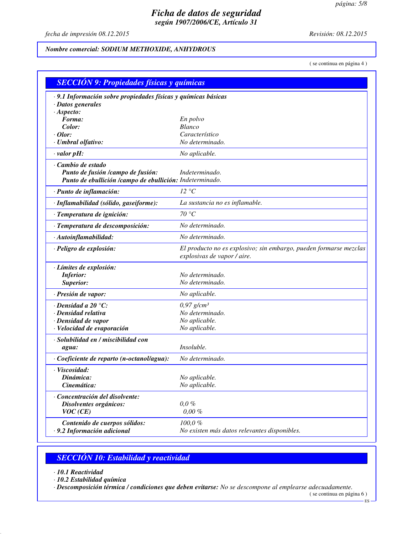*fecha de impresión 08.12.2015 Revisión: 08.12.2015*

### *Nombre comercial: SODIUM METHOXIDE, ANHYDROUS*

( se continua en página 4 )

| <b>SECCIÓN 9: Propiedades físicas y químicas</b>                                              |                                                                                                  |  |
|-----------------------------------------------------------------------------------------------|--------------------------------------------------------------------------------------------------|--|
| · 9.1 Información sobre propiedades físicas y químicas básicas                                |                                                                                                  |  |
| · Datos generales                                                                             |                                                                                                  |  |
| ·A <sub>s</sub> pecto:                                                                        |                                                                                                  |  |
| Forma:                                                                                        | En polvo<br><b>Blanco</b>                                                                        |  |
| Color:<br>$\cdot$ Olor:                                                                       | Característico                                                                                   |  |
| · Umbral olfativo:                                                                            | No determinado.                                                                                  |  |
| $\cdot$ valor pH:                                                                             | No aplicable.                                                                                    |  |
|                                                                                               |                                                                                                  |  |
| · Cambio de estado                                                                            | Indeterminado.                                                                                   |  |
| Punto de fusión /campo de fusión:<br>Punto de ebullición /campo de ebullición: Indeterminado. |                                                                                                  |  |
|                                                                                               |                                                                                                  |  |
| · Punto de inflamación:                                                                       | 12 °C                                                                                            |  |
| · Inflamabilidad (sólido, gaseiforme):                                                        | La sustancia no es inflamable.                                                                   |  |
| · Temperatura de ignición:                                                                    | 70 °C                                                                                            |  |
| · Temperatura de descomposición:                                                              | No determinado.                                                                                  |  |
| · Autoinflamabilidad:                                                                         | No determinado.                                                                                  |  |
| · Peligro de explosión:                                                                       | El producto no es explosivo; sin embargo, pueden formarse mezclas<br>explosivas de vapor / aire. |  |
| · Límites de explosión:                                                                       |                                                                                                  |  |
| <b>Inferior:</b>                                                                              | No determinado.                                                                                  |  |
| Superior:                                                                                     | No determinado.                                                                                  |  |
| · Presión de vapor:                                                                           | No aplicable.                                                                                    |  |
| $\cdot$ Densidad a 20 $\degree$ C:                                                            | $0,97$ g/cm <sup>3</sup>                                                                         |  |
| · Densidad relativa                                                                           | No determinado.                                                                                  |  |
| · Densidad de vapor                                                                           | No aplicable.                                                                                    |  |
| · Velocidad de evaporación                                                                    | No aplicable.                                                                                    |  |
| · Solubilidad en / miscibilidad con                                                           |                                                                                                  |  |
| agua:                                                                                         | Insoluble.                                                                                       |  |
| $\cdot$ Coeficiente de reparto (n-octanol/agua):                                              | No determinado.                                                                                  |  |
| · Viscosidad:                                                                                 |                                                                                                  |  |
| Dinámica:                                                                                     | No aplicable.                                                                                    |  |
| Cinemática:                                                                                   | No aplicable.                                                                                    |  |
| · Concentración del disolvente:                                                               |                                                                                                  |  |
| Disolventes orgánicos:                                                                        | $0,0\%$                                                                                          |  |
| VOC(CE)                                                                                       | $0,00\%$                                                                                         |  |
| Contenido de cuerpos sólidos:                                                                 | 100,0%                                                                                           |  |
| · 9.2 Información adicional                                                                   | No existen más datos relevantes disponibles.                                                     |  |

# *SECCIÓN 10: Estabilidad y reactividad*

*· 10.1 Reactividad*

*· 10.2 Estabilidad química*

*· Descomposición térmica / condiciones que deben evitarse: No se descompone al emplearse adecuadamente.*

<sup>(</sup> se continua en página 6 ) ES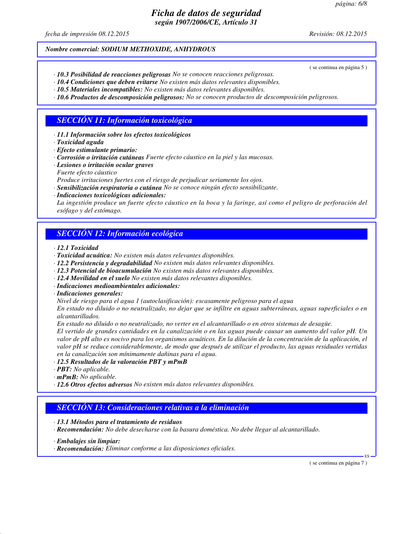*fecha de impresión 08.12.2015 Revisión: 08.12.2015*

#### *Nombre comercial: SODIUM METHOXIDE, ANHYDROUS*

( se continua en página 5 )

- *· 10.3 Posibilidad de reacciones peligrosas No se conocen reacciones peligrosas.*
- *· 10.4 Condiciones que deben evitarse No existen más datos relevantes disponibles. · 10.5 Materiales incompatibles: No existen más datos relevantes disponibles.*
- 
- *· 10.6 Productos de descomposición peligrosos: No se conocen productos de descomposición peligrosos.*

### *SECCIÓN 11: Información toxicológica*

- *· 11.1 Información sobre los efectos toxicológicos*
- *· Toxicidad aguda*
- *· Efecto estimulante primario:*
- *· Corrosión o irritación cutáneas Fuerte efecto cáustico en la piel y las mucosas.*
- *· Lesiones o irritación ocular graves*
- *Fuerte efecto cáustico*
- *Produce irritaciones fuertes con el riesgo de perjudicar seriamente los ojos.*
- *· Sensibilización respiratoria o cutánea No se conoce ningún efecto sensibilizante.*
- *· Indicaciones toxicológicas adicionales:*

*La ingestión produce un fuerte efecto cáustico en la boca y la faringe, así como el peligro de perforación del esófago y del estómago.*

### *SECCIÓN 12: Información ecológica*

- *· 12.1 Toxicidad*
- *· Toxicidad acuática: No existen más datos relevantes disponibles.*
- *· 12.2 Persistencia y degradabilidad No existen más datos relevantes disponibles.*
- *· 12.3 Potencial de bioacumulación No existen más datos relevantes disponibles.*
- *· 12.4 Movilidad en el suelo No existen más datos relevantes disponibles.*
- *· Indicaciones medioambientales adicionales:*
- *· Indicaciones generales:*

*Nivel de riesgo para el agua 1 (autoclasificación): escasamente peligroso para el agua*

*En estado no diluido o no neutralizado, no dejar que se infiltre en aguas subterráneas, aguas superficiales o en alcantarillados.*

*En estado no diluido o no neutralizado, no verter en el alcantarillado o en otros sistemas de desagüe.*

*El vertido de grandes cantidades en la canalización o en las aguas puede causar un aumento del valor pH. Un valor de pH alto es nocivo para los organismos acuáticos. En la dilución de la concentración de la aplicación, el valor pH se reduce considerablemente, de modo que después de utilizar el producto, las aguas residuales vertidas en la canalización son mínimamente dañinas para el agua.*

#### *· 12.5 Resultados de la valoración PBT y mPmB*

- *· PBT: No aplicable.*
- *· mPmB: No aplicable.*
- *· 12.6 Otros efectos adversos No existen más datos relevantes disponibles.*

#### *SECCIÓN 13: Consideraciones relativas a la eliminación*

- *· 13.1 Métodos para el tratamiento de residuos*
- *· Recomendación: No debe desecharse con la basura doméstica. No debe llegar al alcantarillado.*
- *· Embalajes sin limpiar:*
- *· Recomendación: Eliminar conforme a las disposiciones oficiales.*

( se continua en página 7 )

ES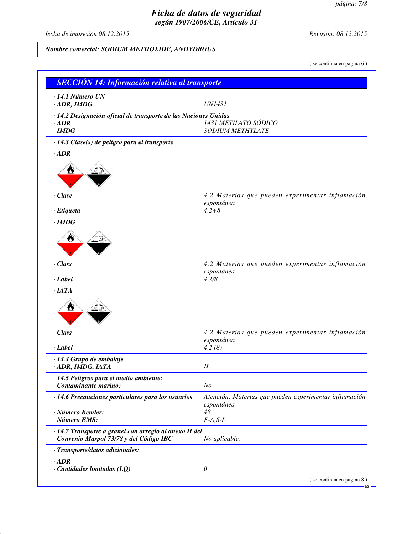*fecha de impresión 08.12.2015 Revisión: 08.12.2015*

# *Nombre comercial: SODIUM METHOXIDE, ANHYDROUS*

( se continua en página 6 )

| $\cdot$ 14.1 Número UN                                          |                                                                |
|-----------------------------------------------------------------|----------------------------------------------------------------|
| $\cdot$ ADR, IMDG                                               | <b>UN1431</b>                                                  |
| · 14.2 Designación oficial de transporte de las Naciones Unidas |                                                                |
| $\cdot$ ADR                                                     | 1431 METILATO SÓDICO                                           |
| $\cdot$ IMDG                                                    | SODIUM METHYLATE                                               |
| · 14.3 Clase(s) de peligro para el transporte                   |                                                                |
| $\cdot$ ADR                                                     |                                                                |
|                                                                 |                                                                |
|                                                                 |                                                                |
|                                                                 |                                                                |
| $\cdot$ Clase                                                   | 4.2 Materias que pueden experimentar inflamación               |
|                                                                 | espontánea                                                     |
| · Etiqueta                                                      | $4.2 + 8$                                                      |
| $\cdot$ IMDG                                                    |                                                                |
| ₩                                                               |                                                                |
|                                                                 |                                                                |
|                                                                 |                                                                |
| · Class                                                         | 4.2 Materias que pueden experimentar inflamación               |
| · Label                                                         | espontánea<br>4.2/8                                            |
| ·IATA                                                           |                                                                |
|                                                                 |                                                                |
|                                                                 |                                                                |
|                                                                 |                                                                |
|                                                                 |                                                                |
| · Class                                                         | 4.2 Materias que pueden experimentar inflamación<br>espontánea |
| · Label                                                         | 4.2(8)                                                         |
| · 14.4 Grupo de embalaje                                        |                                                                |
| · ADR, IMDG, IATA                                               | I                                                              |
| · 14.5 Peligros para el medio ambiente:                         |                                                                |
| Contaminante marino:                                            | N <sub>O</sub>                                                 |
| · 14.6 Precauciones particulares para los usuarios              | Atención: Materias que pueden experimentar inflamación         |
|                                                                 | espontánea                                                     |
| · Número Kemler:<br>· Número EMS:                               | 48<br>$F-A, S-L$                                               |
| · 14.7 Transporte a granel con arreglo al anexo II del          |                                                                |
| Convenio Marpol 73/78 y del Código IBC                          | No aplicable.                                                  |
| · Transporte/datos adicionales:                                 |                                                                |
| $\cdot$ ADR                                                     |                                                                |
| $\cdot$ Cantidades limitadas (LQ)                               | $\theta$                                                       |